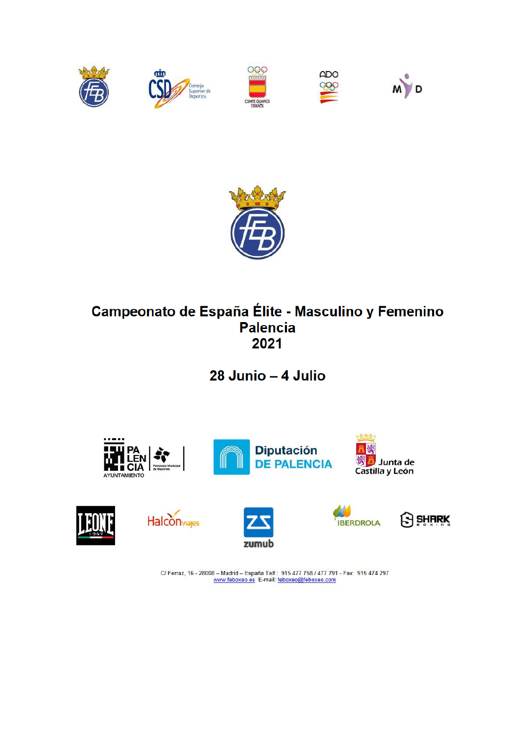











## Campeonato de España Élite - Masculino y Femenino **Palencia** 2021

28 Junio - 4 Julio





**Halcon**<sub>viajes</sub>







C/ Ferraz, 16 - 28008 - Madrid - España Telf.: 915 477 758 / 477 791 - Fax: 915 474 297<br>www.feboxeo.es E-mail: feboxeo@feboxeo.com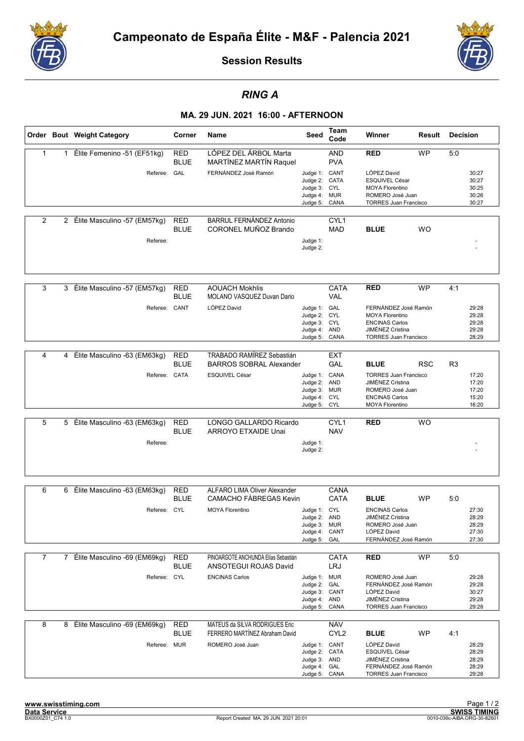



## *RING A*

|                |              | Order Bout Weight Category                 | Corner                    | <b>Name</b>                                                      | Seed                                                                            | Team<br>Code                   | Winner                                                                                                                                        | Result     | <b>Decision</b>                                 |
|----------------|--------------|--------------------------------------------|---------------------------|------------------------------------------------------------------|---------------------------------------------------------------------------------|--------------------------------|-----------------------------------------------------------------------------------------------------------------------------------------------|------------|-------------------------------------------------|
| $\mathbf{1}$   | $\mathbf{1}$ | Élite Femenino -51 (EF51kg)                | <b>RED</b><br><b>BLUE</b> | LÓPEZ DEL ÁRBOL Marta<br>MARTÍNEZ MARTÍN Raquel                  |                                                                                 | <b>AND</b><br><b>PVA</b>       | <b>RED</b>                                                                                                                                    | <b>WP</b>  | 5:0                                             |
|                |              | Referee: GAL                               |                           | FERNÁNDEZ José Ramón                                             | Judge 1: CANT<br>Judge 2: CATA<br>Judge 3: CYL<br>Judge 4: MUR<br>Judge 5:      | CANA                           | LÓPEZ David<br><b>ESQUIVEL César</b><br><b>MOYA Florentino</b><br>ROMERO José Juan<br><b>TORRES Juan Francisco</b>                            |            | 30:27<br>30:27<br>30:25<br>30:26<br>30:27       |
| $\overline{2}$ |              | 2 Élite Masculino -57 (EM57kg)<br>Referee: | <b>RED</b><br><b>BLUE</b> | BARRUL FERNÁNDEZ Antonio<br>CORONEL MUÑOZ Brando                 | Judge 1:<br>Judge 2:                                                            | CYL <sub>1</sub><br><b>MAD</b> | <b>BLUE</b>                                                                                                                                   | <b>WO</b>  |                                                 |
| 3              | 3            | Élite Masculino -57 (EM57kg)               | <b>RED</b><br><b>BLUE</b> | <b>AOUACH Mokhlis</b><br>MOLANO VASQUEZ Duvan Dario              |                                                                                 | <b>CATA</b><br>VAL             | <b>RED</b>                                                                                                                                    | <b>WP</b>  | 4:1                                             |
|                |              | Referee: CANT                              |                           | LÓPEZ David                                                      | Judge 1: GAL<br>Judge 2: CYL<br>Judge 3: CYL<br>Judge 4: AND<br>Judge 5:        | CANA                           | FERNÁNDEZ José Ramón<br><b>MOYA Florentino</b><br><b>ENCINAS Carlos</b><br>JIMÉNEZ Cristina<br><b>TORRES Juan Francisco</b>                   |            | 29:28<br>29:28<br>29:28<br>29:28<br>28:29       |
| 4              | 4            | Élite Masculino -63 (EM63kg)               | <b>RED</b>                | <b>TRABADO RAMÍREZ Sebastián</b>                                 |                                                                                 | <b>EXT</b>                     |                                                                                                                                               |            |                                                 |
|                |              | Referee: CATA                              | <b>BLUE</b>               | <b>BARROS SOBRAL Alexander</b><br>ESQUIVEL César                 | Judge 1: CANA<br>Judge 2: AND<br>Judge 3: MUR<br>Judge 4: CYL<br>Judge 5: CYL   | GAL                            | <b>BLUE</b><br><b>TORRES Juan Francisco</b><br><b>JIMÉNEZ Cristina</b><br>ROMERO José Juan<br><b>ENCINAS Carlos</b><br><b>MOYA Florentino</b> | <b>RSC</b> | R3<br>17:20<br>17:20<br>17:20<br>15:20<br>16:20 |
| 5              | 5            | Élite Masculino -63 (EM63kg)               | <b>RED</b>                | LONGO GALLARDO Ricardo                                           |                                                                                 | CYL1                           | <b>RED</b>                                                                                                                                    | <b>WO</b>  |                                                 |
|                |              | Referee:                                   | <b>BLUE</b>               | <b>ARROYO ETXAIDE Unai</b>                                       | Judge 1:<br>Judge 2:                                                            | <b>NAV</b>                     |                                                                                                                                               |            |                                                 |
|                |              |                                            |                           |                                                                  |                                                                                 |                                |                                                                                                                                               |            |                                                 |
| 6              | 6            | Élite Masculino -63 (EM63kg)               | <b>RED</b><br><b>BLUE</b> | ALFARO LIMA Oliver Alexander<br>CAMACHO FÁBREGAS Kevin           |                                                                                 | <b>CANA</b><br><b>CATA</b>     | <b>BLUE</b>                                                                                                                                   | <b>WP</b>  | 5:0                                             |
|                |              | Referee: CYL                               |                           | <b>MOYA Florentino</b>                                           | Judge 1: CYL<br>Judge 2: AND<br>Judge 3: MUR<br>Judge 4: CANT<br>Judge 5: GAL   |                                | <b>ENCINAS Carlos</b><br>JIMÉNEZ Cristina<br>ROMERO José Juan<br>LÓPEZ David<br>FERNÁNDEZ José Ramón                                          |            | 27:30<br>28:29<br>28:29<br>27:30<br>27:30       |
| $\overline{7}$ |              | 7 Élite Masculino -69 (EM69kg)             | <b>RED</b><br><b>BLUE</b> | PINOARGOTE ANCHUNDA Elías Sebastián<br>ANSOTEGUI ROJAS David     |                                                                                 | <b>CATA</b><br><b>LRJ</b>      | <b>RED</b>                                                                                                                                    | <b>WP</b>  | 5:0                                             |
|                |              | Referee: CYL                               |                           | <b>ENCINAS Carlos</b>                                            | Judge 1: MUR<br>Judge 2: GAL<br>Judge 3: CANT<br>Judge 4: AND<br>Judge 5: CANA  |                                | ROMERO José Juan<br>FERNÁNDEZ José Ramón<br>LÓPEZ David<br>JIMÉNEZ Cristina<br><b>TORRES Juan Francisco</b>                                   |            | 29:28<br>29:28<br>30:27<br>29:28<br>29:28       |
| 8              |              | 8 Élite Masculino -69 (EM69kg)             | <b>RED</b><br><b>BLUE</b> | MATEUS da SILVA RODRIGUES Eric<br>FERRERO MARTÍNEZ Abraham David |                                                                                 | <b>NAV</b><br>CYL <sub>2</sub> | <b>BLUE</b>                                                                                                                                   | WP         | 4:1                                             |
|                |              | Referee: MUR                               |                           | ROMERO José Juan                                                 | Judge 1: CANT<br>Judge 2: CATA<br>Judge 3: AND<br>Judge 4: GAL<br>Judge 5: CANA |                                | LÓPEZ David<br>ESQUIVEL César<br>JIMÉNEZ Cristina<br>FERNÁNDEZ José Ramón<br><b>TORRES Juan Francisco</b>                                     |            | 28:29<br>28:29<br>28:29<br>28:29<br>29:28       |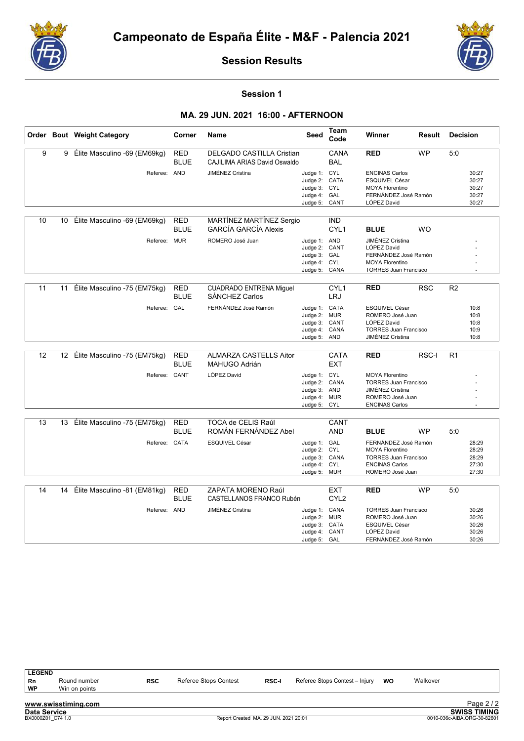



Session 1

|    |    | Order Bout Weight Category      | Corner                    | Name                                                                    | Team<br>Seed<br>Winner<br>Code                                                  |                                |                                                                                                                                | Result     | <b>Decision</b> |                                           |
|----|----|---------------------------------|---------------------------|-------------------------------------------------------------------------|---------------------------------------------------------------------------------|--------------------------------|--------------------------------------------------------------------------------------------------------------------------------|------------|-----------------|-------------------------------------------|
| 9  | 9  | Élite Masculino -69 (EM69kg)    | <b>RED</b><br><b>BLUE</b> | <b>DELGADO CASTILLA Cristian</b><br><b>CAJILIMA ARIAS David Oswaldo</b> |                                                                                 | CANA<br><b>BAL</b>             | <b>RED</b>                                                                                                                     | <b>WP</b>  | 5:0             |                                           |
|    |    | Referee: AND                    |                           | JIMÉNEZ Cristina                                                        | Judge 1: CYL<br>Judge 2: CATA<br>Judge 3: CYL<br>Judge 4: GAL<br>Judge 5: CANT  |                                | <b>ENCINAS Carlos</b><br>ESQUIVEL César<br><b>MOYA Florentino</b><br>FERNÁNDEZ José Ramón<br>LÓPEZ David                       |            |                 | 30:27<br>30:27<br>30:27<br>30:27<br>30:27 |
| 10 |    |                                 |                           |                                                                         |                                                                                 | <b>IND</b>                     |                                                                                                                                |            |                 |                                           |
|    | 10 | Élite Masculino -69 (EM69kg)    | <b>RED</b><br><b>BLUE</b> | MARTÍNEZ MARTÍNEZ Sergio<br><b>GARCÍA GARCÍA Alexis</b>                 |                                                                                 | CYL <sub>1</sub>               | <b>BLUE</b>                                                                                                                    | <b>WO</b>  |                 |                                           |
|    |    | Referee: MUR                    |                           | ROMERO José Juan                                                        | Judge 1: AND<br>Judge 2: CANT<br>Judge 3: GAL<br>Judge 4: CYL<br>Judge 5: CANA  |                                | JIMÉNEZ Cristina<br>LÓPEZ David<br>FERNÁNDEZ José Ramón<br><b>MOYA Florentino</b><br><b>TORRES Juan Francisco</b>              |            |                 |                                           |
| 11 | 11 | Élite Masculino -75 (EM75kg)    | <b>RED</b>                | <b>CUADRADO ENTRENA Miguel</b>                                          |                                                                                 | CYL <sub>1</sub>               | <b>RED</b>                                                                                                                     | <b>RSC</b> | R <sub>2</sub>  |                                           |
|    |    |                                 | <b>BLUE</b>               | <b>SÁNCHEZ Carlos</b>                                                   |                                                                                 | LRJ                            |                                                                                                                                |            |                 |                                           |
|    |    | Referee: GAL                    |                           | FERNÁNDEZ José Ramón                                                    | Judge 1: CATA<br>Judge 2: MUR<br>Judge 3: CANT<br>Judge 4: CANA                 |                                | ESQUIVEL César<br>ROMERO José Juan<br>LÓPEZ David<br><b>TORRES Juan Francisco</b>                                              |            |                 | 10:8<br>10:8<br>10:8<br>10:9              |
|    |    |                                 |                           |                                                                         | Judge 5: AND                                                                    |                                | JIMÉNEZ Cristina                                                                                                               |            |                 | 10:8                                      |
| 12 |    | 12 Élite Masculino -75 (EM75kg) | <b>RED</b><br><b>BLUE</b> | <b>ALMARZA CASTELLS Aitor</b><br><b>MAHUGO Adrián</b>                   |                                                                                 | <b>CATA</b><br><b>EXT</b>      | <b>RED</b>                                                                                                                     | RSC-I      | R1              |                                           |
|    |    | Referee: CANT                   |                           | LÓPEZ David                                                             | Judge 1: CYL<br>Judge 2: CANA<br>Judge 3: AND<br>Judge 4: MUR<br>Judge 5: CYL   |                                | <b>MOYA Florentino</b><br><b>TORRES Juan Francisco</b><br><b>JIMÉNEZ Cristina</b><br>ROMERO José Juan<br><b>ENCINAS Carlos</b> |            |                 |                                           |
| 13 |    | 13 Élite Masculino -75 (EM75kg) |                           | TOCA de CELIS Raúl                                                      |                                                                                 | CANT                           |                                                                                                                                |            |                 |                                           |
|    |    |                                 | <b>RED</b><br><b>BLUE</b> | ROMÁN FERNÁNDEZ Abel                                                    |                                                                                 | <b>AND</b>                     | <b>BLUE</b>                                                                                                                    | <b>WP</b>  | 5:0             |                                           |
|    |    | Referee: CATA                   |                           | ESQUIVEL César                                                          | Judge 1: GAL<br>Judge 2: CYL<br>Judge 3: CANA<br>Judge 4:<br>Judge 5: MUR       | CYL                            | FERNÁNDEZ José Ramón<br><b>MOYA Florentino</b><br><b>TORRES Juan Francisco</b><br><b>ENCINAS Carlos</b><br>ROMERO José Juan    |            |                 | 28:29<br>28:29<br>28:29<br>27:30<br>27:30 |
| 14 | 14 | Élite Masculino -81 (EM81kg)    | <b>RED</b><br><b>BLUE</b> | ZAPATA MORENO Raúl<br>CASTELLANOS FRANCO Rubén                          |                                                                                 | <b>EXT</b><br>CYL <sub>2</sub> | <b>RED</b>                                                                                                                     | <b>WP</b>  | 5:0             |                                           |
|    |    | Referee: AND                    |                           | JIMÉNEZ Cristina                                                        | Judge 1: CANA<br>Judge 2: MUR<br>Judge 3: CATA<br>Judge 4: CANT<br>Judge 5: GAL |                                | <b>TORRES Juan Francisco</b><br>ROMERO José Juan<br>ESQUIVEL César<br>LÓPEZ David<br>FERNÁNDEZ José Ramón                      |            |                 | 30:26<br>30:26<br>30:26<br>30:26<br>30:26 |

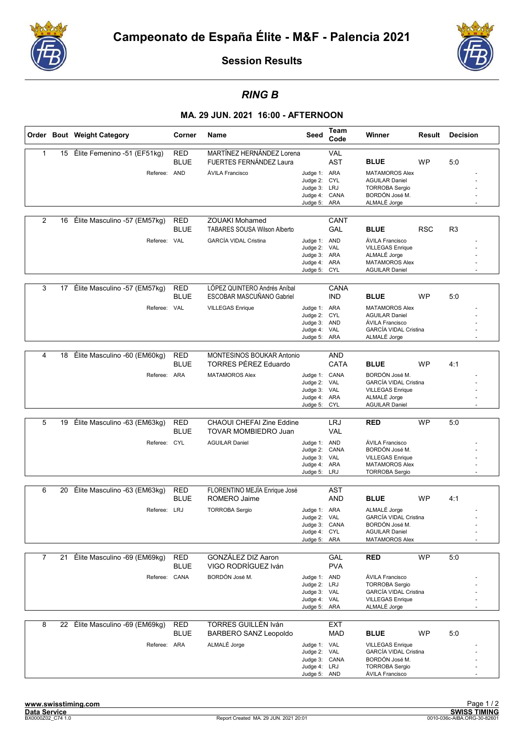



## *RING B*

|                |    | Order Bout Weight Category      | Corner                    | Name                                                             | Seed                                                                          | <b>Team</b><br>Code       | Winner                                                                                                                | Result     | <b>Decision</b> |
|----------------|----|---------------------------------|---------------------------|------------------------------------------------------------------|-------------------------------------------------------------------------------|---------------------------|-----------------------------------------------------------------------------------------------------------------------|------------|-----------------|
| $\mathbf{1}$   | 15 | Élite Femenino -51 (EF51kg)     | <b>RED</b><br><b>BLUE</b> | MARTÍNEZ HERNÁNDEZ Lorena<br><b>FUERTES FERNÁNDEZ Laura</b>      |                                                                               | <b>VAL</b><br><b>AST</b>  | <b>BLUE</b>                                                                                                           | <b>WP</b>  | 5:0             |
|                |    | Referee: AND                    |                           | ÁVILA Francisco                                                  | Judge 1: ARA<br>Judge 2:<br>Judge 3: LRJ<br>Judge 4: CANA<br>Judge 5: ARA     | <b>CYL</b>                | <b>MATAMOROS Alex</b><br><b>AGUILAR Daniel</b><br><b>TORROBA Sergio</b><br>BORDÓN José M.<br>ALMALÉ Jorge             |            |                 |
| $\overline{2}$ | 16 | Élite Masculino -57 (EM57kg)    | <b>RED</b><br><b>BLUE</b> | <b>ZOUAKI Mohamed</b><br><b>TABARES SOUSA Wilson Alberto</b>     |                                                                               | CANT<br>GAL               | <b>BLUE</b>                                                                                                           | <b>RSC</b> | R <sub>3</sub>  |
|                |    | Referee: VAL                    |                           | <b>GARCÍA VIDAL Cristina</b>                                     | Judge 1: AND<br>Judge 2:<br>Judge 3: ARA<br>Judge 4: ARA<br>Judge 5: CYL      | VAL                       | ÁVILA Francisco<br><b>VILLEGAS Enrique</b><br>ALMALÉ Jorge<br><b>MATAMOROS Alex</b><br><b>AGUILAR Daniel</b>          |            |                 |
| 3              | 17 | Élite Masculino -57 (EM57kg)    | <b>RED</b><br><b>BLUE</b> | LÓPEZ QUINTERO Andrés Aníbal<br><b>ESCOBAR MASCUÑANO Gabriel</b> |                                                                               | CANA<br><b>IND</b>        | <b>BLUE</b>                                                                                                           | <b>WP</b>  | 5:0             |
|                |    | Referee: VAL                    |                           | <b>VILLEGAS Enrique</b>                                          | Judge 1: ARA<br>Judge 2:<br>Judge 3: AND<br>Judge 4: VAL<br>Judge 5: ARA      | <b>CYL</b>                | <b>MATAMOROS Alex</b><br><b>AGUILAR Daniel</b><br>ÁVILA Francisco<br><b>GARCÍA VIDAL Cristina</b><br>ALMALÉ Jorge     |            |                 |
|                |    |                                 |                           |                                                                  |                                                                               |                           |                                                                                                                       |            |                 |
| 4              |    | 18 Élite Masculino -60 (EM60kg) | <b>RED</b><br><b>BLUE</b> | <b>MONTESINOS BOUKAR Antonio</b><br><b>TORRES PÉREZ Eduardo</b>  |                                                                               | <b>AND</b><br><b>CATA</b> | <b>BLUE</b>                                                                                                           | <b>WP</b>  | 4:1             |
|                |    | Referee: ARA                    |                           | <b>MATAMOROS Alex</b>                                            | Judge 1: CANA<br>Judge 2: VAL<br>Judge 3: VAL<br>Judge 4: ARA<br>Judge 5: CYL |                           | BORDÓN José M.<br><b>GARCÍA VIDAL Cristina</b><br><b>VILLEGAS Enrique</b><br>ALMALÉ Jorge<br><b>AGUILAR Daniel</b>    |            |                 |
|                |    |                                 |                           |                                                                  |                                                                               |                           |                                                                                                                       |            |                 |
| 5              | 19 | Élite Masculino -63 (EM63kg)    | <b>RED</b><br><b>BLUE</b> | CHAOUI CHEFAI Zine Eddine<br><b>TOVAR MOMBIEDRO Juan</b>         |                                                                               | <b>LRJ</b><br><b>VAL</b>  | <b>RED</b>                                                                                                            | <b>WP</b>  | 5:0             |
|                |    | Referee: CYL                    |                           | <b>AGUILAR Daniel</b>                                            | Judge 1: AND<br>Judge 2:<br>Judge 3: VAL<br>Judge 4: ARA<br>Judge 5: LRJ      | CANA                      | ÁVILA Francisco<br>BORDÓN José M.<br><b>VILLEGAS Enrique</b><br><b>MATAMOROS Alex</b><br><b>TORROBA Sergio</b>        |            |                 |
| 6              | 20 | Élite Masculino -63 (EM63kg)    | <b>RED</b>                | FLORENTINO MEJÍA Enrique José                                    |                                                                               | <b>AST</b>                |                                                                                                                       |            |                 |
|                |    |                                 | <b>BLUE</b>               | ROMERO Jaime                                                     |                                                                               | <b>AND</b>                | <b>BLUE</b>                                                                                                           | <b>WP</b>  | 4:1             |
|                |    | Referee: LRJ                    |                           | <b>TORROBA Sergio</b>                                            | Judge 1: ARA<br>Judge 2: VAL<br>Judge 3: CANA<br>Judge 4: CYL<br>Judge 5: ARA |                           | ALMALÉ Jorge<br><b>GARCÍA VIDAL Cristina</b><br>BORDÓN José M.<br><b>AGUILAR Daniel</b><br>MATAMOROS Alex             |            |                 |
| $\overline{7}$ | 21 | Élite Masculino -69 (EM69kg)    | <b>RED</b><br><b>BLUE</b> | <b>GONZÁLEZ DIZ Aaron</b><br>VIGO RODRÍGUEZ Iván                 |                                                                               | GAL<br><b>PVA</b>         | <b>RED</b>                                                                                                            | <b>WP</b>  | 5:0             |
|                |    | Referee: CANA                   |                           | BORDÓN José M.                                                   | Judge 1: AND<br>Judge 2: LRJ<br>Judge 3: VAL<br>Judge 4: VAL<br>Judge 5: ARA  |                           | ÁVILA Francisco<br><b>TORROBA Sergio</b><br><b>GARCÍA VIDAL Cristina</b><br><b>VILLEGAS Enrique</b><br>ALMALÉ Jorge   |            |                 |
| 8              |    | 22 Élite Masculino -69 (EM69kg) | <b>RED</b><br><b>BLUE</b> | <b>TORRES GUILLÉN Iván</b><br><b>BARBERO SANZ Leopoldo</b>       |                                                                               | <b>EXT</b><br><b>MAD</b>  | <b>BLUE</b>                                                                                                           | <b>WP</b>  | 5:0             |
|                |    | Referee: ARA                    |                           | ALMALÉ Jorge                                                     | Judge 1: VAL<br>Judge 2: VAL<br>Judge 3: CANA<br>Judge 4: LRJ<br>Judge 5: AND |                           | <b>VILLEGAS Enrique</b><br><b>GARCÍA VIDAL Cristina</b><br>BORDÓN José M.<br><b>TORROBA Sergio</b><br>ÁVILA Francisco |            |                 |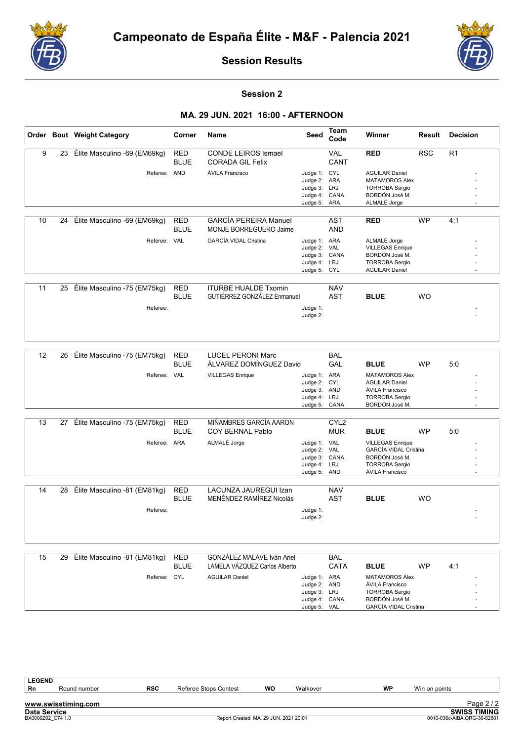



Session 2

#### MA. 29 JUN. 2021 16:00 - AFTERNOON

|    |    | Order Bout Weight Category   | Corner                    | Name                          | Seed                          | Team<br>Code                   | Winner                                                  | <b>Result</b> | <b>Decision</b> |
|----|----|------------------------------|---------------------------|-------------------------------|-------------------------------|--------------------------------|---------------------------------------------------------|---------------|-----------------|
| 9  | 23 | Élite Masculino -69 (EM69kg) | <b>RED</b>                | <b>CONDE LEIROS Ismael</b>    |                               | <b>VAL</b>                     | <b>RED</b>                                              | <b>RSC</b>    | R <sub>1</sub>  |
|    |    |                              | <b>BLUE</b>               | <b>CORADA GIL Felix</b>       |                               | CANT                           |                                                         |               |                 |
|    |    | Referee: AND                 |                           | ÁVILA Francisco               | Judge 1: CYL                  |                                | <b>AGUILAR Daniel</b>                                   |               |                 |
|    |    |                              |                           |                               | Judge 2: ARA                  |                                | <b>MATAMOROS Alex</b>                                   |               |                 |
|    |    |                              |                           |                               | Judge 3: LRJ                  |                                | <b>TORROBA Sergio</b>                                   |               |                 |
|    |    |                              |                           |                               | Judge 4:<br>Judge 5:          | CANA<br>ARA                    | BORDÓN José M.<br>ALMALÉ Jorge                          |               |                 |
|    |    |                              |                           |                               |                               |                                |                                                         |               |                 |
| 10 | 24 | Élite Masculino -69 (EM69kg) | <b>RED</b>                | <b>GARCÍA PEREIRA Manuel</b>  |                               | <b>AST</b>                     | <b>RED</b>                                              | <b>WP</b>     | 4:1             |
|    |    |                              | <b>BLUE</b>               | MONJE BORREGUERO Jaime        |                               | <b>AND</b>                     |                                                         |               |                 |
|    |    | Referee: VAL                 |                           | <b>GARCÍA VIDAL Cristina</b>  | Judge 1: ARA                  |                                | ALMALÉ Jorge                                            |               |                 |
|    |    |                              |                           |                               | Judge 2: VAL                  |                                | <b>VILLEGAS Enrique</b>                                 |               |                 |
|    |    |                              |                           |                               | Judge 3: CANA<br>Judge 4: LRJ |                                | BORDÓN José M.<br><b>TORROBA Sergio</b>                 |               |                 |
|    |    |                              |                           |                               | Judge 5: CYL                  |                                | <b>AGUILAR Daniel</b>                                   |               |                 |
|    |    |                              |                           |                               |                               |                                |                                                         |               |                 |
| 11 | 25 | Élite Masculino -75 (EM75kg) | <b>RED</b>                | <b>ITURBE HUALDE Txomin</b>   |                               | <b>NAV</b>                     |                                                         |               |                 |
|    |    |                              | <b>BLUE</b>               | GUTIÉRREZ GONZÁLEZ Enmanuel   |                               | <b>AST</b>                     | <b>BLUE</b>                                             | <b>WO</b>     |                 |
|    |    | Referee:                     |                           |                               | Judge 1:                      |                                |                                                         |               |                 |
|    |    |                              |                           |                               | Judge 2:                      |                                |                                                         |               |                 |
|    |    |                              |                           |                               |                               |                                |                                                         |               |                 |
|    |    |                              |                           |                               |                               |                                |                                                         |               |                 |
|    |    |                              |                           |                               |                               |                                |                                                         |               |                 |
| 12 | 26 | Élite Masculino -75 (EM75kg) | <b>RED</b>                | <b>LUCEL PERONI Marc</b>      |                               | <b>BAL</b>                     |                                                         |               |                 |
|    |    |                              | <b>BLUE</b>               | ÁLVAREZ DOMÍNGUEZ David       |                               | GAL                            | <b>BLUE</b>                                             | <b>WP</b>     | 5:0             |
|    |    | Referee: VAL                 |                           | <b>VILLEGAS Enrique</b>       | Judge 1: ARA                  |                                | <b>MATAMOROS Alex</b>                                   |               |                 |
|    |    |                              |                           |                               | Judge 2:<br>Judge 3: AND      | <b>CYL</b>                     | <b>AGUILAR Daniel</b><br>ÁVILA Francisco                |               |                 |
|    |    |                              |                           |                               | Judge 4: LRJ                  |                                | <b>TORROBA Sergio</b>                                   |               |                 |
|    |    |                              |                           |                               | Judge 5: CANA                 |                                | BORDÓN José M.                                          |               |                 |
|    |    |                              |                           | MIÑAMBRES GARCÍA AARON        |                               |                                |                                                         |               |                 |
| 13 | 27 | Élite Masculino -75 (EM75kg) | <b>RED</b><br><b>BLUE</b> | <b>COY BERNAL Pablo</b>       |                               | CYL <sub>2</sub><br><b>MUR</b> | <b>BLUE</b>                                             | <b>WP</b>     | 5:0             |
|    |    |                              |                           |                               |                               |                                |                                                         |               |                 |
|    |    | Referee: ARA                 |                           | ALMALÉ Jorge                  | Judge 1: VAL<br>Judge 2: VAL  |                                | <b>VILLEGAS Enrique</b><br><b>GARCÍA VIDAL Cristina</b> |               |                 |
|    |    |                              |                           |                               | Judge 3: CANA                 |                                | BORDÓN José M.                                          |               |                 |
|    |    |                              |                           |                               | Judge 4: LRJ                  |                                | <b>TORROBA Sergio</b>                                   |               |                 |
|    |    |                              |                           |                               | Judge 5: AND                  |                                | ÁVILA Francisco                                         |               |                 |
| 14 | 28 | Élite Masculino -81 (EM81kg) | <b>RED</b>                | LACUNZA JAUREGUI Izan         |                               | <b>NAV</b>                     |                                                         |               |                 |
|    |    |                              | BLUE                      | MENÉNDEZ RAMÍREZ Nicolás      |                               | <b>AST</b>                     | <b>BLUE</b>                                             | <b>WO</b>     |                 |
|    |    | Referee:                     |                           |                               | Judge 1:                      |                                |                                                         |               |                 |
|    |    |                              |                           |                               | Judge 2:                      |                                |                                                         |               |                 |
|    |    |                              |                           |                               |                               |                                |                                                         |               |                 |
|    |    |                              |                           |                               |                               |                                |                                                         |               |                 |
|    |    |                              |                           |                               |                               |                                |                                                         |               |                 |
| 15 | 29 | Élite Masculino -81 (EM81kg) | <b>RED</b>                | GONZÁLEZ MALAVE Iván Ariel    |                               | BAL                            |                                                         |               |                 |
|    |    |                              | BLUE                      | LAMELA VÁZQUEZ Carlos Alberto |                               | <b>CATA</b>                    | <b>BLUE</b>                                             | WP            | 4:1             |
|    |    | Referee: CYL                 |                           | <b>AGUILAR Daniel</b>         | Judge 1: ARA                  |                                | <b>MATAMOROS Alex</b>                                   |               |                 |
|    |    |                              |                           |                               | Judge 2: AND                  |                                | <b>ÁVILA Francisco</b>                                  |               |                 |
|    |    |                              |                           |                               | Judge 3: LRJ<br>Judge 4: CANA |                                | <b>TORROBA Sergio</b><br>BORDÓN José M.                 |               |                 |
|    |    |                              |                           |                               | Judge 5: VAL                  |                                | <b>GARCÍA VIDAL Cristina</b>                            |               |                 |
|    |    |                              |                           |                               |                               |                                |                                                         |               |                 |

www.swisstiming.com Data Service SWISS TIMING Exage 2 / 2<br>
BWISS TIMING<br>
Report Created MA. 29 JUN. 2021 20:01 0010-036c-AIBA.ORG-30-82601 LEGEND Rn Round number RSC Referee Stops Contest WO Walkover WP Win on points Page 2 / 2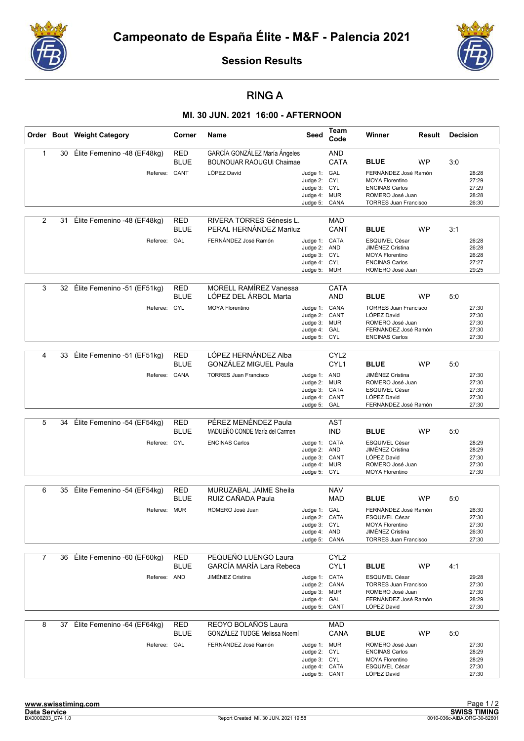



## RING A

|                |    | Order Bout Weight Category  | Corner                    | Name                                                             | Seed                                                                            | Team<br>Code                         | Winner                                                                                                                      | Result    | <b>Decision</b> |                                           |
|----------------|----|-----------------------------|---------------------------|------------------------------------------------------------------|---------------------------------------------------------------------------------|--------------------------------------|-----------------------------------------------------------------------------------------------------------------------------|-----------|-----------------|-------------------------------------------|
| $\mathbf{1}$   | 30 | Élite Femenino -48 (EF48kg) | <b>RED</b><br><b>BLUE</b> | GARCÍA GONZÁLEZ María Ángeles<br><b>BOUNOUAR RAOUGUI Chaimae</b> |                                                                                 | <b>AND</b><br><b>CATA</b>            | <b>BLUE</b>                                                                                                                 | <b>WP</b> | 3:0             |                                           |
|                |    | Referee: CANT               |                           | LÓPEZ David                                                      | Judge 1: GAL<br>Judge 2:<br>Judge 3: CYL<br>Judge 4:<br>Judge 5:                | <b>CYL</b><br><b>MUR</b><br>CANA     | FERNÁNDEZ José Ramón<br><b>MOYA Florentino</b><br><b>ENCINAS Carlos</b><br>ROMERO José Juan<br><b>TORRES Juan Francisco</b> |           |                 | 28:28<br>27:29<br>27:29<br>28:28<br>26:30 |
| $\overline{2}$ | 31 | Élite Femenino -48 (EF48kg) | <b>RED</b><br><b>BLUE</b> | RIVERA TORRES Génesis L.<br>PERAL HERNÁNDEZ Mariluz              |                                                                                 | <b>MAD</b><br>CANT                   | <b>BLUE</b>                                                                                                                 | WP        | 3:1             |                                           |
|                |    | Referee: GAL                |                           | FERNÁNDEZ José Ramón                                             | Judge 1: CATA<br>Judge 2: AND<br>Judge 3: CYL<br>Judge 4: CYL<br>Judge 5: MUR   |                                      | <b>ESQUIVEL César</b><br><b>JIMÉNEZ Cristina</b><br><b>MOYA Florentino</b><br><b>ENCINAS Carlos</b><br>ROMERO José Juan     |           |                 | 26:28<br>26:28<br>26:28<br>27:27<br>29:25 |
|                |    |                             |                           |                                                                  |                                                                                 |                                      |                                                                                                                             |           |                 |                                           |
| 3              | 32 | Élite Femenino -51 (EF51kg) | <b>RED</b><br><b>BLUE</b> | <b>MORELL RAMÍREZ Vanessa</b><br>LÓPEZ DEL ÁRBOL Marta           |                                                                                 | <b>CATA</b><br><b>AND</b>            | <b>BLUE</b>                                                                                                                 | <b>WP</b> | 5:0             |                                           |
|                |    | Referee: CYL                |                           | <b>MOYA Florentino</b>                                           | Judge 1: CANA<br>Judge 2: CANT<br>Judge 3: MUR<br>Judge 4: GAL<br>Judge 5:      | <b>CYL</b>                           | <b>TORRES Juan Francisco</b><br>LÓPEZ David<br>ROMERO José Juan<br>FERNÁNDEZ José Ramón<br><b>ENCINAS Carlos</b>            |           |                 | 27:30<br>27:30<br>27:30<br>27:30<br>27:30 |
|                |    |                             |                           |                                                                  |                                                                                 |                                      |                                                                                                                             |           |                 |                                           |
| 4              | 33 | Élite Femenino -51 (EF51kg) | <b>RED</b><br><b>BLUE</b> | LÓPEZ HERNÁNDEZ Alba<br><b>GONZÁLEZ MIGUEL Paula</b>             |                                                                                 | CYL <sub>2</sub><br>CYL <sub>1</sub> | <b>BLUE</b>                                                                                                                 | <b>WP</b> | 5:0             |                                           |
|                |    | Referee: CANA               |                           | <b>TORRES Juan Francisco</b>                                     | Judge 1: AND<br>Judge 2: MUR<br>Judge 3:<br>Judge 4: CANT<br>Judge 5:           | CATA<br>GAL                          | <b>JIMÉNEZ Cristina</b><br>ROMERO José Juan<br>ESQUIVEL César<br>LÓPEZ David<br>FERNÁNDEZ José Ramón                        |           |                 | 27:30<br>27:30<br>27:30<br>27:30<br>27:30 |
|                |    |                             |                           |                                                                  |                                                                                 |                                      |                                                                                                                             |           |                 |                                           |
| 5              | 34 | Élite Femenino -54 (EF54kg) | <b>RED</b><br><b>BLUE</b> | PÉREZ MENÉNDEZ Paula<br>MADUEÑO CONDE María del Carmen           |                                                                                 | AST<br><b>IND</b>                    | <b>BLUE</b>                                                                                                                 | <b>WP</b> | 5:0             |                                           |
|                |    | Referee: CYL                |                           | <b>ENCINAS Carlos</b>                                            | Judge 1: CATA<br>Judge 2: AND<br>Judge 3: CANT<br>Judge 4: MUR<br>Judge 5: CYL  |                                      | ESQUIVEL César<br><b>JIMÉNEZ Cristina</b><br>LÓPEZ David<br>ROMERO José Juan<br><b>MOYA Florentino</b>                      |           |                 | 28:29<br>28:29<br>27:30<br>27:30<br>27:30 |
| 6              | 35 | Élite Femenino -54 (EF54kg) | <b>RED</b>                | MURUZABAL JAIME Sheila                                           |                                                                                 | <b>NAV</b>                           |                                                                                                                             |           |                 |                                           |
|                |    |                             | <b>BLUE</b>               | RUIZ CAÑADA Paula                                                |                                                                                 | <b>MAD</b>                           | <b>BLUE</b>                                                                                                                 | WP        | 5:0             |                                           |
|                |    | Referee: MUR                |                           | ROMERO José Juan                                                 | Judge 1: GAL<br>Judge 2: CATA<br>Judge 3: CYL<br>Judge 4: AND<br>Judge 5:       | CANA                                 | FERNÁNDEZ José Ramón<br>ESQUIVEL César<br><b>MOYA Florentino</b><br><b>JIMÉNEZ Cristina</b><br><b>TORRES Juan Francisco</b> |           |                 | 26:30<br>27:30<br>27:30<br>26:30<br>27:30 |
| $\overline{7}$ | 36 | Élite Femenino -60 (EF60kg) | RED<br><b>BLUE</b>        | PEQUEÑO LUENGO Laura<br>GARCÍA MARÍA Lara Rebeca                 |                                                                                 | CYL <sub>2</sub><br>CYL1             | <b>BLUE</b>                                                                                                                 | WP        | 4:1             |                                           |
|                |    | Referee: AND                |                           | JIMÉNEZ Cristina                                                 | Judge 1: CATA<br>Judge 2: CANA<br>Judge 3: MUR<br>Judge 4: GAL<br>Judge 5: CANT |                                      | ESQUIVEL César<br><b>TORRES Juan Francisco</b><br>ROMERO José Juan<br>FERNÁNDEZ José Ramón<br>LÓPEZ David                   |           |                 | 29:28<br>27:30<br>27:30<br>28:29<br>27:30 |
| 8              | 37 | Élite Femenino -64 (EF64kg) | <b>RED</b><br><b>BLUE</b> | REOYO BOLAÑOS Laura<br><b>GONZÁLEZ TUDGE Melissa Noemí</b>       |                                                                                 | <b>MAD</b><br>CANA                   | <b>BLUE</b>                                                                                                                 | WP        | 5:0             |                                           |
|                |    | Referee: GAL                |                           | FERNÁNDEZ José Ramón                                             | Judge 1: MUR<br>Judge 2: CYL<br>Judge 3: CYL<br>Judge 4: CATA<br>Judge 5: CANT  |                                      | ROMERO José Juan<br><b>ENCINAS Carlos</b><br><b>MOYA Florentino</b><br>ESQUIVEL César<br>LÓPEZ David                        |           |                 | 27:30<br>28:29<br>28:29<br>27:30<br>27:30 |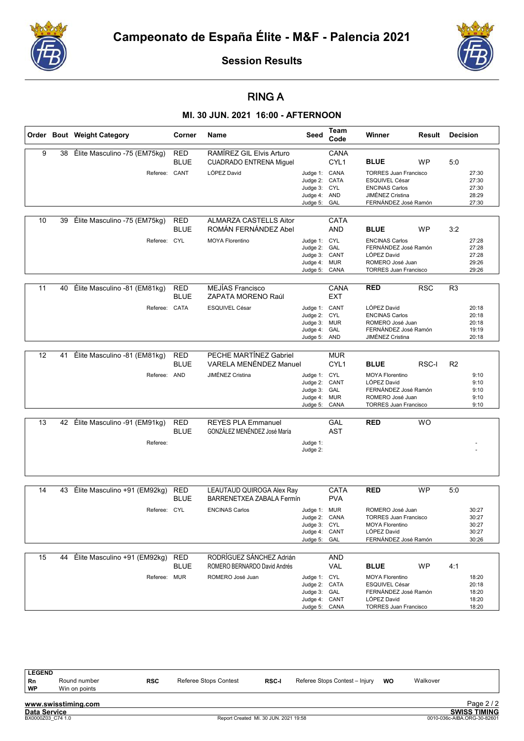



## RING A

#### MI. 30 JUN. 2021 16:00 - AFTERNOON

|    |    | Order Bout Weight Category                    | Corner                    | Name                                                                      | Team<br>Seed<br>Code                                                            |                                | Winner                                                                                                            | Result     | <b>Decision</b> |                                           |
|----|----|-----------------------------------------------|---------------------------|---------------------------------------------------------------------------|---------------------------------------------------------------------------------|--------------------------------|-------------------------------------------------------------------------------------------------------------------|------------|-----------------|-------------------------------------------|
| 9  | 38 | Élite Masculino -75 (EM75kg)<br>Referee: CANT | <b>RED</b><br><b>BLUE</b> | RAMÍREZ GIL Elvis Arturo<br><b>CUADRADO ENTRENA Miguel</b><br>LÓPEZ David | Judge 1: CANA<br>Judge 2: CATA                                                  | CANA<br>CYL <sub>1</sub>       | <b>BLUE</b><br><b>TORRES Juan Francisco</b><br><b>ESQUIVEL César</b>                                              | <b>WP</b>  | 5:0             | 27:30<br>27:30                            |
|    |    |                                               |                           |                                                                           | Judge 3: CYL<br>Judge 4:<br>Judge 5: GAL                                        | AND                            | <b>ENCINAS Carlos</b><br>JIMÉNEZ Cristina<br>FERNÁNDEZ José Ramón                                                 |            |                 | 27:30<br>28:29<br>27:30                   |
| 10 | 39 | Élite Masculino -75 (EM75kg)                  | <b>RED</b><br><b>BLUE</b> | ALMARZA CASTELLS Aitor<br>ROMÁN FERNÁNDEZ Abel                            |                                                                                 | <b>CATA</b><br><b>AND</b>      | <b>BLUE</b>                                                                                                       | <b>WP</b>  | 3:2             |                                           |
|    |    | Referee: CYL                                  |                           | <b>MOYA Florentino</b>                                                    | Judge 1: CYL<br>Judge 2: GAL<br>Judge 3: CANT<br>Judge 4: MUR<br>Judge 5:       | CANA                           | <b>ENCINAS Carlos</b><br>FERNÁNDEZ José Ramón<br>LÓPEZ David<br>ROMERO José Juan<br><b>TORRES Juan Francisco</b>  |            |                 | 27:28<br>27:28<br>27:28<br>29:26<br>29:26 |
| 11 | 40 | Élite Masculino -81 (EM81kg)                  | <b>RED</b><br><b>BLUE</b> | <b>MEJÍAS Francisco</b><br>ZAPATA MORENO Raúl                             |                                                                                 | CANA<br><b>EXT</b>             | <b>RED</b>                                                                                                        | <b>RSC</b> | R <sub>3</sub>  |                                           |
|    |    | Referee: CATA                                 |                           | ESQUIVEL César                                                            | Judge 1: CANT<br>Judge 2: CYL<br>Judge 3: MUR<br>Judge 4: GAL<br>Judge 5: AND   |                                | LÓPEZ David<br><b>ENCINAS Carlos</b><br>ROMERO José Juan<br>FERNÁNDEZ José Ramón<br>JIMÉNEZ Cristina              |            |                 | 20:18<br>20:18<br>20:18<br>19:19<br>20:18 |
| 12 | 41 | Élite Masculino -81 (EM81kg)                  | RED<br><b>BLUE</b>        | PECHE MARTÍNEZ Gabriel<br>VARELA MENÉNDEZ Manuel                          |                                                                                 | <b>MUR</b><br>CYL <sub>1</sub> | <b>BLUE</b>                                                                                                       | RSC-I      | R <sub>2</sub>  |                                           |
|    |    | Referee: AND                                  |                           | <b>JIMÉNEZ Cristina</b>                                                   | Judge 1: CYL<br>Judge 2: CANT<br>Judge 3:<br>Judge 4: MUR<br>Judge 5: CANA      | GAL                            | <b>MOYA Florentino</b><br>LÓPEZ David<br>FERNÁNDEZ José Ramón<br>ROMERO José Juan<br><b>TORRES Juan Francisco</b> |            |                 | 9:10<br>9:10<br>9:10<br>9:10<br>9:10      |
| 13 | 42 | Élite Masculino -91 (EM91kg)                  | <b>RED</b><br><b>BLUE</b> | <b>REYES PLA Emmanuel</b><br>GONZÁLEZ MENÉNDEZ José María                 |                                                                                 | GAL<br><b>AST</b>              | <b>RED</b>                                                                                                        | <b>WO</b>  |                 |                                           |
|    |    | Referee:                                      |                           |                                                                           | Judge 1:<br>Judge 2:                                                            |                                |                                                                                                                   |            |                 |                                           |
| 14 | 43 | Élite Masculino +91 (EM92kg)                  | <b>RED</b><br><b>BLUE</b> | LEAUTAUD QUIROGA Alex Ray<br>BARRENETXEA ZABALA Fermín                    |                                                                                 | <b>CATA</b><br><b>PVA</b>      | <b>RED</b>                                                                                                        | <b>WP</b>  | 5:0             |                                           |
|    |    | Referee: CYL                                  |                           | <b>ENCINAS Carlos</b>                                                     | Judge 1:<br>Judge 2:<br>Judge 3: CYL<br>Judge 4: CANT<br>Judge 5: GAL           | MUR<br>CANA                    | ROMERO José Juan<br><b>TORRES Juan Francisco</b><br><b>MOYA Florentino</b><br>LÓPEZ David<br>FERNÁNDEZ José Ramón |            |                 | 30:27<br>30:27<br>30:27<br>30:27<br>30:26 |
| 15 | 44 | Élite Masculino +91 (EM92kg)                  | <b>RED</b><br><b>BLUE</b> | RODRÍGUEZ SÁNCHEZ Adrián<br>ROMERO BERNARDO David Andrés                  |                                                                                 | AND<br>VAL                     | <b>BLUE</b>                                                                                                       | <b>WP</b>  | 4:1             |                                           |
|    |    | Referee: MUR                                  |                           | ROMERO José Juan                                                          | Judge 1: CYL<br>Judge 2: CATA<br>Judge 3: GAL<br>Judge 4: CANT<br>Judge 5: CANA |                                | <b>MOYA Florentino</b><br>ESQUIVEL César<br>FERNÁNDEZ José Ramón<br>LÓPEZ David<br><b>TORRES Juan Francisco</b>   |            |                 | 18:20<br>20:18<br>18:20<br>18:20<br>18:20 |

www.swisstiming.com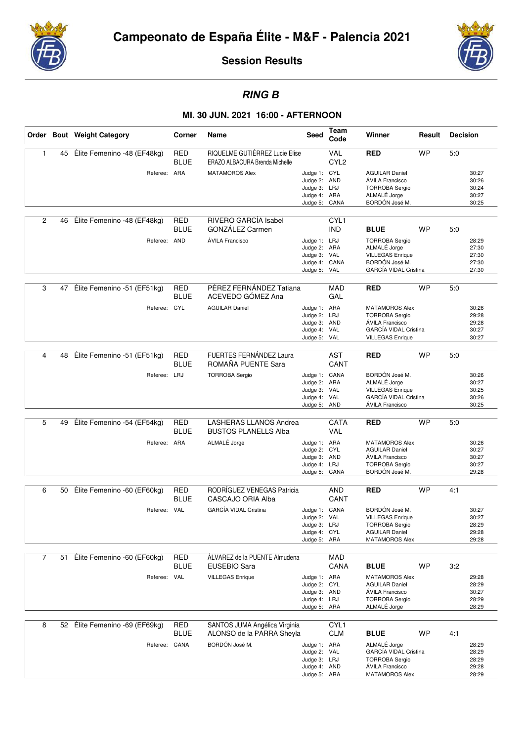



## *RING B*

|                |    | Order Bout Weight Category  | Corner                    | Name                                                             | <b>Seed</b>                                                                   | Team<br>Code                   | Winner                                                                                                                | Result    | <b>Decision</b>                           |
|----------------|----|-----------------------------|---------------------------|------------------------------------------------------------------|-------------------------------------------------------------------------------|--------------------------------|-----------------------------------------------------------------------------------------------------------------------|-----------|-------------------------------------------|
| 1              | 45 | Élite Femenino -48 (EF48kg) | <b>RED</b><br><b>BLUE</b> | RIQUELME GUTIÉRREZ Lucie Elise<br>ERAZO ALBACURA Brenda Michelle |                                                                               | <b>VAL</b><br>CYL <sub>2</sub> | <b>RED</b>                                                                                                            | <b>WP</b> | 5:0                                       |
|                |    | Referee: ARA                |                           | <b>MATAMOROS Alex</b>                                            | Judge 1: CYL<br>Judge 2: AND<br>Judge 3: LRJ<br>Judge 4: ARA<br>Judge 5:      | CANA                           | <b>AGUILAR Daniel</b><br>ÁVILA Francisco<br><b>TORROBA Sergio</b><br>ALMALÉ Jorge<br>BORDÓN José M.                   |           | 30:27<br>30:26<br>30:24<br>30:27<br>30:25 |
| $\overline{2}$ | 46 | Élite Femenino -48 (EF48kg) | <b>RED</b><br><b>BLUE</b> | RIVERO GARCÍA Isabel<br>GONZÁLEZ Carmen                          |                                                                               | CYL <sub>1</sub><br><b>IND</b> | <b>BLUE</b>                                                                                                           | <b>WP</b> | 5:0                                       |
|                |    | Referee: AND                |                           | ÁVILA Francisco                                                  | Judge 1: LRJ<br>Judge 2: ARA<br>Judge 3: VAL<br>Judge 4: CANA<br>Judge 5: VAL |                                | <b>TORROBA Sergio</b><br>ALMALÉ Jorge<br><b>VILLEGAS Enrique</b><br>BORDÓN José M.<br><b>GARCÍA VIDAL Cristina</b>    |           | 28:29<br>27:30<br>27:30<br>27:30<br>27:30 |
| 3              | 47 | Élite Femenino -51 (EF51kg) | <b>RED</b><br><b>BLUE</b> | PÉREZ FERNÁNDEZ Tatiana<br>ACEVEDO GÓMEZ Ana                     |                                                                               | <b>MAD</b><br>GAL              | <b>RED</b>                                                                                                            | <b>WP</b> | 5:0                                       |
|                |    | Referee:                    | CYL                       | <b>AGUILAR Daniel</b>                                            | Judge 1: ARA<br>Judge 2: LRJ<br>Judge 3: AND<br>Judge 4: VAL<br>Judge 5:      | VAL                            | MATAMOROS Alex<br><b>TORROBA Sergio</b><br>ÁVILA Francisco<br><b>GARCÍA VIDAL Cristina</b><br><b>VILLEGAS Enrique</b> |           | 30:26<br>29:28<br>29:28<br>30:27<br>30:27 |
|                |    |                             |                           |                                                                  |                                                                               |                                |                                                                                                                       |           |                                           |
| 4              | 48 | Élite Femenino -51 (EF51kg) | <b>RED</b><br><b>BLUE</b> | <b>FUERTES FERNÁNDEZ Laura</b><br>ROMAÑA PUENTE Sara             |                                                                               | <b>AST</b><br>CANT             | <b>RED</b>                                                                                                            | <b>WP</b> | 5:0                                       |
|                |    | Referee: LRJ                |                           | <b>TORROBA Sergio</b>                                            | Judge 1: CANA<br>Judge 2: ARA<br>Judge 3: VAL<br>Judge 4: VAL<br>Judge 5: AND |                                | BORDÓN José M.<br>ALMALÉ Jorge<br><b>VILLEGAS Enrique</b><br><b>GARCÍA VIDAL Cristina</b><br>ÁVILA Francisco          |           | 30:26<br>30:27<br>30:25<br>30:26<br>30:25 |
|                |    |                             |                           |                                                                  |                                                                               |                                |                                                                                                                       |           |                                           |
| 5              | 49 | Élite Femenino -54 (EF54kg) | <b>RED</b><br><b>BLUE</b> | <b>LASHERAS LLANOS Andrea</b><br><b>BUSTOS PLANELLS Alba</b>     |                                                                               | <b>CATA</b><br><b>VAL</b>      | <b>RED</b>                                                                                                            | <b>WP</b> | 5:0                                       |
|                |    | Referee: ARA                |                           | ALMALÉ Jorge                                                     | Judge 1: ARA<br>Judge 2: CYL<br>Judge 3: AND<br>Judge 4: LRJ<br>Judge 5: CANA |                                | MATAMOROS Alex<br><b>AGUILAR Daniel</b><br>ÁVILA Francisco<br><b>TORROBA Sergio</b><br>BORDÓN José M.                 |           | 30:26<br>30:27<br>30:27<br>30:27<br>29:28 |
| 6              | 50 | Élite Femenino -60 (EF60kg) | <b>RED</b>                | RODRÍGUEZ VENEGAS Patricia                                       |                                                                               | <b>AND</b>                     | <b>RED</b>                                                                                                            | <b>WP</b> | 4:1                                       |
|                |    |                             | <b>BLUE</b>               | CASCAJO ORIA Alba                                                |                                                                               | CANT                           |                                                                                                                       |           |                                           |
|                |    | Referee: VAL                |                           | <b>GARCÍA VIDAL Cristina</b>                                     | Judge 1: CANA<br>Judge 2: VAL<br>Judge 3: LRJ<br>Judge 4: CYL<br>Judge 5: ARA |                                | BORDÓN José M.<br><b>VILLEGAS Enrique</b><br><b>TORROBA Sergio</b><br><b>AGUILAR Daniel</b><br>MATAMOROS Alex         |           | 30:27<br>30:27<br>28:29<br>29:28<br>29:28 |
| $\overline{7}$ | 51 | Élite Femenino -60 (EF60kg) | <b>RED</b>                | ÁLVAREZ de la PUENTE Almudena                                    |                                                                               | <b>MAD</b>                     |                                                                                                                       |           |                                           |
|                |    |                             | <b>BLUE</b>               | <b>EUSEBIO Sara</b>                                              |                                                                               | CANA                           | <b>BLUE</b>                                                                                                           | <b>WP</b> | 3:2                                       |
|                |    | Referee: VAL                |                           | <b>VILLEGAS Enrique</b>                                          | Judge 1: ARA<br>Judge 2: CYL<br>Judge 3: AND<br>Judge 4: LRJ<br>Judge 5: ARA  |                                | <b>MATAMOROS Alex</b><br><b>AGUILAR Daniel</b><br><b>AVILA Francisco</b><br><b>TORROBA Sergio</b><br>ALMALÉ Jorge     |           | 29:28<br>28:29<br>30:27<br>28:29<br>28:29 |
| 8              | 52 | Élite Femenino -69 (EF69kg) | <b>RED</b><br><b>BLUE</b> | SANTOS JUMA Angélica Virginia<br>ALONSO de la PARRA Sheyla       |                                                                               | CYL1<br><b>CLM</b>             | <b>BLUE</b>                                                                                                           | WP        | 4:1                                       |
|                |    | Referee: CANA               |                           | BORDÓN José M.                                                   | Judge 1: ARA<br>Judge 2: VAL<br>Judge 3: LRJ<br>Judge 4: AND<br>Judge 5: ARA  |                                | ALMALÉ Jorge<br><b>GARCÍA VIDAL Cristina</b><br><b>TORROBA Sergio</b><br>ÁVILA Francisco<br>MATAMOROS Alex            |           | 28:29<br>28:29<br>28:29<br>29:28<br>28:29 |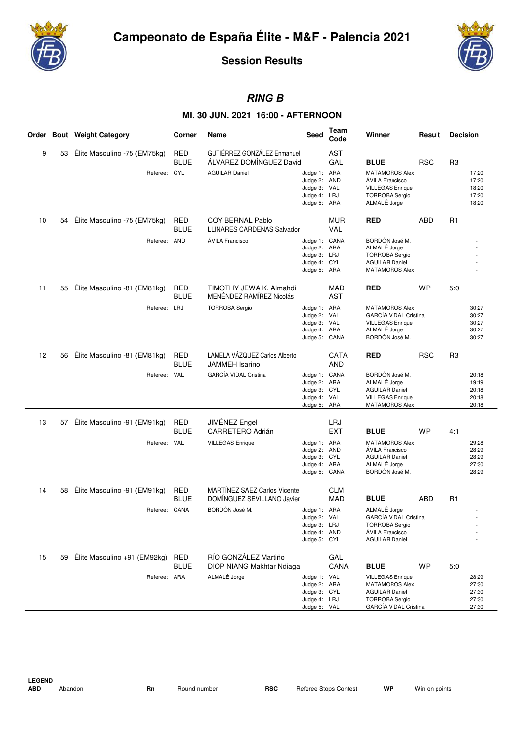



*RING B*

## **MI. 30 JUN. 2021 16:00 - AFTERNOON**

|    |    | Order Bout Weight Category   | Corner                    | <b>Seed</b><br><b>Name</b>                             |                                                                               | Team<br>Code             | Winner                                                                                                                                     | Result     | <b>Decision</b>                                  |  |
|----|----|------------------------------|---------------------------|--------------------------------------------------------|-------------------------------------------------------------------------------|--------------------------|--------------------------------------------------------------------------------------------------------------------------------------------|------------|--------------------------------------------------|--|
| 9  | 53 | Élite Masculino -75 (EM75kg) | <b>RED</b><br><b>BLUE</b> | GUTIÉRREZ GONZÁLEZ Enmanuel<br>ÁLVAREZ DOMÍNGUEZ David |                                                                               | <b>AST</b><br>GAL        | <b>BLUE</b>                                                                                                                                | <b>RSC</b> | R <sub>3</sub>                                   |  |
|    |    | Referee: CYL                 |                           | <b>AGUILAR Daniel</b>                                  | Judge 1: ARA<br>Judge 2: AND<br>Judge 3: VAL<br>Judge 4: LRJ<br>Judge 5: ARA  |                          | MATAMOROS Alex<br>ÁVILA Francisco<br><b>VILLEGAS Enrique</b><br><b>TORROBA Sergio</b><br>ALMALÉ Jorge                                      |            | 17:20<br>17:20<br>18:20<br>17:20<br>18:20        |  |
| 10 | 54 | Élite Masculino -75 (EM75kg) | RED<br><b>BLUE</b>        | COY BERNAL Pablo<br><b>LLINARES CARDENAS Salvador</b>  |                                                                               | <b>MUR</b><br><b>VAL</b> | <b>RED</b>                                                                                                                                 | <b>ABD</b> | R1                                               |  |
|    |    | Referee: AND                 |                           | ÁVILA Francisco                                        | Judge 1: CANA<br>Judge 2: ARA<br>Judge 3: LRJ<br>Judge 4: CYL<br>Judge 5: ARA |                          | BORDÓN José M.<br>ALMALÉ Jorge<br><b>TORROBA Sergio</b><br><b>AGUILAR Daniel</b><br>MATAMOROS Alex                                         |            |                                                  |  |
| 11 | 55 | Élite Masculino -81 (EM81kg) | <b>RED</b><br><b>BLUE</b> | TIMOTHY JEWA K. Almahdi<br>MENÉNDEZ RAMÍREZ Nicolás    |                                                                               | <b>MAD</b><br><b>AST</b> | <b>RED</b>                                                                                                                                 | <b>WP</b>  | 5:0                                              |  |
|    |    | Referee: LRJ                 |                           | <b>TORROBA Sergio</b>                                  | Judge 1: ARA<br>Judge 2: VAL<br>Judge 3: VAL<br>Judge 4: ARA<br>Judge 5: CANA |                          | MATAMOROS Alex<br><b>GARCÍA VIDAL Cristina</b><br><b>VILLEGAS Enrique</b><br>ALMALÉ Jorge<br>BORDÓN José M.                                |            | 30:27<br>30:27<br>30:27<br>30:27<br>30:27        |  |
| 12 | 56 | Élite Masculino -81 (EM81kg) | <b>RED</b><br><b>BLUE</b> | LAMELA VÁZQUEZ Carlos Alberto<br><b>JAMMEH Isarino</b> |                                                                               | <b>CATA</b><br>AND       | <b>RED</b>                                                                                                                                 | <b>RSC</b> | R <sub>3</sub>                                   |  |
|    |    | Referee: VAL                 |                           | <b>GARCÍA VIDAL Cristina</b>                           | Judge 1: CANA<br>Judge 2: ARA<br>Judge 3: CYL<br>Judge 4: VAL<br>Judge 5: ARA |                          | BORDÓN José M.<br>ALMALÉ Jorge<br><b>AGUILAR Daniel</b><br><b>VILLEGAS Enrique</b><br>MATAMOROS Alex                                       |            | 20:18<br>19:19<br>20:18<br>20:18<br>20:18        |  |
| 13 | 57 | Élite Masculino -91 (EM91kg) | <b>RED</b><br><b>BLUE</b> | JIMÉNEZ Engel<br><b>CARRETERO Adrián</b>               |                                                                               | LRJ<br><b>EXT</b>        | <b>BLUE</b>                                                                                                                                | <b>WP</b>  | 4:1                                              |  |
|    |    | Referee: VAL                 |                           | <b>VILLEGAS Enrique</b>                                | Judge 1: ARA<br>Judge 2: AND<br>Judge 3:<br>Judge 4: ARA<br>Judge 5: CANA     | <b>CYL</b>               | <b>MATAMOROS Alex</b><br>ÁVILA Francisco<br><b>AGUILAR Daniel</b><br>ALMALÉ Jorge<br>BORDÓN José M.                                        |            | 29:28<br>28:29<br>28:29<br>27:30<br>28:29        |  |
| 14 | 58 | Élite Masculino -91 (EM91kg) | <b>RED</b>                | <b>MARTINEZ SAEZ Carlos Vicente</b>                    |                                                                               | <b>CLM</b>               |                                                                                                                                            |            |                                                  |  |
|    |    | Referee: CANA                | <b>BLUE</b>               | DOMINGUEZ SEVILLANO Javier<br>BORDÓN José M.           | Judge 1: ARA<br>Judge 2:<br>Judge 3: LRJ<br>Judge 4: AND<br>Judge 5: CYL      | <b>MAD</b><br>VAL        | <b>BLUE</b><br>ALMALÉ Jorge<br><b>GARCÍA VIDAL Cristina</b><br><b>TORROBA Sergio</b><br>ÁVILA Francisco<br><b>AGUILAR Daniel</b>           | <b>ABD</b> | R1                                               |  |
| 15 | 59 | Élite Masculino +91 (EM92kg) | <b>RED</b>                | RÍO GONZÁLEZ Martiño                                   |                                                                               | GAL                      |                                                                                                                                            |            |                                                  |  |
|    |    | Referee: ARA                 | <b>BLUE</b>               | DIOP NIANG Makhtar Ndiaga<br>ALMALÉ Jorge              | Judge 1: VAL<br>Judge 2: ARA<br>Judge 3: CYL<br>Judge 4: LRJ<br>Judge 5: VAL  | CANA                     | <b>BLUE</b><br><b>VILLEGAS Enrique</b><br>MATAMOROS Alex<br><b>AGUILAR Daniel</b><br><b>TORROBA Sergio</b><br><b>GARCÍA VIDAL Cristina</b> | <b>WP</b>  | 5:0<br>28:29<br>27:30<br>27:30<br>27:30<br>27:30 |  |

LEGEND<br>ABD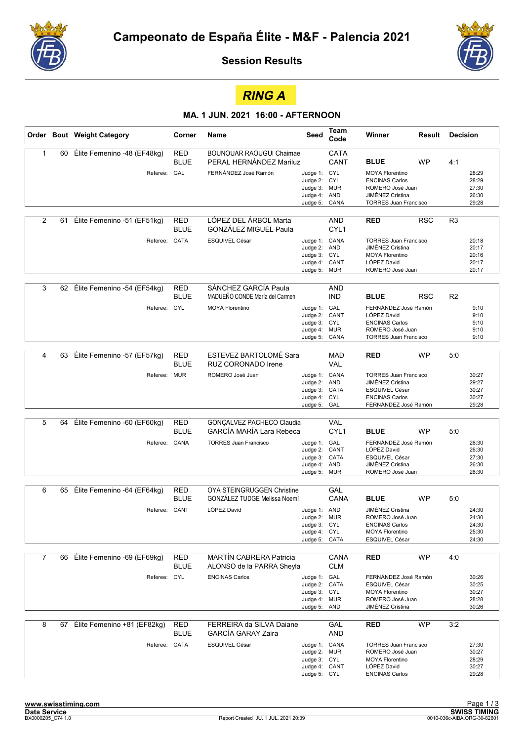



## **RING A**

|                |    | Order Bout Weight Category  | Corner                    | Name                                                        | Seed                                                                           | Team<br>Winner<br>Code         |                                                                                                                                | Result     | <b>Decision</b> |                                           |
|----------------|----|-----------------------------|---------------------------|-------------------------------------------------------------|--------------------------------------------------------------------------------|--------------------------------|--------------------------------------------------------------------------------------------------------------------------------|------------|-----------------|-------------------------------------------|
| $\mathbf{1}$   | 60 | Élite Femenino -48 (EF48kg) | <b>RED</b><br><b>BLUE</b> | <b>BOUNOUAR RAOUGUI Chaimae</b><br>PERAL HERNÁNDEZ Mariluz  |                                                                                | <b>CATA</b><br>CANT            | <b>BLUE</b>                                                                                                                    | <b>WP</b>  | 4:1             |                                           |
|                |    | Referee: GAL                |                           | FERNÁNDEZ José Ramón                                        | Judge 1: CYL<br>Judge 2:<br>Judge 3: MUR<br>Judge 4: AND<br>Judge 5:           | <b>CYL</b><br>CANA             | <b>MOYA Florentino</b><br><b>ENCINAS Carlos</b><br>ROMERO José Juan<br><b>JIMÉNEZ Cristina</b><br><b>TORRES Juan Francisco</b> |            |                 | 28:29<br>28:29<br>27:30<br>26:30<br>29:28 |
| 2              | 61 | Élite Femenino -51 (EF51kg) | <b>RED</b><br><b>BLUE</b> | LÓPEZ DEL ÁRBOL Marta<br><b>GONZÁLEZ MIGUEL Paula</b>       |                                                                                | AND<br>CYL <sub>1</sub>        | <b>RED</b>                                                                                                                     | <b>RSC</b> | R <sub>3</sub>  |                                           |
|                |    | Referee: CATA               |                           | ESQUIVEL César                                              | Judge 1: CANA<br>Judge 2: AND<br>Judge 3: CYL<br>Judge 4: CANT<br>Judge 5: MUR |                                | <b>TORRES Juan Francisco</b><br>JIMÉNEZ Cristina<br><b>MOYA Florentino</b><br>LÓPEZ David<br>ROMERO José Juan                  |            |                 | 20:18<br>20:17<br>20:16<br>20:17<br>20:17 |
| 3              | 62 | Élite Femenino -54 (EF54kg) | <b>RED</b><br><b>BLUE</b> | SÁNCHEZ GARCÍA Paula<br>MADUEÑO CONDE María del Carmen      |                                                                                | <b>AND</b><br><b>IND</b>       | <b>BLUE</b>                                                                                                                    | <b>RSC</b> | R <sub>2</sub>  |                                           |
|                |    | Referee: CYL                |                           | <b>MOYA Florentino</b>                                      | Judge 1: GAL<br>Judge 2:<br>Judge 3: CYL<br>Judge 4: MUR<br>Judge 5:           | CANT<br>CANA                   | FERNÁNDEZ José Ramón<br>LÓPEZ David<br><b>ENCINAS Carlos</b><br>ROMERO José Juan<br><b>TORRES Juan Francisco</b>               |            |                 | 9:10<br>9:10<br>9:10<br>9:10<br>9:10      |
| 4              | 63 | Élite Femenino -57 (EF57kg) | <b>RED</b><br><b>BLUE</b> | ESTEVEZ BARTOLOMÉ Sara<br>RUZ CORONADO Irene                |                                                                                | <b>MAD</b><br><b>VAL</b>       | <b>RED</b>                                                                                                                     | <b>WP</b>  | 5:0             |                                           |
|                |    | Referee: MUR                |                           | ROMERO José Juan                                            | Judge 1: CANA<br>Judge 2: AND<br>Judge 3: CATA<br>Judge 4: CYL<br>Judge 5: GAL |                                | <b>TORRES Juan Francisco</b><br>JIMÉNEZ Cristina<br>ESQUIVEL César<br><b>ENCINAS Carlos</b><br>FERNÁNDEZ José Ramón            |            |                 | 30:27<br>29:27<br>30:27<br>30:27<br>29:28 |
|                |    |                             |                           |                                                             |                                                                                |                                |                                                                                                                                |            |                 |                                           |
| 5              | 64 | Élite Femenino -60 (EF60kg) | <b>RED</b><br><b>BLUE</b> | GONÇALVEZ PACHECO Claudia<br>GARCÍA MARÍA Lara Rebeca       |                                                                                | <b>VAL</b><br>CYL <sub>1</sub> | <b>BLUE</b>                                                                                                                    | <b>WP</b>  | 5:0             |                                           |
|                |    | Referee: CANA               |                           | <b>TORRES Juan Francisco</b>                                | Judge 1: GAL<br>Judge 2:<br>Judge 3: CATA<br>Judge 4: AND<br>Judge 5: MUR      | CANT                           | FERNÁNDEZ José Ramón<br>LÓPEZ David<br>ESQUIVEL César<br><b>JIMÉNEZ Cristina</b><br>ROMERO José Juan                           |            |                 | 26:30<br>26:30<br>27:30<br>26:30<br>26:30 |
| 6              | 65 | Élite Femenino -64 (EF64kg) | <b>RED</b>                | <b>OYA STEINGRUGGEN Christine</b>                           |                                                                                | GAL                            |                                                                                                                                |            |                 |                                           |
|                |    |                             | <b>BLUE</b>               | GONZÁLEZ TUDGE Melissa Noemí                                |                                                                                | CANA                           | <b>BLUE</b>                                                                                                                    | <b>WP</b>  | 5:0             |                                           |
|                |    | Referee: CANT               |                           | LÓPEZ David                                                 | Judge 1: AND<br>Judge 2: MUR<br>Judge 3: CYL<br>Judge 4: CYL<br>Judge 5: CATA  |                                | <b>JIMÉNEZ Cristina</b><br>ROMERO José Juan<br><b>ENCINAS Carlos</b><br><b>MOYA Florentino</b><br>ESQUIVEL César               |            |                 | 24:30<br>24:30<br>24:30<br>25:30<br>24:30 |
| $\overline{7}$ | 66 | Élite Femenino -69 (EF69kg) | <b>RED</b><br><b>BLUE</b> | <b>MARTÍN CABRERA Patricia</b><br>ALONSO de la PARRA Sheyla |                                                                                | CANA<br><b>CLM</b>             | <b>RED</b>                                                                                                                     | <b>WP</b>  | 4:0             |                                           |
|                |    | Referee: CYL                |                           | <b>ENCINAS Carlos</b>                                       | Judge 1: GAL<br>Judge 2: CATA<br>Judge 3: CYL<br>Judge 4: MUR<br>Judge 5: AND  |                                | FERNÁNDEZ José Ramón<br>ESQUIVEL César<br><b>MOYA Florentino</b><br>ROMERO José Juan<br>JIMÉNEZ Cristina                       |            |                 | 30:26<br>30:25<br>30:27<br>28:28<br>30:26 |
| 8              | 67 | Élite Femenino +81 (EF82kg) | <b>RED</b><br><b>BLUE</b> | FERREIRA da SILVA Daiane<br><b>GARCÍA GARAY Zaira</b>       |                                                                                | GAL<br><b>AND</b>              | <b>RED</b>                                                                                                                     | <b>WP</b>  | 3:2             |                                           |
|                |    | Referee: CATA               |                           | ESQUIVEL César                                              | Judge 1: CANA<br>Judge 2: MUR<br>Judge 3: CYL<br>Judge 4: CANT<br>Judge 5: CYL |                                | <b>TORRES Juan Francisco</b><br>ROMERO José Juan<br><b>MOYA Florentino</b><br>LÓPEZ David<br><b>ENCINAS Carlos</b>             |            |                 | 27:30<br>30:27<br>28:29<br>30:27<br>29:28 |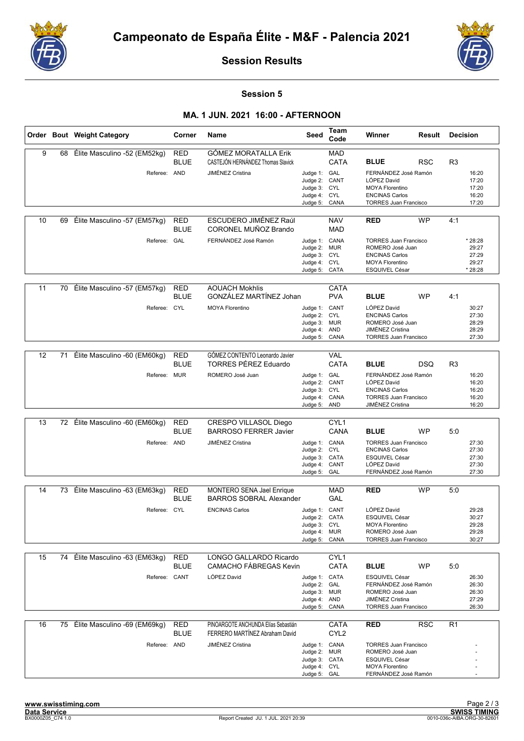



Session 5

|    |    | Order Bout Weight Category      | Corner                    | Name                                                                  | Seed                                                                           | Team<br>Code                    | Winner                                                                                                                                 | Result     | <b>Decision</b> |                                               |
|----|----|---------------------------------|---------------------------|-----------------------------------------------------------------------|--------------------------------------------------------------------------------|---------------------------------|----------------------------------------------------------------------------------------------------------------------------------------|------------|-----------------|-----------------------------------------------|
| 9  | 68 | Élite Masculino -52 (EM52kg)    | <b>RED</b><br><b>BLUE</b> | <b>GÓMEZ MORATALLA Erik</b><br>CASTEJÓN HERNÁNDEZ Thomas Slavick      |                                                                                | <b>MAD</b><br><b>CATA</b>       | <b>BLUE</b>                                                                                                                            | <b>RSC</b> | R <sub>3</sub>  |                                               |
|    |    | Referee: AND                    |                           | JIMÉNEZ Cristina                                                      | Judge 1: GAL<br>Judge 2: CANT<br>Judge 3: CYL<br>Judge 4: CYL<br>Judge 5:      | CANA                            | FERNÁNDEZ José Ramón<br>LÓPEZ David<br><b>MOYA Florentino</b><br><b>ENCINAS Carlos</b><br><b>TORRES Juan Francisco</b>                 |            |                 | 16:20<br>17:20<br>17:20<br>16:20<br>17:20     |
| 10 | 69 | Élite Masculino -57 (EM57kg)    | <b>RED</b><br><b>BLUE</b> | ESCUDERO JIMÉNEZ Raúl<br>CORONEL MUÑOZ Brando                         |                                                                                | <b>NAV</b><br><b>MAD</b>        | <b>RED</b>                                                                                                                             | <b>WP</b>  | 4:1             |                                               |
|    |    | Referee: GAL                    |                           | FERNÁNDEZ José Ramón                                                  | Judge 1: CANA<br>Judge 2: MUR<br>Judge 3: CYL<br>Judge 4: CYL<br>Judge 5: CATA |                                 | <b>TORRES Juan Francisco</b><br>ROMERO José Juan<br><b>ENCINAS Carlos</b><br><b>MOYA Florentino</b><br>ESQUIVEL César                  |            |                 | * 28:28<br>29:27<br>27:29<br>29:27<br>* 28:28 |
| 11 | 70 | Élite Masculino -57 (EM57kg)    | <b>RED</b><br><b>BLUE</b> | <b>AOUACH Mokhlis</b><br>GONZÁLEZ MARTÍNEZ Johan                      |                                                                                | <b>CATA</b><br><b>PVA</b>       | <b>BLUE</b>                                                                                                                            | <b>WP</b>  | 4:1             |                                               |
|    |    | Referee: CYL                    |                           | <b>MOYA Florentino</b>                                                | Judge 1: CANT<br>Judge 2: CYL<br>Judge 3: MUR<br>Judge 4: AND<br>Judge 5:      | CANA                            | LÓPEZ David<br><b>ENCINAS Carlos</b><br>ROMERO José Juan<br><b>JIMÉNEZ Cristina</b><br><b>TORRES Juan Francisco</b>                    |            |                 | 30:27<br>27:30<br>28:29<br>28:29<br>27:30     |
| 12 | 71 | Élite Masculino -60 (EM60kg)    | <b>RED</b>                | GÓMEZ CONTENTO Leonardo Javier                                        |                                                                                | <b>VAL</b>                      |                                                                                                                                        |            |                 |                                               |
|    |    | Referee: MUR                    | <b>BLUE</b>               | <b>TORRES PÉREZ Eduardo</b><br>ROMERO José Juan                       | Judge 1: GAL<br>Judge 2: CANT<br>Judge 3: CYL<br>Judge 4: CANA<br>Judge 5: AND | <b>CATA</b>                     | <b>BLUE</b><br>FERNÁNDEZ José Ramón<br>LÓPEZ David<br><b>ENCINAS Carlos</b><br><b>TORRES Juan Francisco</b><br><b>JIMÉNEZ Cristina</b> | DSQ        | R <sub>3</sub>  | 16:20<br>16:20<br>16:20<br>16:20<br>16:20     |
| 13 | 72 | Élite Masculino -60 (EM60kg)    | <b>RED</b>                | CRESPO VILLASOL Diego                                                 |                                                                                | CYL <sub>1</sub>                |                                                                                                                                        |            |                 |                                               |
|    |    |                                 | <b>BLUE</b>               | <b>BARROSO FERRER Javier</b>                                          |                                                                                | CANA                            | <b>BLUE</b>                                                                                                                            | WP         | 5:0             |                                               |
|    |    | Referee: AND                    |                           | <b>JIMÉNEZ Cristina</b>                                               | Judge 1: CANA<br>Judge 2:<br>Judge 3: CATA<br>Judge 4: CANT<br>Judge 5: GAL    | <b>CYL</b>                      | <b>TORRES Juan Francisco</b><br><b>ENCINAS Carlos</b><br><b>ESQUIVEL César</b><br>LÓPEZ David<br>FERNÁNDEZ José Ramón                  |            |                 | 27:30<br>27:30<br>27:30<br>27:30<br>27:30     |
| 14 | 73 | Élite Masculino -63 (EM63kg)    | <b>RED</b>                | <b>MONTERO SENA Jael Enrique</b>                                      |                                                                                | <b>MAD</b>                      | <b>RED</b>                                                                                                                             | <b>WP</b>  | 5:0             |                                               |
|    |    | Referee: CYL                    | <b>BLUE</b>               | <b>BARROS SOBRAL Alexander</b><br><b>ENCINAS Carlos</b>               | Judge 1: CANT<br>Judge 2: CATA<br>Judge 3: CYL<br>Judge 4: MUR<br>Judge 5:     | GAL<br>CANA                     | LÓPEZ David<br>ESQUIVEL César<br><b>MOYA Florentino</b><br>ROMERO José Juan<br><b>TORRES Juan Francisco</b>                            |            |                 | 29:28<br>30:27<br>29:28<br>29:28<br>30:27     |
| 15 | 74 | Élite Masculino -63 (EM63kg)    | RED<br><b>BLUE</b>        | LONGO GALLARDO Ricardo<br>CAMACHO FÁBREGAS Kevin                      |                                                                                | CYL1<br><b>CATA</b>             | <b>BLUE</b>                                                                                                                            | WP         | 5:0             |                                               |
|    |    | Referee: CANT                   |                           | LÓPEZ David                                                           | Judge 1: CATA<br>Judge 2: GAL<br>Judge 3: MUR<br>Judge 4: AND<br>Judge 5:      | CANA                            | ESQUIVEL César<br>FERNÁNDEZ José Ramón<br>ROMERO José Juan<br><b>JIMÉNEZ Cristina</b><br><b>TORRES Juan Francisco</b>                  |            |                 | 26:30<br>26:30<br>26:30<br>27:29<br>26:30     |
| 16 |    | 75 Élite Masculino -69 (EM69kg) | <b>RED</b><br><b>BLUE</b> | PINOARGOTE ANCHUNDA Elías Sebastián<br>FERRERO MARTÍNEZ Abraham David |                                                                                | <b>CATA</b><br>CYL <sub>2</sub> | <b>RED</b>                                                                                                                             | <b>RSC</b> | R <sub>1</sub>  |                                               |
|    |    | Referee: AND                    |                           | <b>JIMÉNEZ Cristina</b>                                               | Judge 1: CANA<br>Judge 2: MUR<br>Judge 3: CATA<br>Judge 4: CYL<br>Judge 5: GAL |                                 | <b>TORRES Juan Francisco</b><br>ROMERO José Juan<br>ESQUIVEL César<br><b>MOYA Florentino</b><br>FERNÁNDEZ José Ramón                   |            |                 |                                               |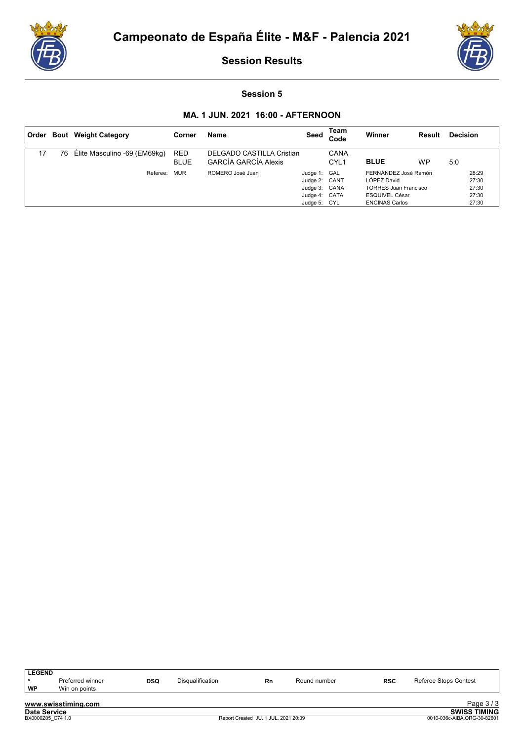



Session 5

|    |    | Order Bout Weight Category   | Corner                    | Name                                                            | Seed                                                                            | Team<br>Code             | Winner                                                                                                                | Result | <b>Decision</b>                           |
|----|----|------------------------------|---------------------------|-----------------------------------------------------------------|---------------------------------------------------------------------------------|--------------------------|-----------------------------------------------------------------------------------------------------------------------|--------|-------------------------------------------|
| 17 | 76 | Élite Masculino -69 (EM69kg) | <b>RED</b><br><b>BLUE</b> | <b>DELGADO CASTILLA Cristian</b><br><b>GARCÍA GARCÍA Alexis</b> |                                                                                 | CANA<br>CYL <sub>1</sub> | <b>BLUE</b>                                                                                                           | WP     | 5:0                                       |
|    |    | Referee:                     | <b>MUR</b>                | ROMERO José Juan                                                | Judge 1: GAL<br>Judge 2: CANT<br>Judge 3: CANA<br>Judge 4: CATA<br>Judge 5: CYL |                          | FERNÁNDEZ José Ramón<br>LÓPEZ David<br><b>TORRES Juan Francisco</b><br><b>ESQUIVEL César</b><br><b>ENCINAS Carlos</b> |        | 28:29<br>27:30<br>27:30<br>27:30<br>27:30 |

| <b>LEGEND</b>       |                     |            |                         |                                      |              |            |                             |
|---------------------|---------------------|------------|-------------------------|--------------------------------------|--------------|------------|-----------------------------|
|                     | Preferred winner    | <b>DSQ</b> | <b>Disqualification</b> | Rn                                   | Round number | <b>RSC</b> | Referee Stops Contest       |
| WP                  | Win on points       |            |                         |                                      |              |            |                             |
|                     |                     |            |                         |                                      |              |            |                             |
|                     | www.swisstiming.com |            |                         |                                      |              |            | Page $3/3$                  |
| <b>Data Service</b> |                     |            |                         |                                      |              |            | <b>SWISS TIMING</b>         |
| BX0000Z05 C74 1.0   |                     |            |                         | Report Created JU. 1 JUL. 2021 20:39 |              |            | 0010-036c-AIBA.ORG-30-82601 |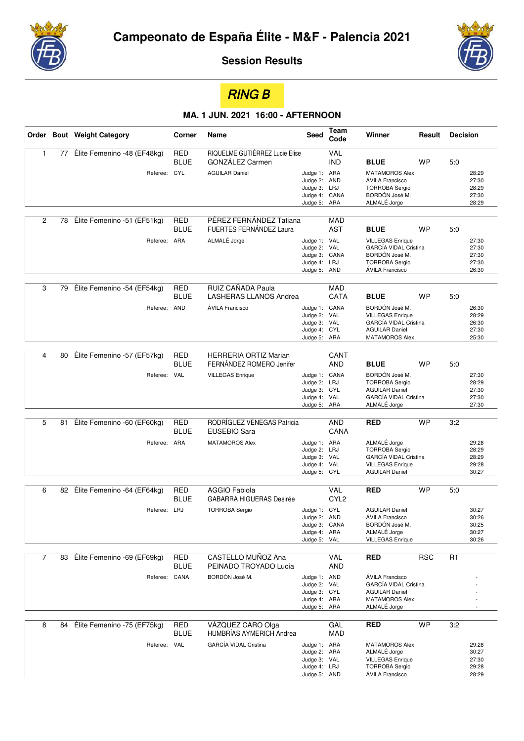



RING B

|                |    | Order Bout Weight Category     | Corner                    | Name                                                      | Seed                                                                          | Team<br>Code              | Winner                                                                                                                       | Result     | <b>Decision</b> |                                           |
|----------------|----|--------------------------------|---------------------------|-----------------------------------------------------------|-------------------------------------------------------------------------------|---------------------------|------------------------------------------------------------------------------------------------------------------------------|------------|-----------------|-------------------------------------------|
| $\mathbf{1}$   | 77 | Élite Femenino -48 (EF48kg)    | <b>RED</b><br><b>BLUE</b> | RIQUELME GUTIÉRREZ Lucie Elise<br>GONZÁLEZ Carmen         |                                                                               | <b>VAL</b><br><b>IND</b>  | <b>BLUE</b>                                                                                                                  | <b>WP</b>  | 5:0             |                                           |
|                |    | Referee: CYL                   |                           | <b>AGUILAR Daniel</b>                                     | Judge 1: ARA<br>Judge 2: AND<br>Judge 3: LRJ<br>Judge 4: CANA<br>Judge 5: ARA |                           | <b>MATAMOROS Alex</b><br>ÁVILA Francisco<br><b>TORROBA Sergio</b><br>BORDÓN José M.<br>ALMALÉ Jorge                          |            |                 | 28:29<br>27:30<br>28:29<br>27:30<br>28:29 |
| 2              | 78 | Élite Femenino -51 (EF51kg)    | RED<br><b>BLUE</b>        | PÉREZ FERNÁNDEZ Tatiana<br><b>FUERTES FERNÁNDEZ Laura</b> |                                                                               | <b>MAD</b><br><b>AST</b>  | <b>BLUE</b>                                                                                                                  | <b>WP</b>  | 5:0             |                                           |
|                |    | Referee: ARA                   |                           | ALMALÉ Jorge                                              | Judge 1: VAL<br>Judge 2: VAL<br>Judge 3: CANA<br>Judge 4: LRJ<br>Judge 5: AND |                           | <b>VILLEGAS Enrique</b><br><b>GARCÍA VIDAL Cristina</b><br>BORDÓN José M.<br><b>TORROBA Sergio</b><br><b>AVILA Francisco</b> |            |                 | 27:30<br>27:30<br>27:30<br>27:30<br>26:30 |
| 3              | 79 | Élite Femenino -54 (EF54kg)    | <b>RED</b><br><b>BLUE</b> | RUIZ CAÑADA Paula<br><b>LASHERAS LLANOS Andrea</b>        |                                                                               | <b>MAD</b><br><b>CATA</b> | <b>BLUE</b>                                                                                                                  | <b>WP</b>  | 5:0             |                                           |
|                |    | Referee: AND                   |                           | ÁVILA Francisco                                           | Judge 1: CANA<br>Judge 2: VAL<br>Judge 3: VAL<br>Judge 4: CYL<br>Judge 5: ARA |                           | BORDÓN José M.<br><b>VILLEGAS Enrique</b><br><b>GARCÍA VIDAL Cristina</b><br><b>AGUILAR Daniel</b><br>MATAMOROS Alex         |            |                 | 26:30<br>28:29<br>26:30<br>27:30<br>25:30 |
| 4              | 80 | Élite Femenino -57 (EF57kg)    | <b>RED</b><br><b>BLUE</b> | <b>HERRERIA ORTIZ Marian</b><br>FERNÁNDEZ ROMERO Jenifer  |                                                                               | CANT<br><b>AND</b>        | <b>BLUE</b>                                                                                                                  | <b>WP</b>  | 5:0             |                                           |
|                |    | Referee: VAL                   |                           | <b>VILLEGAS Enrique</b>                                   | Judge 1: CANA<br>Judge 2: LRJ<br>Judge 3: CYL<br>Judge 4: VAL<br>Judge 5: ARA |                           | BORDÓN José M.<br><b>TORROBA Sergio</b><br><b>AGUILAR Daniel</b><br><b>GARCÍA VIDAL Cristina</b><br>ALMALÉ Jorge             |            |                 | 27:30<br>28:29<br>27:30<br>27:30<br>27:30 |
|                |    |                                |                           |                                                           |                                                                               |                           |                                                                                                                              |            |                 |                                           |
| 5              | 81 | Élite Femenino -60 (EF60kg)    | RED<br><b>BLUE</b>        | RODRÍGUEZ VENEGAS Patricia<br><b>EUSEBIO Sara</b>         |                                                                               | <b>AND</b><br>CANA        | <b>RED</b>                                                                                                                   | <b>WP</b>  | 3:2             |                                           |
|                |    | Referee: ARA                   |                           | MATAMOROS Alex                                            | Judge 1: ARA<br>Judge 2: LRJ<br>Judge 3: VAL<br>Judge 4: VAL<br>Judge 5: CYL  |                           | ALMALÉ Jorge<br><b>TORROBA Sergio</b><br><b>GARCÍA VIDAL Cristina</b><br><b>VILLEGAS Enrique</b><br><b>AGUILAR Daniel</b>    |            |                 | 29:28<br>28:29<br>28:29<br>29:28<br>30:27 |
| 6              |    | 82 Élite Femenino -64 (EF64kg) | <b>RED</b>                | <b>AGGIO Fabiola</b>                                      |                                                                               | <b>VAL</b>                | <b>RED</b>                                                                                                                   | <b>WP</b>  | 5:0             |                                           |
|                |    |                                | <b>BLUE</b>               | GABARRA HIGUERAS Desirée                                  |                                                                               | CYL <sub>2</sub>          |                                                                                                                              |            |                 |                                           |
|                |    | Referee: LRJ                   |                           | <b>TORROBA Sergio</b>                                     | Judge 1: CYL<br>Judge 2: AND<br>Judge 3: CANA<br>Judge 4: ARA<br>Judge 5: VAL |                           | <b>AGUILAR Daniel</b><br>ÁVILA Francisco<br>BORDÓN José M.<br>ALMALÉ Jorge<br><b>VILLEGAS Enrique</b>                        |            |                 | 30:27<br>30:26<br>30:25<br>30:27<br>30:26 |
| $\overline{7}$ | 83 | Élite Femenino -69 (EF69kg)    | <b>RED</b><br><b>BLUE</b> | CASTELLO MUÑOZ Ana<br>PEINADO TROYADO Lucía               |                                                                               | <b>VAL</b><br>AND         | <b>RED</b>                                                                                                                   | <b>RSC</b> | R <sub>1</sub>  |                                           |
|                |    | Referee: CANA                  |                           | BORDÓN José M.                                            | Judge 1: AND<br>Judge 2: VAL<br>Judge 3: CYL<br>Judge 4: ARA<br>Judge 5: ARA  |                           | ÁVILA Francisco<br><b>GARCÍA VIDAL Cristina</b><br><b>AGUILAR Daniel</b><br>MATAMOROS Alex<br>ALMALÉ Jorge                   |            |                 |                                           |
| 8              | 84 | Élite Femenino -75 (EF75kg)    | <b>RED</b><br><b>BLUE</b> | VÁZQUEZ CARO Olga<br><b>HUMBRÍAS AYMERICH Andrea</b>      |                                                                               | GAL<br><b>MAD</b>         | <b>RED</b>                                                                                                                   | <b>WP</b>  | 3:2             |                                           |
|                |    | Referee: VAL                   |                           | <b>GARCÍA VIDAL Cristina</b>                              | Judge 1: ARA<br>Judge 2: ARA<br>Judge 3: VAL<br>Judge 4: LRJ<br>Judge 5: AND  |                           | <b>MATAMOROS Alex</b><br>ALMALÉ Jorge<br><b>VILLEGAS Enrique</b><br><b>TORROBA Sergio</b><br>ÁVILA Francisco                 |            |                 | 29:28<br>30:27<br>27:30<br>29:28<br>28:29 |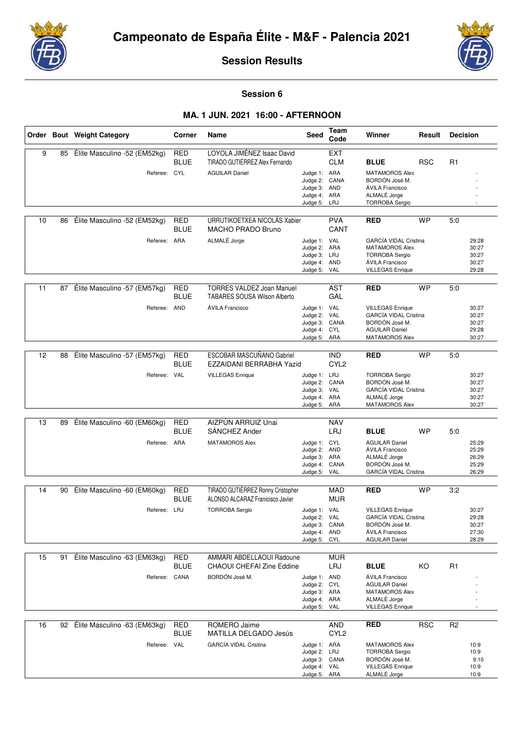



**Session 6**

|    |    | Order Bout Weight Category   | Corner                    | <b>Name</b>                                                             | <b>Seed</b>                                                                   | <b>Team</b><br>Code            | Winner                                                                                                                       | Result     | <b>Decision</b>                           |
|----|----|------------------------------|---------------------------|-------------------------------------------------------------------------|-------------------------------------------------------------------------------|--------------------------------|------------------------------------------------------------------------------------------------------------------------------|------------|-------------------------------------------|
| 9  | 85 | Élite Masculino -52 (EM52kg) | <b>RED</b><br><b>BLUE</b> | LOYOLA JIMÉNEZ Isaac David<br>TIRADO GUTIÉRREZ Alex Fernando            |                                                                               | <b>EXT</b><br><b>CLM</b>       | <b>BLUE</b>                                                                                                                  | <b>RSC</b> | R1                                        |
|    |    | Referee: CYL                 |                           | <b>AGUILAR Daniel</b>                                                   | Judge 1: ARA<br>Judge 2:<br>Judge 3: AND<br>Judge 4: ARA<br>Judge 5: LRJ      | CANA                           | MATAMOROS Alex<br>BORDÓN José M.<br>ÁVILA Francisco<br>ALMALÉ Jorge<br><b>TORROBA Sergio</b>                                 |            |                                           |
| 10 | 86 | Élite Masculino -52 (EM52kg) | <b>RED</b><br><b>BLUE</b> | URRUTIKOETXEA NICOLÁS Xabier<br>MACHO PRADO Bruno                       |                                                                               | <b>PVA</b><br>CANT             | <b>RED</b>                                                                                                                   | <b>WP</b>  | 5:0                                       |
|    |    | Referee: ARA                 |                           | ALMALÉ Jorge                                                            | Judge 1: VAL<br>Judge 2: ARA<br>Judge 3: LRJ<br>Judge 4: AND<br>Judge 5: VAL  |                                | <b>GARCÍA VIDAL Cristina</b><br>MATAMOROS Alex<br><b>TORROBA Sergio</b><br><b>AVILA Francisco</b><br><b>VILLEGAS Enrique</b> |            | 29:28<br>30:27<br>30:27<br>30:27<br>29:28 |
| 11 | 87 | Élite Masculino -57 (EM57kg) | <b>RED</b><br><b>BLUE</b> | <b>TORRES VALDEZ Joan Manuel</b><br><b>TABARES SOUSA Wilson Alberto</b> |                                                                               | <b>AST</b><br>GAL              | <b>RED</b>                                                                                                                   | <b>WP</b>  | 5:0                                       |
|    |    | Referee: AND                 |                           | ÁVILA Francisco                                                         | Judge 1: VAL<br>Judge 2: VAL<br>Judge 3: CANA<br>Judge 4: CYL<br>Judge 5: ARA |                                | <b>VILLEGAS Enrique</b><br>GARCÍA VIDAL Cristina<br>BORDÓN José M.<br><b>AGUILAR Daniel</b><br><b>MATAMOROS Alex</b>         |            | 30:27<br>30:27<br>30:27<br>29:28<br>30:27 |
| 12 | 88 | Élite Masculino -57 (EM57kg) | <b>RED</b>                | ESCOBAR MASCUÑANO Gabriel                                               |                                                                               | <b>IND</b>                     | <b>RED</b>                                                                                                                   | <b>WP</b>  | 5:0                                       |
|    |    | Referee: VAL                 | <b>BLUE</b>               | EZZAIDANI BERRABHA Yazid<br><b>VILLEGAS Enrique</b>                     | Judge 1: LRJ                                                                  | CYL <sub>2</sub>               | <b>TORROBA Sergio</b>                                                                                                        |            | 30:27                                     |
|    |    |                              |                           |                                                                         | Judge 2: CANA<br>Judge 3: VAL<br>Judge 4: ARA<br>Judge 5: ARA                 |                                | BORDÓN José M.<br><b>GARCÍA VIDAL Cristina</b><br>ALMALÉ Jorge<br>MATAMOROS Alex                                             |            | 30:27<br>30:27<br>30:27<br>30:27          |
|    |    |                              |                           |                                                                         |                                                                               |                                |                                                                                                                              |            |                                           |
| 13 | 89 | Élite Masculino -60 (EM60kg) | <b>RED</b><br><b>BLUE</b> | AIZPÚN ARRUIZ Unai<br>SÁNCHEZ Ander                                     |                                                                               | <b>NAV</b><br>LRJ              | <b>BLUE</b>                                                                                                                  | <b>WP</b>  | 5:0                                       |
|    |    | Referee: ARA                 |                           | <b>MATAMOROS Alex</b>                                                   | Judge 1: CYL<br>Judge 2: AND<br>Judge 3:<br>Judge 4: CANA<br>Judge 5: VAL     | ARA                            | <b>AGUILAR Daniel</b><br>ÁVILA Francisco<br>ALMALÉ Jorge<br>BORDÓN José M.<br><b>GARCÍA VIDAL Cristina</b>                   |            | 25:29<br>25:29<br>26:29<br>25:29<br>26:29 |
| 14 | 90 | Élite Masculino -60 (EM60kg) | <b>RED</b>                | TIRADO GUTIÉRREZ Ronny Cristopher                                       |                                                                               | <b>MAD</b>                     | <b>RED</b>                                                                                                                   | <b>WP</b>  | 3:2                                       |
|    |    | Referee: LRJ                 | <b>BLUE</b>               | ALONSO ALCARAZ Franicisco Javier<br><b>TORROBA Sergio</b>               | Judge 1: VAL                                                                  | <b>MUR</b>                     | <b>VILLEGAS Enrique</b>                                                                                                      |            | 30:27                                     |
|    |    |                              |                           |                                                                         | Judge 2: VAL<br>Judge 3: CANA<br>Judge 4: AND<br>Judge 5: CYL                 |                                | <b>GARCÍA VIDAL Cristina</b><br>BORDÓN José M.<br>ÁVILA Francisco<br><b>AGUILAR Daniel</b>                                   |            | 29:28<br>30:27<br>27:30<br>28:29          |
| 15 | 91 | Élite Masculino -63 (EM63kg) | <b>RED</b>                | AMMARI ABDELLAOUI Radoune                                               |                                                                               | <b>MUR</b>                     |                                                                                                                              |            |                                           |
|    |    |                              | <b>BLUE</b>               | <b>CHAOUI CHEFAI Zine Eddine</b>                                        |                                                                               | LRJ                            | <b>BLUE</b>                                                                                                                  | KO         | R1                                        |
|    |    | Referee: CANA                |                           | BORDÓN José M.                                                          | Judge 1: AND<br>Judge 2: CYL<br>Judge 3: ARA<br>Judge 4: ARA<br>Judge 5: VAL  |                                | ÁVILA Francisco<br><b>AGUILAR Daniel</b><br>MATAMOROS Alex<br>ALMALÉ Jorge<br><b>VILLEGAS Enrique</b>                        |            |                                           |
| 16 | 92 | Élite Masculino -63 (EM63kg) | <b>RED</b><br><b>BLUE</b> | ROMERO Jaime<br><b>MATILLA DELGADO Jesús</b>                            |                                                                               | <b>AND</b><br>CYL <sub>2</sub> | <b>RED</b>                                                                                                                   | <b>RSC</b> | R <sub>2</sub>                            |
|    |    | Referee: VAL                 |                           | <b>GARCÍA VIDAL Cristina</b>                                            | Judge 1: ARA<br>Judge 2: LRJ<br>Judge 3: CANA<br>Judge 4: VAL<br>Judge 5: ARA |                                | MATAMOROS Alex<br><b>TORROBA Sergio</b><br>BORDÓN José M.<br><b>VILLEGAS Enrique</b><br>ALMALÉ Jorge                         |            | 10:9<br>10:9<br>9:10<br>10:9<br>10:9      |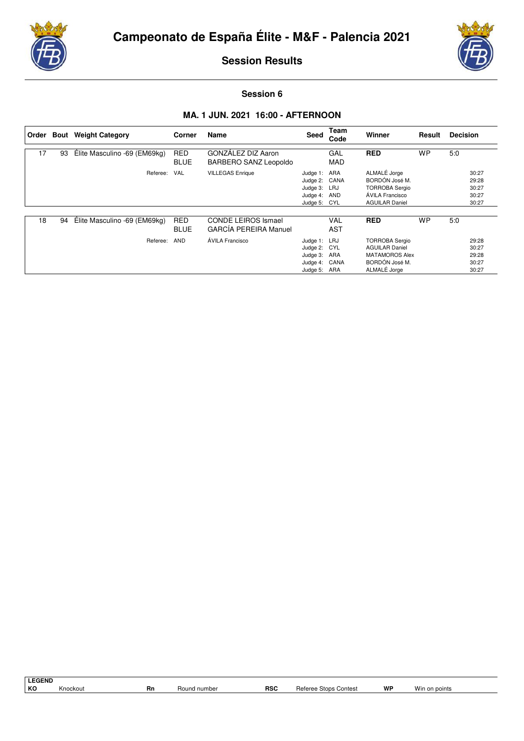



**Session 6**

| l Order | Bout | <b>Weight Category</b>       | Corner                    | <b>Name</b>                                                | Seed                                                                      | Team<br>Code             | Winner                                                                                                    | Result    | <b>Decision</b> |                                           |
|---------|------|------------------------------|---------------------------|------------------------------------------------------------|---------------------------------------------------------------------------|--------------------------|-----------------------------------------------------------------------------------------------------------|-----------|-----------------|-------------------------------------------|
| 17      | 93   | Elite Masculino -69 (EM69kg) | <b>RED</b><br><b>BLUE</b> | GONZÁLEZ DIZ Aaron<br><b>BARBERO SANZ Leopoldo</b>         |                                                                           | GAL<br><b>MAD</b>        | <b>RED</b>                                                                                                | <b>WP</b> | 5:0             |                                           |
|         |      | Referee:                     | <b>VAL</b>                | <b>VILLEGAS Enrique</b>                                    | Judge 1: ARA<br>Judge 2: CANA<br>Judge 3: LRJ<br>Judge 4:<br>Judge 5: CYL | AND                      | ALMALÉ Jorge<br>BORDÓN José M.<br><b>TORROBA Sergio</b><br>ÁVILA Francisco<br><b>AGUILAR Daniel</b>       |           |                 | 30:27<br>29:28<br>30:27<br>30:27<br>30:27 |
| 18      | 94   | Élite Masculino -69 (EM69kg) | <b>RED</b><br><b>BLUE</b> | <b>CONDE LEIROS Ismael</b><br><b>GARCÍA PEREIRA Manuel</b> |                                                                           | <b>VAL</b><br><b>AST</b> | <b>RED</b>                                                                                                | <b>WP</b> | 5:0             |                                           |
|         |      | Referee:                     | <b>AND</b>                | ÁVILA Francisco                                            | Judge 1: LRJ<br>Judge 2: CYL<br>Judge 3:<br>Judge 4: CANA<br>Judge 5: ARA | ARA                      | <b>TORROBA Sergio</b><br><b>AGUILAR Daniel</b><br><b>MATAMOROS Alex</b><br>BORDÓN José M.<br>ALMALÉ Jorge |           |                 | 29:28<br>30:27<br>29:28<br>30:27<br>30:27 |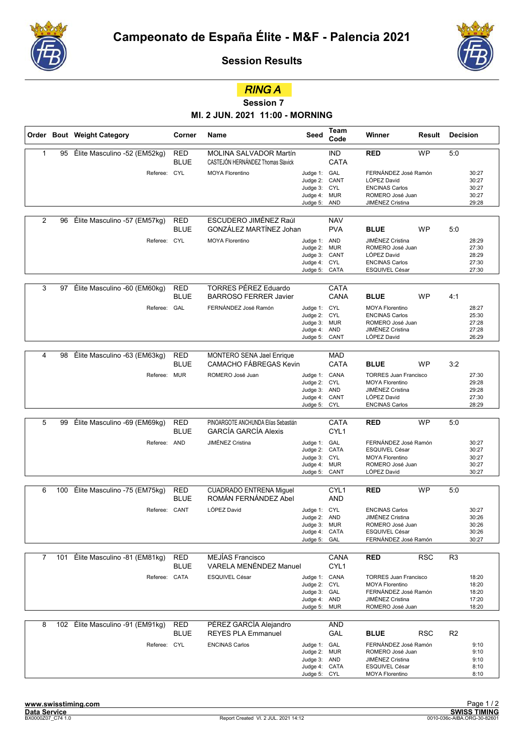



RING A

Session 7

## MI. 2 JUN. 2021 11:00 - MORNING

|                |     | Order Bout Weight Category       | Corner                    | Name                                                               | Seed                                                                          | Team<br>Code                    | Winner                                                                                                                  | Result     | <b>Decision</b> |                                           |
|----------------|-----|----------------------------------|---------------------------|--------------------------------------------------------------------|-------------------------------------------------------------------------------|---------------------------------|-------------------------------------------------------------------------------------------------------------------------|------------|-----------------|-------------------------------------------|
| $\mathbf{1}$   | 95  | Élite Masculino -52 (EM52kg)     | <b>RED</b><br><b>BLUE</b> | MOLINA SALVADOR Martín<br>CASTEJÓN HERNÁNDEZ Thomas Slavick        |                                                                               | <b>IND</b><br><b>CATA</b>       | <b>RED</b>                                                                                                              | <b>WP</b>  | 5:0             |                                           |
|                |     | Referee: CYL                     |                           | <b>MOYA Florentino</b>                                             | Judge 1: GAL<br>Judge 2:<br>Judge 3: CYL<br>Judge 4: MUR<br>Judge 5: AND      | CANT                            | FERNÁNDEZ José Ramón<br>LÓPEZ David<br><b>ENCINAS Carlos</b><br>ROMERO José Juan<br>JIMÉNEZ Cristina                    |            |                 | 30:27<br>30:27<br>30:27<br>30:27<br>29:28 |
| 2              | 96  | Élite Masculino -57 (EM57kg)     | <b>RED</b><br><b>BLUE</b> | ESCUDERO JIMÉNEZ Raúl<br>GONZÁLEZ MARTÍNEZ Johan                   |                                                                               | <b>NAV</b><br><b>PVA</b>        | <b>BLUE</b>                                                                                                             | WP         | 5:0             |                                           |
|                |     | Referee: CYL                     |                           | <b>MOYA Florentino</b>                                             | Judge 1: AND<br>Judge 2:<br>Judge 3: CANT<br>Judge 4:<br>Judge 5: CATA        | <b>MUR</b><br>CYL               | <b>JIMÉNEZ Cristina</b><br>ROMERO José Juan<br>LÓPEZ David<br><b>ENCINAS Carlos</b><br>ESQUIVEL César                   |            |                 | 28:29<br>27:30<br>28:29<br>27:30<br>27:30 |
| 3              | 97  | Élite Masculino -60 (EM60kg)     | <b>RED</b><br><b>BLUE</b> | <b>TORRES PÉREZ Eduardo</b><br><b>BARROSO FERRER Javier</b>        |                                                                               | CATA<br><b>CANA</b>             | <b>BLUE</b>                                                                                                             | WP         | 4:1             |                                           |
|                |     | Referee: GAL                     |                           | FERNÁNDEZ José Ramón                                               | Judge 1: CYL<br>Judge 2: CYL<br>Judge 3: MUR<br>Judge 4: AND<br>Judge 5:      | CANT                            | <b>MOYA Florentino</b><br><b>ENCINAS Carlos</b><br>ROMERO José Juan<br>JIMÉNEZ Cristina<br>LÓPEZ David                  |            |                 | 28:27<br>25:30<br>27:28<br>27:28<br>26:29 |
|                |     |                                  |                           |                                                                    |                                                                               |                                 |                                                                                                                         |            |                 |                                           |
| 4              | 98  | Élite Masculino -63 (EM63kg)     | <b>RED</b><br><b>BLUE</b> | MONTERO SENA Jael Enrique<br><b>CAMACHO FÁBREGAS Kevin</b>         |                                                                               | <b>MAD</b><br><b>CATA</b>       | <b>BLUE</b>                                                                                                             | WP         | 3:2             |                                           |
|                |     | Referee: MUR                     |                           | ROMERO José Juan                                                   | Judge 1: CANA<br>Judge 2: CYL<br>Judge 3: AND<br>Judge 4: CANT<br>Judge 5:    | <b>CYL</b>                      | <b>TORRES Juan Francisco</b><br><b>MOYA Florentino</b><br>JIMÉNEZ Cristina<br>LÓPEZ David<br><b>ENCINAS Carlos</b>      |            |                 | 27:30<br>29:28<br>29:28<br>27:30<br>28:29 |
|                |     |                                  |                           |                                                                    |                                                                               |                                 |                                                                                                                         |            |                 |                                           |
| 5              | 99  | Élite Masculino -69 (EM69kg)     | <b>RED</b><br><b>BLUE</b> | PINOARGOTE ANCHUNDA Elías Sebastián<br><b>GARCÍA GARCÍA Alexis</b> |                                                                               | <b>CATA</b><br>CYL <sub>1</sub> | <b>RED</b>                                                                                                              | <b>WP</b>  | 5:0             |                                           |
|                |     | Referee: AND                     |                           | JIMÉNEZ Cristina                                                   | Judge 1: GAL<br>Judge 2: CATA<br>Judge 3: CYL<br>Judge 4:<br>Judge 5:         | MUR<br>CANT                     | FERNÁNDEZ José Ramón<br>ESQUIVEL César<br><b>MOYA Florentino</b><br>ROMERO José Juan<br>LÓPEZ David                     |            |                 | 30:27<br>30:27<br>30:27<br>30:27<br>30:27 |
| 6              | 100 | Élite Masculino -75 (EM75kg)     | <b>RED</b>                | <b>CUADRADO ENTRENA Miguel</b>                                     |                                                                               | CYL <sub>1</sub>                | <b>RED</b>                                                                                                              | <b>WP</b>  | 5:0             |                                           |
|                |     |                                  | <b>BLUE</b>               | ROMÁN FERNÁNDEZ Abel                                               |                                                                               | AND                             |                                                                                                                         |            |                 |                                           |
|                |     | Referee: CANT                    |                           | LÓPEZ David                                                        | Judge 1: CYL<br>Judge 2: AND<br>Judge 3: MUR<br>Judge 4: CATA<br>Judge 5:     | GAL                             | <b>ENCINAS Carlos</b><br>JIMÉNEZ Cristina<br>ROMERO José Juan<br>ESQUIVEL César<br>FERNÁNDEZ José Ramón                 |            |                 | 30:27<br>30:26<br>30:26<br>30:26<br>30:27 |
| $\overline{7}$ | 101 | Élite Masculino -81 (EM81kg)     | <b>RED</b>                | MEJÍAS Francisco                                                   |                                                                               | CANA                            | <b>RED</b>                                                                                                              | <b>RSC</b> | R <sub>3</sub>  |                                           |
|                |     |                                  | <b>BLUE</b>               | VARELA MENÉNDEZ Manuel                                             |                                                                               | CYL <sub>1</sub>                |                                                                                                                         |            |                 |                                           |
|                |     | Referee: CATA                    |                           | ESQUIVEL César                                                     | Judge 1: CANA<br>Judge 2: CYL<br>Judge 3: GAL<br>Judge 4: AND<br>Judge 5:     | MUR                             | <b>TORRES Juan Francisco</b><br><b>MOYA Florentino</b><br>FERNÁNDEZ José Ramón<br>JIMÉNEZ Cristina<br>ROMERO José Juan  |            |                 | 18:20<br>18:20<br>18:20<br>17:20<br>18:20 |
| 8              |     | 102 Élite Masculino -91 (EM91kg) | <b>RED</b>                | PÉREZ GARCÍA Alejandro                                             |                                                                               | AND                             |                                                                                                                         |            |                 |                                           |
|                |     | Referee: CYL                     | <b>BLUE</b>               | <b>REYES PLA Emmanuel</b><br><b>ENCINAS Carlos</b>                 | Judge 1: GAL<br>Judge 2: MUR<br>Judge 3: AND<br>Judge 4: CATA<br>Judge 5: CYL | GAL                             | <b>BLUE</b><br>FERNÁNDEZ José Ramón<br>ROMERO José Juan<br>JIMÉNEZ Cristina<br>ESQUIVEL César<br><b>MOYA Florentino</b> | <b>RSC</b> | R <sub>2</sub>  | 9:10<br>9:10<br>9:10<br>8:10<br>8:10      |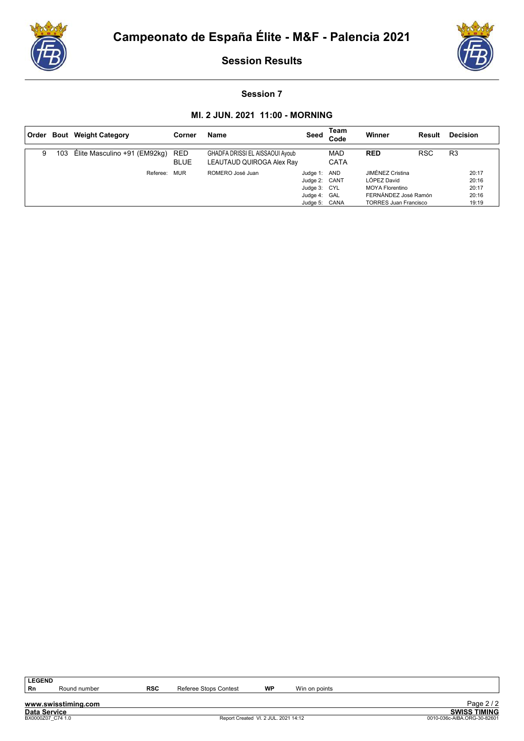



Session 7

## MI. 2 JUN. 2021 11:00 - MORNING

|   |     | Order Bout Weight Category       | Corner      | <b>Name</b>                                                  | Seed                                                                           | Team<br>Code              | Winner                                                                                                            | Result     | <b>Decision</b>                           |
|---|-----|----------------------------------|-------------|--------------------------------------------------------------|--------------------------------------------------------------------------------|---------------------------|-------------------------------------------------------------------------------------------------------------------|------------|-------------------------------------------|
| 9 | 103 | Elite Masculino +91 (EM92kg) RED | <b>BLUE</b> | GHADFA DRISSI EL AISSAOUI Ayoub<br>LEAUTAUD QUIROGA Alex Ray |                                                                                | <b>MAD</b><br><b>CATA</b> | <b>RED</b>                                                                                                        | <b>RSC</b> | R <sub>3</sub>                            |
|   |     | Referee: MUR                     |             | ROMERO José Juan                                             | Judge 1: AND<br>Judge 2: CANT<br>Judge 3: CYL<br>Judge 4: GAL<br>Judge 5: CANA |                           | JIMÉNEZ Cristina<br>LÓPEZ David<br><b>MOYA Florentino</b><br>FERNÁNDEZ José Ramón<br><b>TORRES Juan Francisco</b> |            | 20:17<br>20:16<br>20:17<br>20:16<br>19:19 |

LEGEND

Rn Round number RSC Referee Stops Contest WP Win on points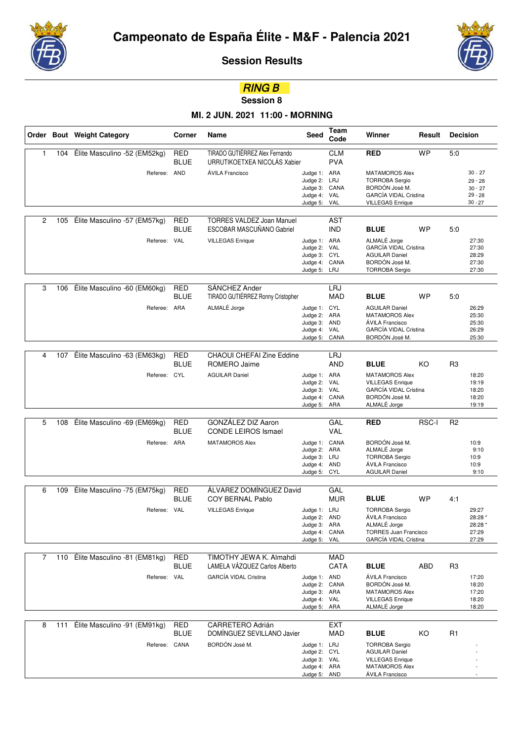



RING B

**Session 8**

## **MI. 2 JUN. 2021 11:00 - MORNING**

|                |     | Order Bout Weight Category   | Corner                    | Name                                                           | <b>Seed</b>                                                                   | Team<br>Code             | Winner                                                                                                                      | Result     | <b>Decision</b> |                                                               |
|----------------|-----|------------------------------|---------------------------|----------------------------------------------------------------|-------------------------------------------------------------------------------|--------------------------|-----------------------------------------------------------------------------------------------------------------------------|------------|-----------------|---------------------------------------------------------------|
| $\mathbf{1}$   | 104 | Élite Masculino -52 (EM52kg) | <b>RED</b><br><b>BLUE</b> | TIRADO GUTIÉRREZ Alex Fernando<br>URRUTIKOETXEA NICOLÁS Xabier |                                                                               | <b>CLM</b><br><b>PVA</b> | <b>RED</b>                                                                                                                  | <b>WP</b>  | 5:0             |                                                               |
|                |     | Referee: AND                 |                           | ÁVILA Francisco                                                | Judge 1: ARA<br>Judge 2: LRJ<br>Judge 3: CANA<br>Judge 4: VAL<br>Judge 5: VAL |                          | <b>MATAMOROS Alex</b><br><b>TORROBA Sergio</b><br>BORDÓN José M.<br><b>GARCÍA VIDAL Cristina</b><br><b>VILLEGAS Enrique</b> |            |                 | $30 - 27$<br>$29 - 28$<br>$30 - 27$<br>$29 - 28$<br>$30 - 27$ |
| $\overline{c}$ | 105 | Élite Masculino -57 (EM57kg) | <b>RED</b><br><b>BLUE</b> | <b>TORRES VALDEZ Joan Manuel</b><br>ESCOBAR MASCUÑANO Gabriel  |                                                                               | <b>AST</b><br><b>IND</b> | <b>BLUE</b>                                                                                                                 | WP         | 5:0             |                                                               |
|                |     | Referee: VAL                 |                           | <b>VILLEGAS Enrique</b>                                        | Judge 1: ARA<br>Judge 2: VAL<br>Judge 3: CYL<br>Judge 4: CANA<br>Judge 5: LRJ |                          | ALMALÉ Jorge<br><b>GARCÍA VIDAL Cristina</b><br><b>AGUILAR Daniel</b><br>BORDÓN José M.<br><b>TORROBA Sergio</b>            |            |                 | 27:30<br>27:30<br>28:29<br>27:30<br>27:30                     |
| 3              | 106 | Élite Masculino -60 (EM60kg) | <b>RED</b><br><b>BLUE</b> | SÁNCHEZ Ander<br>TIRADO GUTIÉRREZ Ronny Cristopher             |                                                                               | LRJ<br><b>MAD</b>        | <b>BLUE</b>                                                                                                                 | <b>WP</b>  | 5:0             |                                                               |
|                |     | Referee: ARA                 |                           | ALMALÉ Jorge                                                   | Judge 1: CYL<br>Judge 2: ARA<br>Judge 3: AND<br>Judge 4: VAL<br>Judge 5:      | CANA                     | <b>AGUILAR Daniel</b><br><b>MATAMOROS Alex</b><br>ÁVILA Francisco<br><b>GARCÍA VIDAL Cristina</b><br>BORDÓN José M.         |            |                 | 26:29<br>25:30<br>25:30<br>26:29<br>25:30                     |
| 4              | 107 | Élite Masculino -63 (EM63kg) | <b>RED</b><br><b>BLUE</b> | <b>CHAOUI CHEFAI Zine Eddine</b><br>ROMERO Jaime               |                                                                               | LRJ<br><b>AND</b>        | <b>BLUE</b>                                                                                                                 | KO         | R <sub>3</sub>  |                                                               |
|                |     | Referee: CYL                 |                           | <b>AGUILAR Daniel</b>                                          | Judge 1: ARA<br>Judge 2: VAL<br>Judge 3: VAL<br>Judge 4: CANA<br>Judge 5: ARA |                          | MATAMOROS Alex<br><b>VILLEGAS Enrique</b><br><b>GARCÍA VIDAL Cristina</b><br>BORDÓN José M.<br>ALMALÉ Jorge                 |            |                 | 18:20<br>19:19<br>18:20<br>18:20<br>19:19                     |
| 5              | 108 | Élite Masculino -69 (EM69kg) | <b>RED</b>                | GONZÁLEZ DIZ Aaron                                             |                                                                               | GAL                      | <b>RED</b>                                                                                                                  | RSC-I      | R <sub>2</sub>  |                                                               |
|                |     |                              | <b>BLUE</b>               | <b>CONDE LEIROS Ismael</b>                                     |                                                                               | <b>VAL</b>               |                                                                                                                             |            |                 |                                                               |
|                |     | Referee: ARA                 |                           | MATAMOROS Alex                                                 | Judge 1: CANA<br>Judge 2: ARA<br>Judge 3: LRJ<br>Judge 4: AND<br>Judge 5:     | <b>CYL</b>               | BORDÓN José M.<br>ALMALÉ Jorge<br><b>TORROBA Sergio</b><br>ÁVILA Francisco<br><b>AGUILAR Daniel</b>                         |            |                 | 10:9<br>9:10<br>10:9<br>10:9<br>9:10                          |
| 6              | 109 | Élite Masculino -75 (EM75kg) | RED                       | ÁLVAREZ DOMÍNGUEZ David                                        |                                                                               | GAL                      |                                                                                                                             |            |                 |                                                               |
|                |     |                              | <b>BLUE</b>               | <b>COY BERNAL Pablo</b>                                        |                                                                               | <b>MUR</b>               | <b>BLUE</b>                                                                                                                 | <b>WP</b>  | 4:1             |                                                               |
|                |     | Referee: VAL                 |                           | <b>VILLEGAS Enrique</b>                                        | Judge 1: LRJ<br>Judge 2:<br>Judge 3: ARA<br>Judge 4: CANA<br>Judge 5: VAL     | AND                      | <b>TORROBA Sergio</b><br><b>AVILA Francisco</b><br>ALMALÉ Jorge<br><b>TORRES Juan Francisco</b><br>GARCÍA VIDAL Cristina    |            |                 | 29:27<br>28:28 *<br>28:28 *<br>27:29<br>27:29                 |
| 7              | 110 | Élite Masculino -81 (EM81kg) | <b>RED</b>                | TIMOTHY JEWA K. Almahdi                                        |                                                                               | MAD                      |                                                                                                                             |            |                 |                                                               |
|                |     | Referee: VAL                 | <b>BLUE</b>               | LAMELA VÁZQUEZ Carlos Alberto<br><b>GARCÍA VIDAL Cristina</b>  | Judge 1: AND                                                                  | CATA                     | <b>BLUE</b><br>ÁVILA Francisco                                                                                              | <b>ABD</b> | R <sub>3</sub>  | 17:20                                                         |
|                |     |                              |                           |                                                                | Judge 2: CANA<br>Judge 3: ARA<br>Judge 4: VAL<br>Judge 5: ARA                 |                          | BORDÓN José M.<br><b>MATAMOROS Alex</b><br><b>VILLEGAS Enrique</b><br>ALMALÉ Jorge                                          |            |                 | 18:20<br>17:20<br>18:20<br>18:20                              |
| 8              | 111 | Élite Masculino -91 (EM91kg) | <b>RED</b><br><b>BLUE</b> | <b>CARRETERO Adrián</b><br>DOMÍNGUEZ SEVILLANO Javier          |                                                                               | <b>EXT</b><br>MAD        | <b>BLUE</b>                                                                                                                 | KO         | R <sub>1</sub>  |                                                               |
|                |     | Referee: CANA                |                           | BORDÓN José M.                                                 | Judge 1: LRJ<br>Judge 2: CYL<br>Judge 3: VAL<br>Judge 4: ARA<br>Judge 5: AND  |                          | <b>TORROBA Sergio</b><br><b>AGUILAR Daniel</b><br><b>VILLEGAS Enrique</b><br>MATAMOROS Alex<br><b>AVILA Francisco</b>       |            |                 |                                                               |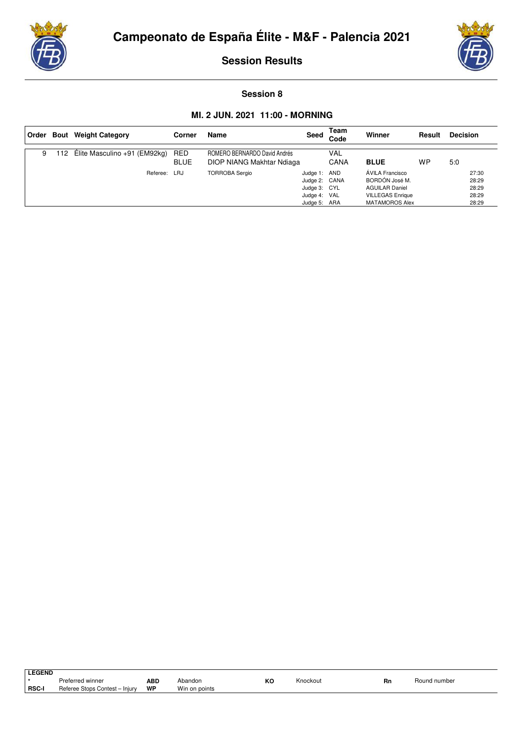



#### **Session 8**

#### **MI. 2 JUN. 2021 11:00 - MORNING**

|   |     | Order Bout Weight Category   | Corner                    | Name                                                      | Seed                                                                          | Team<br>Code       | Winner                                                                                                         | Result | <b>Decision</b>                           |
|---|-----|------------------------------|---------------------------|-----------------------------------------------------------|-------------------------------------------------------------------------------|--------------------|----------------------------------------------------------------------------------------------------------------|--------|-------------------------------------------|
| 9 | 112 | Elite Masculino +91 (EM92kg) | <b>RED</b><br><b>BLUE</b> | ROMERO BERNARDO David Andrés<br>DIOP NIANG Makhtar Ndiaga |                                                                               | <b>VAL</b><br>CANA | <b>BLUE</b>                                                                                                    | WP     | 5:0                                       |
|   |     | Referee: LRJ                 |                           | <b>TORROBA Sergio</b>                                     | Judge 1: AND<br>Judge 2: CANA<br>Judge 3: CYL<br>Judge 4: VAL<br>Judge 5: ARA |                    | ÁVILA Francisco<br>BORDÓN José M.<br><b>AGUILAR Daniel</b><br><b>VILLEGAS Enrique</b><br><b>MATAMOROS Alex</b> |        | 27:30<br>28:29<br>28:29<br>28:29<br>28:29 |

|              | <b>LEGEND</b> |                                  |            |               |    |          |    |              |
|--------------|---------------|----------------------------------|------------|---------------|----|----------|----|--------------|
|              |               | Preferred winner                 | <b>ABD</b> | Abandon       | ĸо | Knockout | Rn | Round number |
| <b>RSC-I</b> |               | Referee Stops Contest-<br>Iniury | WP         | Win on points |    |          |    |              |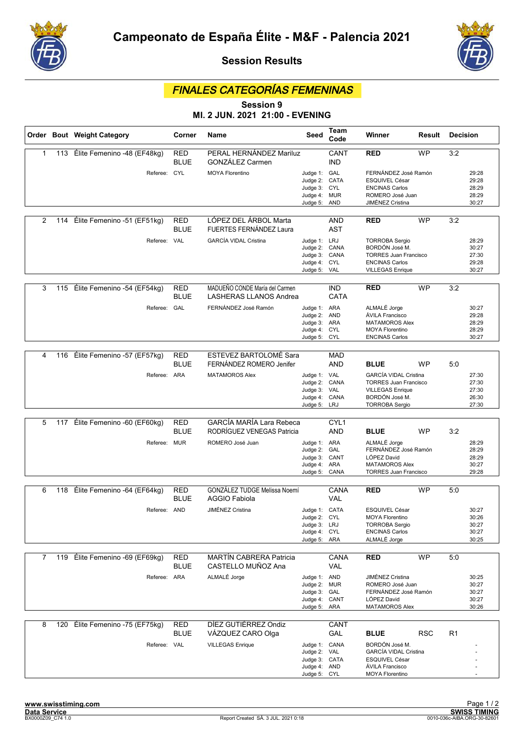



## FINALES CATEGORÍAS FEMENINAS

Session 9

## MI. 2 JUN. 2021 21:00 - EVENING

|                |     | Order Bout Weight Category      | Corner                    | Name                                                            | Seed                           | Team<br>Code                   | Winner                                                       | Result     | <b>Decision</b> |                |
|----------------|-----|---------------------------------|---------------------------|-----------------------------------------------------------------|--------------------------------|--------------------------------|--------------------------------------------------------------|------------|-----------------|----------------|
| $\mathbf{1}$   | 113 | Élite Femenino -48 (EF48kg)     | <b>RED</b><br><b>BLUE</b> | PERAL HERNÁNDEZ Mariluz<br><b>GONZÁLEZ Carmen</b>               |                                | CANT<br><b>IND</b>             | <b>RED</b>                                                   | <b>WP</b>  | 3:2             |                |
|                |     | Referee: CYL                    |                           | <b>MOYA Florentino</b>                                          | Judge 1: GAL                   |                                | FERNÁNDEZ José Ramón                                         |            |                 | 29:28          |
|                |     |                                 |                           |                                                                 | Judge 2: CATA<br>Judge 3: CYL  |                                | <b>ESQUIVEL César</b><br><b>ENCINAS Carlos</b>               |            |                 | 29:28<br>28:29 |
|                |     |                                 |                           |                                                                 | Judge 4: MUR                   |                                | ROMERO José Juan<br><b>JIMÉNEZ Cristina</b>                  |            |                 | 28:29          |
|                |     |                                 |                           |                                                                 | Judge 5: AND                   |                                |                                                              |            |                 | 30:27          |
| 2              | 114 | Élite Femenino -51 (EF51kg)     | <b>RED</b><br><b>BLUE</b> | LÓPEZ DEL ÁRBOL Marta<br><b>FUERTES FERNÁNDEZ Laura</b>         |                                | <b>AND</b><br><b>AST</b>       | <b>RED</b>                                                   | <b>WP</b>  | 3:2             |                |
|                |     | Referee: VAL                    |                           | <b>GARCÍA VIDAL Cristina</b>                                    | Judge 1: LRJ                   |                                | <b>TORROBA Sergio</b>                                        |            |                 | 28:29          |
|                |     |                                 |                           |                                                                 | Judge 2: CANA<br>Judge 3: CANA |                                | BORDÓN José M.<br><b>TORRES Juan Francisco</b>               |            |                 | 30:27<br>27:30 |
|                |     |                                 |                           |                                                                 | Judge 4: CYL                   |                                | <b>ENCINAS Carlos</b>                                        |            |                 | 29:28          |
|                |     |                                 |                           |                                                                 | Judge 5: VAL                   |                                | <b>VILLEGAS Enrique</b>                                      |            |                 | 30:27          |
| 3              | 115 | Élite Femenino -54 (EF54kg)     | <b>RED</b><br><b>BLUE</b> | MADUEÑO CONDE María del Carmen<br><b>LASHERAS LLANOS Andrea</b> |                                | <b>IND</b><br><b>CATA</b>      | <b>RED</b>                                                   | <b>WP</b>  | 3:2             |                |
|                |     | Referee:                        | GAL                       | FERNÁNDEZ José Ramón                                            | Judge 1: ARA                   |                                | ALMALÉ Jorge                                                 |            |                 | 30:27          |
|                |     |                                 |                           |                                                                 | Judge 2: AND<br>Judge 3: ARA   |                                | ÁVILA Francisco<br><b>MATAMOROS Alex</b>                     |            |                 | 29:28<br>28:29 |
|                |     |                                 |                           |                                                                 | Judge 4: CYL                   |                                | <b>MOYA Florentino</b>                                       |            |                 | 28:29          |
|                |     |                                 |                           |                                                                 | Judge 5:                       | CYL                            | <b>ENCINAS Carlos</b>                                        |            |                 | 30:27          |
| 4              |     | 116 Élite Femenino -57 (EF57kg) | <b>RED</b>                | ESTEVEZ BARTOLOMÉ Sara                                          |                                | <b>MAD</b>                     |                                                              |            |                 |                |
|                |     |                                 | <b>BLUE</b>               | FERNÁNDEZ ROMERO Jenifer                                        |                                | <b>AND</b>                     | <b>BLUE</b>                                                  | <b>WP</b>  | 5:0             |                |
|                |     | Referee: ARA                    |                           | <b>MATAMOROS Alex</b>                                           | Judge 1: VAL<br>Judge 2: CANA  |                                | <b>GARCÍA VIDAL Cristina</b><br><b>TORRES Juan Francisco</b> |            |                 | 27:30<br>27:30 |
|                |     |                                 |                           |                                                                 | Judge 3: VAL                   |                                | <b>VILLEGAS Enrique</b>                                      |            |                 | 27:30          |
|                |     |                                 |                           |                                                                 | Judge 4: CANA<br>Judge 5: LRJ  |                                | BORDÓN José M.<br><b>TORROBA Sergio</b>                      |            |                 | 26:30<br>27:30 |
|                |     |                                 |                           |                                                                 |                                |                                |                                                              |            |                 |                |
| 5              | 117 | Élite Femenino -60 (EF60kg)     | <b>RED</b><br><b>BLUE</b> | GARCÍA MARÍA Lara Rebeca<br>RODRÍGUEZ VENEGAS Patricia          |                                | CYL <sub>1</sub><br><b>AND</b> | <b>BLUE</b>                                                  | <b>WP</b>  | 3:2             |                |
|                |     | Referee: MUR                    |                           | ROMERO José Juan                                                | Judge 1: ARA                   |                                | ALMALÉ Jorge                                                 |            |                 | 28:29          |
|                |     |                                 |                           |                                                                 | Judge 2:<br>Judge 3: CANT      | GAL                            | FERNÁNDEZ José Ramón<br>LÓPEZ David                          |            |                 | 28:29<br>28:29 |
|                |     |                                 |                           |                                                                 | Judge 4: ARA                   |                                | <b>MATAMOROS Alex</b>                                        |            |                 | 30:27          |
|                |     |                                 |                           |                                                                 | Judge 5: CANA                  |                                | <b>TORRES Juan Francisco</b>                                 |            |                 | 29:28          |
| 6              | 118 | Élite Femenino -64 (EF64kg)     | <b>RED</b>                | GONZÁLEZ TUDGE Melissa Noemí                                    |                                | CANA                           | <b>RED</b>                                                   | <b>WP</b>  | 5:0             |                |
|                |     |                                 | <b>BLUE</b>               | <b>AGGIO Fabiola</b>                                            |                                | <b>VAL</b>                     |                                                              |            |                 |                |
|                |     | Referee: AND                    |                           | <b>JIMÉNEZ Cristina</b>                                         | Judge 1: CATA                  |                                | <b>ESQUIVEL César</b><br><b>MOYA Florentino</b>              |            |                 | 30:27<br>30:26 |
|                |     |                                 |                           |                                                                 | Judge 2: CYL<br>Judge 3: LRJ   |                                | <b>TORROBA Sergio</b>                                        |            |                 | 30:27          |
|                |     |                                 |                           |                                                                 | Judge 4: CYL<br>Judge 5: ARA   |                                | <b>ENCINAS Carlos</b><br>ALMALÉ Jorge                        |            |                 | 30:27<br>30:25 |
|                |     |                                 |                           |                                                                 |                                |                                |                                                              |            |                 |                |
| $\overline{7}$ | 119 | Élite Femenino -69 (EF69kg)     | <b>RED</b><br><b>BLUE</b> | <b>MARTÍN CABRERA Patricia</b><br>CASTELLO MUÑOZ Ana            |                                | CANA<br>VAL                    | <b>RED</b>                                                   | <b>WP</b>  | 5:0             |                |
|                |     | Referee: ARA                    |                           | ALMALÉ Jorge                                                    | Judge 1: AND                   |                                | <b>JIMÉNEZ Cristina</b>                                      |            |                 | 30:25          |
|                |     |                                 |                           |                                                                 | Judge 2: MUR<br>Judge 3: GAL   |                                | ROMERO José Juan<br>FERNÁNDEZ José Ramón                     |            |                 | 30:27<br>30:27 |
|                |     |                                 |                           |                                                                 | Judge 4: CANT                  |                                | LÓPEZ David                                                  |            |                 | 30:27          |
|                |     |                                 |                           |                                                                 | Judge 5: ARA                   |                                | MATAMOROS Alex                                               |            |                 | 30:26          |
| 8              | 120 | Élite Femenino -75 (EF75kg)     | <b>RED</b><br><b>BLUE</b> | DÍEZ GUTIÉRREZ Ondiz<br>VÁZQUEZ CARO Olga                       |                                | CANT<br>GAL                    | <b>BLUE</b>                                                  | <b>RSC</b> | R <sub>1</sub>  |                |
|                |     | Referee: VAL                    |                           | <b>VILLEGAS Enrique</b>                                         | Judge 1: CANA                  |                                | BORDÓN José M.                                               |            |                 |                |
|                |     |                                 |                           |                                                                 | Judge 2: VAL                   |                                | <b>GARCÍA VIDAL Cristina</b>                                 |            |                 |                |
|                |     |                                 |                           |                                                                 | Judge 3: CATA<br>Judge 4: AND  |                                | <b>ESQUIVEL César</b><br>ÁVILA Francisco                     |            |                 |                |
|                |     |                                 |                           |                                                                 | Judge 5: CYL                   |                                | <b>MOYA Florentino</b>                                       |            |                 |                |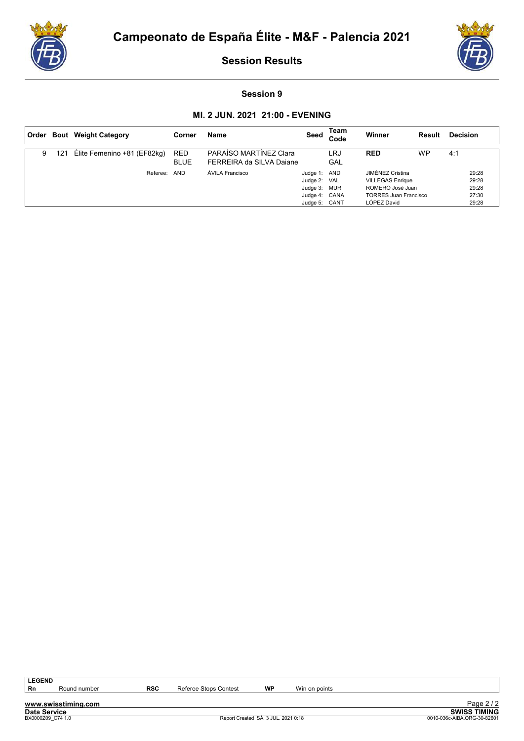



#### Session 9

#### MI. 2 JUN. 2021 21:00 - EVENING

|   |     | <b>Order Bout Weight Category</b> | Corner                    | <b>Name</b>                                        | Seed                                                                           | Team<br>Code | Winner                                                                                                         | Result    | <b>Decision</b>                           |
|---|-----|-----------------------------------|---------------------------|----------------------------------------------------|--------------------------------------------------------------------------------|--------------|----------------------------------------------------------------------------------------------------------------|-----------|-------------------------------------------|
| 9 | 121 | Élite Femenino +81 (EF82kg)       | <b>RED</b><br><b>BLUE</b> | PARAÍSO MARTÍNEZ Clara<br>FERREIRA da SILVA Daiane |                                                                                | LRJ<br>GAL   | <b>RED</b>                                                                                                     | <b>WP</b> | 4:1                                       |
|   |     | Referee:                          | AND                       | ÁVILA Francisco                                    | Judge 1: AND<br>Judge 2: VAL<br>Judge 3: MUR<br>Judge 4: CANA<br>Judge 5: CANT |              | JIMÉNEZ Cristina<br><b>VILLEGAS Enrique</b><br>ROMERO José Juan<br><b>TORRES Juan Francisco</b><br>LÓPEZ David |           | 29:28<br>29:28<br>29:28<br>27:30<br>29:28 |

LEGEND<br>Rn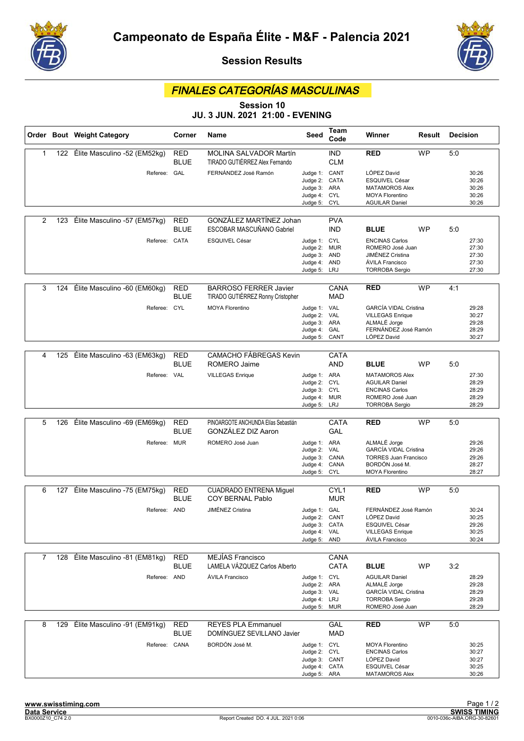



## FINALES CATEGORÍAS MASCULINAS

Session 10

## JU. 3 JUN. 2021 21:00 - EVENING

|                |     | Order Bout Weight Category       | Corner                    | Name                                                              | Seed                                                                           | Team<br>Code              | Winner                                                                                                                   | Result    | <b>Decision</b> |                                           |
|----------------|-----|----------------------------------|---------------------------|-------------------------------------------------------------------|--------------------------------------------------------------------------------|---------------------------|--------------------------------------------------------------------------------------------------------------------------|-----------|-----------------|-------------------------------------------|
| $\mathbf{1}$   |     | 122 Élite Masculino -52 (EM52kg) | <b>RED</b><br><b>BLUE</b> | MOLINA SALVADOR Martín<br>TIRADO GUTIÉRREZ Alex Fernando          |                                                                                | <b>IND</b><br><b>CLM</b>  | <b>RED</b>                                                                                                               | <b>WP</b> | 5:0             |                                           |
|                |     | Referee: GAL                     |                           | FERNÁNDEZ José Ramón                                              | Judge 1: CANT<br>Judge 2: CATA<br>Judge 3: ARA<br>Judge 4: CYL<br>Judge 5:     | CYL                       | LÓPEZ David<br>ESQUIVEL César<br><b>MATAMOROS Alex</b><br><b>MOYA Florentino</b><br><b>AGUILAR Daniel</b>                |           |                 | 30:26<br>30:26<br>30:26<br>30:26<br>30:26 |
| 2              | 123 | Élite Masculino -57 (EM57kg)     | <b>RED</b><br><b>BLUE</b> | GONZÁLEZ MARTÍNEZ Johan<br>ESCOBAR MASCUÑANO Gabriel              |                                                                                | <b>PVA</b><br><b>IND</b>  | <b>BLUE</b>                                                                                                              | <b>WP</b> | 5:0             |                                           |
|                |     | Referee: CATA                    |                           | ESQUIVEL César                                                    | Judge 1: CYL<br>Judge 2: MUR<br>Judge 3: AND<br>Judge 4: AND<br>Judge 5: LRJ   |                           | <b>ENCINAS Carlos</b><br>ROMERO José Juan<br><b>JIMÉNEZ Cristina</b><br>ÁVILA Francisco<br><b>TORROBA Sergio</b>         |           |                 | 27:30<br>27:30<br>27:30<br>27:30<br>27:30 |
| 3              | 124 | Élite Masculino -60 (EM60kg)     | <b>RED</b><br><b>BLUE</b> | <b>BARROSO FERRER Javier</b><br>TIRADO GUTIÉRREZ Ronny Cristopher |                                                                                | <b>CANA</b><br><b>MAD</b> | <b>RED</b>                                                                                                               | <b>WP</b> | 4:1             |                                           |
|                |     | Referee: CYL                     |                           | <b>MOYA Florentino</b>                                            | Judge 1: VAL<br>Judge 2: VAL<br>Judge 3: ARA<br>Judge 4:<br>Judge 5:           | GAL<br>CANT               | <b>GARCÍA VIDAL Cristina</b><br><b>VILLEGAS Enrique</b><br>ALMALÉ Jorge<br>FERNÁNDEZ José Ramón<br>LÓPEZ David           |           |                 | 29:28<br>30:27<br>29:28<br>28:29<br>30:27 |
| 4              | 125 | Élite Masculino -63 (EM63kg)     | <b>RED</b><br><b>BLUE</b> | <b>CAMACHO FÁBREGAS Kevin</b><br>ROMERO Jaime                     |                                                                                | <b>CATA</b><br><b>AND</b> | <b>BLUE</b>                                                                                                              | <b>WP</b> | 5:0             |                                           |
|                |     | Referee: VAL                     |                           | <b>VILLEGAS Enrique</b>                                           | Judge 1: ARA<br>Judge 2:<br>Judge 3: CYL<br>Judge 4: MUR<br>Judge 5: LRJ       | CYL                       | <b>MATAMOROS Alex</b><br><b>AGUILAR Daniel</b><br><b>ENCINAS Carlos</b><br>ROMERO José Juan<br><b>TORROBA Sergio</b>     |           |                 | 27:30<br>28:29<br>28:29<br>28:29<br>28:29 |
|                |     |                                  |                           |                                                                   |                                                                                |                           |                                                                                                                          |           |                 |                                           |
| 5              | 126 | Élite Masculino -69 (EM69kg)     | <b>RED</b><br><b>BLUE</b> | PINOARGOTE ANCHUNDA Elías Sebastián<br>GONZÁLEZ DIZ Aaron         |                                                                                | <b>CATA</b><br><b>GAL</b> | <b>RED</b>                                                                                                               | <b>WP</b> | 5:0             |                                           |
|                |     | Referee: MUR                     |                           | ROMERO José Juan                                                  | Judge 1: ARA<br>Judge 2: VAL<br>Judge 3: CANA<br>Judge 4: CANA<br>Judge 5:     | CYL                       | ALMALÉ Jorge<br><b>GARCÍA VIDAL Cristina</b><br><b>TORRES Juan Francisco</b><br>BORDÓN José M.<br><b>MOYA Florentino</b> |           |                 | 29:26<br>29:26<br>29:26<br>28:27<br>28:27 |
| 6              | 127 | Élite Masculino -75 (EM75kg)     | <b>RED</b>                | <b>CUADRADO ENTRENA Miquel</b>                                    |                                                                                | CYL1                      | <b>RED</b>                                                                                                               | <b>WP</b> | 5:0             |                                           |
|                |     |                                  | <b>BLUE</b>               | COY BERNAL Pablo                                                  |                                                                                | <b>MUR</b>                |                                                                                                                          |           |                 |                                           |
|                |     | Referee: AND                     |                           | <b>JIMÉNEZ Cristina</b>                                           | Judge 1: GAL<br>Judge 2:<br>Judge 3: CATA<br>Judge 4: VAL<br>Judge 5: AND      | CANT                      | FERNÁNDEZ José Ramón<br>LÓPEZ David<br>ESQUIVEL César<br><b>VILLEGAS Enrique</b><br>ÁVILA Francisco                      |           |                 | 30:24<br>30:25<br>29:26<br>30:25<br>30:24 |
| $\overline{7}$ | 128 | Élite Masculino -81 (EM81kg)     | <b>RED</b>                | MEJÍAS Francisco                                                  |                                                                                | CANA                      |                                                                                                                          |           |                 |                                           |
|                |     |                                  | <b>BLUE</b>               | LAMELA VÁZQUEZ Carlos Alberto                                     |                                                                                | <b>CATA</b>               | <b>BLUE</b>                                                                                                              | <b>WP</b> | 3:2             |                                           |
|                |     | Referee: AND                     |                           | ÁVILA Francisco                                                   | Judge 1: CYL<br>Judge 2: ARA<br>Judge 3: VAL<br>Judge 4: LRJ<br>Judge 5: MUR   |                           | <b>AGUILAR Daniel</b><br>ALMALÉ Jorge<br><b>GARCÍA VIDAL Cristina</b><br><b>TORROBA Sergio</b><br>ROMERO José Juan       |           |                 | 28:29<br>29:28<br>28:29<br>29:28<br>28:29 |
| 8              | 129 | Élite Masculino -91 (EM91kg)     | <b>RED</b>                | <b>REYES PLA Emmanuel</b>                                         |                                                                                | GAL                       | <b>RED</b>                                                                                                               | <b>WP</b> | 5:0             |                                           |
|                |     |                                  | <b>BLUE</b>               | DOMÍNGUEZ SEVILLANO Javier                                        |                                                                                | <b>MAD</b>                |                                                                                                                          |           |                 |                                           |
|                |     | Referee: CANA                    |                           | BORDÓN José M.                                                    | Judge 1: CYL<br>Judge 2: CYL<br>Judge 3: CANT<br>Judge 4: CATA<br>Judge 5: ARA |                           | <b>MOYA Florentino</b><br><b>ENCINAS Carlos</b><br>LÓPEZ David<br>ESQUIVEL César<br>MATAMOROS Alex                       |           |                 | 30:25<br>30:27<br>30:27<br>30:25<br>30:26 |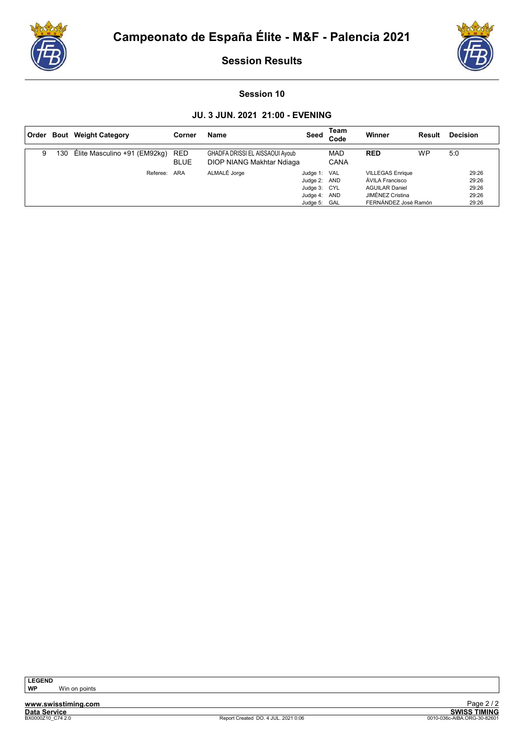



#### Session 10

#### JU. 3 JUN. 2021 21:00 - EVENING

|   |     | <b>Order Bout Weight Category</b> | Corner      | <b>Name</b>                                                  | Seed                                                                         | Team<br>Code       | Winner                                                                                                                 | Result | <b>Decision</b>                           |
|---|-----|-----------------------------------|-------------|--------------------------------------------------------------|------------------------------------------------------------------------------|--------------------|------------------------------------------------------------------------------------------------------------------------|--------|-------------------------------------------|
| 9 | 130 | Elite Masculino +91 (EM92kg) RED  | <b>BLUE</b> | GHADFA DRISSI EL AISSAOUI Ayoub<br>DIOP NIANG Makhtar Ndiaga |                                                                              | <b>MAD</b><br>CANA | <b>RED</b>                                                                                                             | WP     | 5:0                                       |
|   |     | Referee: ARA                      |             | ALMALÉ Jorge                                                 | Judge 1: VAL<br>Judge 2: AND<br>Judge 3: CYL<br>Judge 4: AND<br>Judge 5: GAL |                    | <b>VILLEGAS Enrique</b><br>ÁVILA Francisco<br><b>AGUILAR Daniel</b><br><b>JIMÉNEZ Cristina</b><br>FERNÁNDEZ José Ramón |        | 29:26<br>29:26<br>29:26<br>29:26<br>29:26 |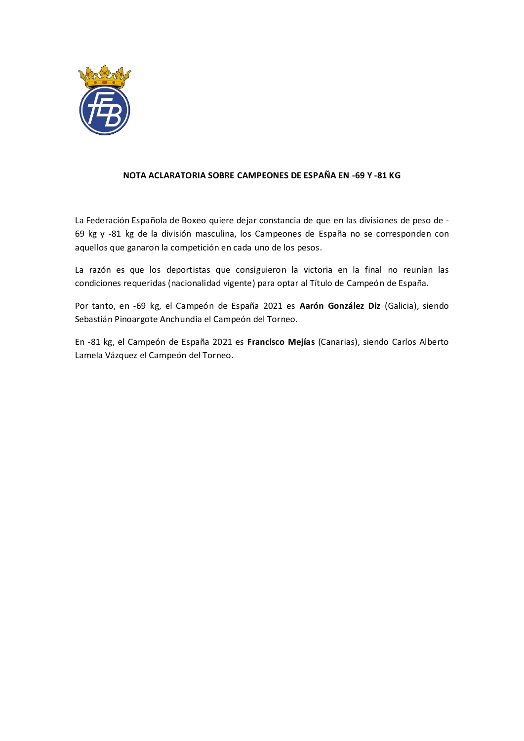

#### **NOTA ACLARATORIA SOBRE CAMPEONES DE ESPAÑA EN -69 Y -81 KG**

La Federación Española de Boxeo quiere dejar constancia de que en las divisiones de peso de - 69 kg y -81 kg de la división masculina, los Campeones de España no se corresponden con aquellos que ganaron la competición en cada uno de los pesos.

La razón es que los deportistas que consiguieron la victoria en la final no reunían las condiciones requeridas (nacionalidad vigente) para optar al Título de Campeón de España.

Por tanto, en -69 kg, el Campeón de España 2021 es **Aarón González Diz** (Galicia), siendo Sebastián Pinoargote Anchundia el Campeón del Torneo.

En -81 kg, el Campeón de España 2021 es **Francisco Mejías** (Canarias), siendo Carlos Alberto Lamela Vázquez el Campeón del Torneo.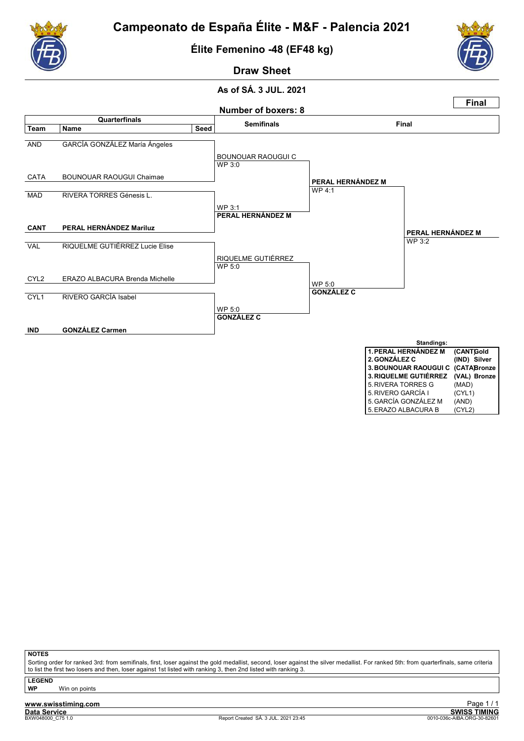

Élite Femenino -48 (EF48 kg)



Draw Sheet

## As of SÁ. 3 JUL. 2021



**NOTES** 

Sorting order for ranked 3rd: from semifinals, first, loser against the gold medallist, second, loser against the silver medallist. For ranked 5th: from quarterfinals, same criteria to list the first two losers and then, loser against 1st listed with ranking 3, then 2nd listed with ranking 3

LEGEND

**WP** Win on points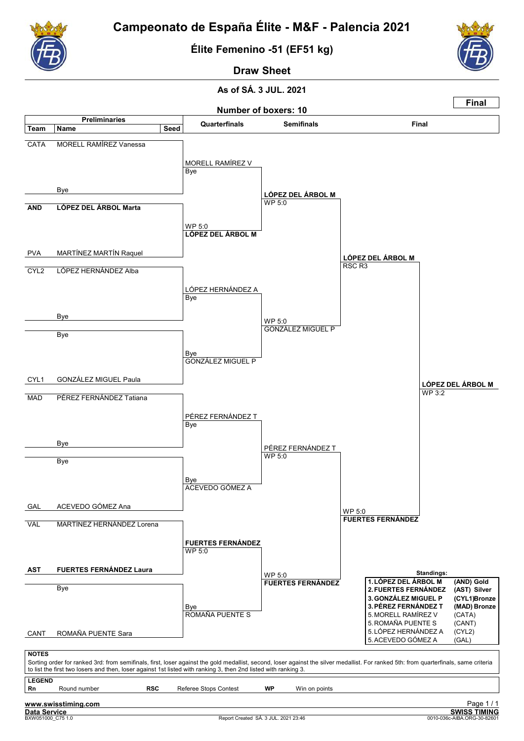

Élite Femenino -51 (EF51 kg)



Draw Sheet

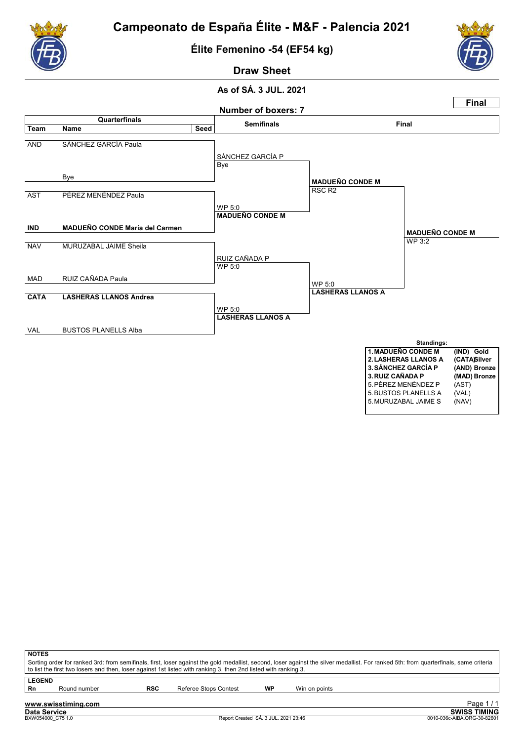

Élite Femenino -54 (EF54 kg)



## Draw Sheet



| <b>NOTES</b>                                                                                                                                                                                                                                                                                             |                     |            |                       |    |                     |  |  |  |
|----------------------------------------------------------------------------------------------------------------------------------------------------------------------------------------------------------------------------------------------------------------------------------------------------------|---------------------|------------|-----------------------|----|---------------------|--|--|--|
| Sorting order for ranked 3rd: from semifinals, first, loser against the gold medallist, second, loser against the silver medallist. For ranked 5th: from quarterfinals, same criteria<br>to list the first two losers and then, loser against 1st listed with ranking 3, then 2nd listed with ranking 3. |                     |            |                       |    |                     |  |  |  |
|                                                                                                                                                                                                                                                                                                          |                     |            |                       |    |                     |  |  |  |
| <b>LEGEND</b>                                                                                                                                                                                                                                                                                            |                     |            |                       |    |                     |  |  |  |
| Rn                                                                                                                                                                                                                                                                                                       | Round number        | <b>RSC</b> | Referee Stops Contest | WP | Win on points       |  |  |  |
|                                                                                                                                                                                                                                                                                                          |                     |            |                       |    |                     |  |  |  |
|                                                                                                                                                                                                                                                                                                          | www.swisstiming.com |            |                       |    | Page 1/1            |  |  |  |
|                                                                                                                                                                                                                                                                                                          | <b>Data Service</b> |            |                       |    | <b>SWISS TIMING</b> |  |  |  |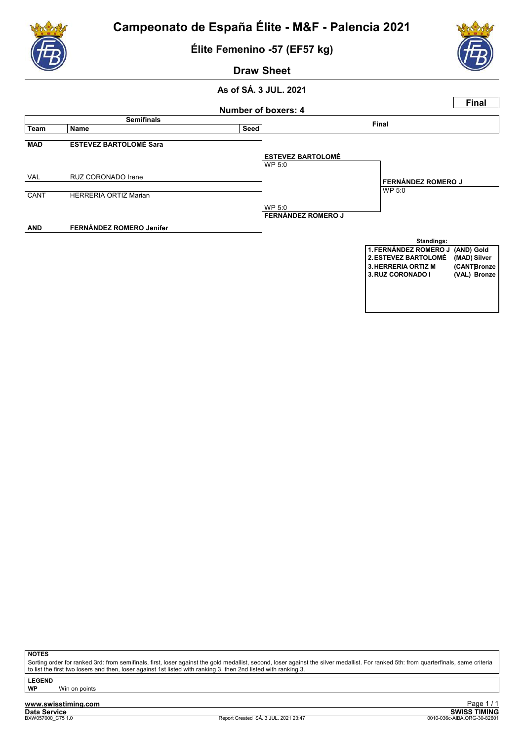

Élite Femenino -57 (EF57 kg)





#### As of SÁ. 3 JUL. 2021



**NOTES** 

Sorting order for ranked 3rd: from semifinals, first, loser against the gold medallist, second, loser against the silver medallist. For ranked 5th: from quarterfinals, same criteria to list the first two losers and then, loser against 1st listed with ranking 3, then 2nd listed with ranking 3.

LEGEND

**WP** Win on points

www.swisstiming.com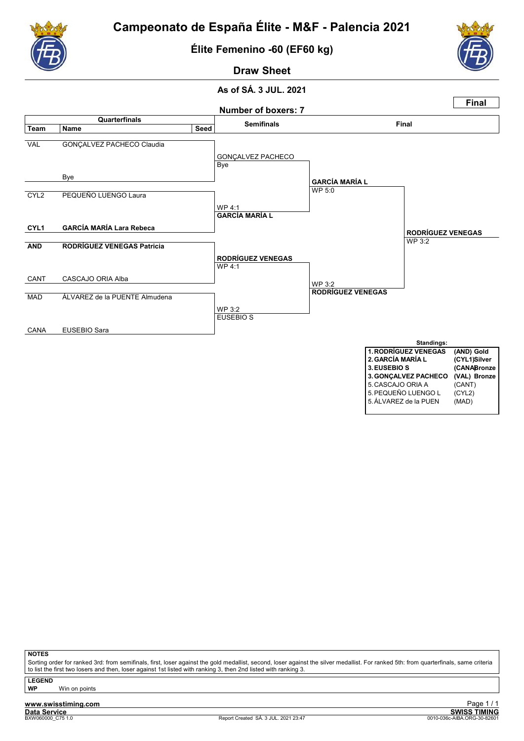

Élite Femenino -60 (EF60 kg)



Draw Sheet

#### As of SÁ. 3 JUL. 2021



**NOTES** 

Sorting order for ranked 3rd: from semifinals, first, loser against the gold medallist, second, loser against the silver medallist. For ranked 5th: from quarterfinals, same criteria to list the first two losers and then, loser against 1st listed with ranking 3, then 2nd listed with ranking 3.

LEGEND

**WP** Win on points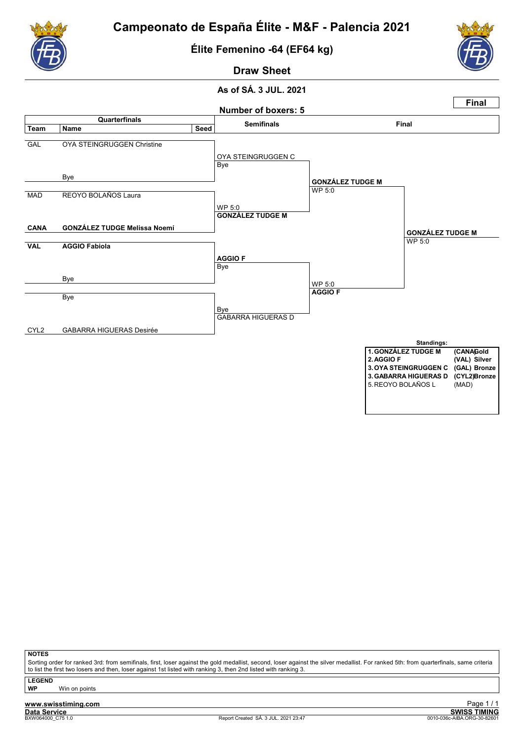

Élite Femenino -64 (EF64 kg)



Draw Sheet

#### As of SÁ. 3 JUL. 2021



**NOTES** 

Sorting order for ranked 3rd: from semifinals, first, loser against the gold medallist, second, loser against the silver medallist. For ranked 5th: from quarterfinals, same criteria to list the first two losers and then, loser against 1st listed with ranking 3, then 2nd listed with ranking 3.

LEGEND

**WP** Win on points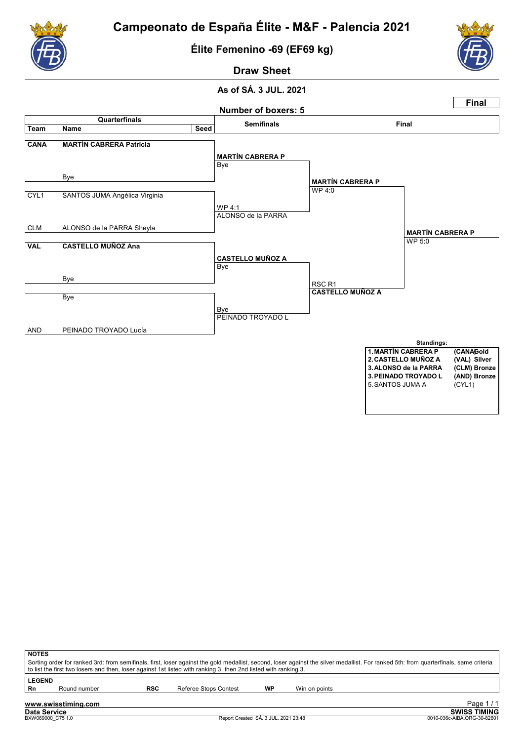

Élite Femenino -69 (EF69 kg)



Draw Sheet



| <b>NOTES</b>  |                                                                                                                                                                                       |            |                                                                                                                 |    |               |  |  |  |
|---------------|---------------------------------------------------------------------------------------------------------------------------------------------------------------------------------------|------------|-----------------------------------------------------------------------------------------------------------------|----|---------------|--|--|--|
|               | Sorting order for ranked 3rd: from semifinals, first, loser against the gold medallist, second, loser against the silver medallist. For ranked 5th: from quarterfinals, same criteria |            |                                                                                                                 |    |               |  |  |  |
|               |                                                                                                                                                                                       |            | to list the first two losers and then, loser against 1st listed with ranking 3, then 2nd listed with ranking 3. |    |               |  |  |  |
| <b>LEGEND</b> |                                                                                                                                                                                       |            |                                                                                                                 |    |               |  |  |  |
| <b>Rn</b>     | Round number                                                                                                                                                                          | <b>RSC</b> | Referee Stops Contest                                                                                           | WP | Win on points |  |  |  |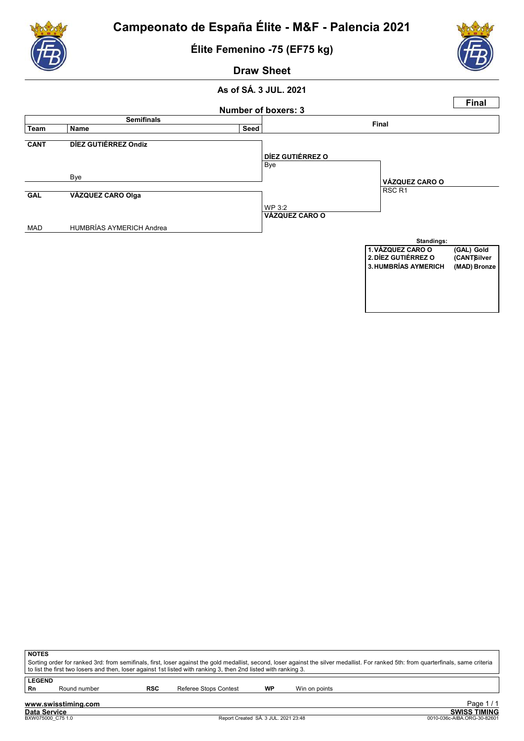

Élite Femenino -75 (EF75 kg)





## Draw Sheet

## As of SÁ. 3 JUL. 2021 Number of boxers: 3 Final semifinals in the Semifinal Semifinal Seed of the Seed of the Seed of the Seed of the Seed of the Seed of the Seed of the Seed of the Seed of the Seed of the Seed of the Seed of the Seed of the Seed of the Seed of the Seed CANT DÍEZ GUTIÉRREZ Ondiz Bye Bye GAL VÁZQUEZ CARO Olga WP 3:2 MAD HUMBRÍAS AYMERICH Andrea DÍEZ GUTIÉRREZ O RSC R1 VÁZQUEZ CARO O VÁZQUEZ CARO O Standings: 1. VÁZQUEZ CARO O (GAL) Gold<br>2. DÍEZ GUTIÉRREZ O (CANTSIlver 2. DÍEZ GUTIÉRREZ O (CANT)<br>3. HUMBRÍAS AYMERICH (MAD) Bronze 3. HUMBRÍAS AYMERICH

|    | <b>NOTES</b>                                                                                                                                                                          |            |                       |    |               |  |  |  |
|----|---------------------------------------------------------------------------------------------------------------------------------------------------------------------------------------|------------|-----------------------|----|---------------|--|--|--|
|    | Sorting order for ranked 3rd: from semifinals, first, loser against the gold medallist, second, loser against the silver medallist. For ranked 5th: from quarterfinals, same criteria |            |                       |    |               |  |  |  |
|    | to list the first two losers and then, loser against 1st listed with ranking 3, then 2nd listed with ranking 3.                                                                       |            |                       |    |               |  |  |  |
|    | <b>LEGEND</b>                                                                                                                                                                         |            |                       |    |               |  |  |  |
| Rn | Round number                                                                                                                                                                          | <b>RSC</b> | Referee Stops Contest | WP | Win on points |  |  |  |

|  | Rouna nu |  |
|--|----------|--|
|  |          |  |
|  |          |  |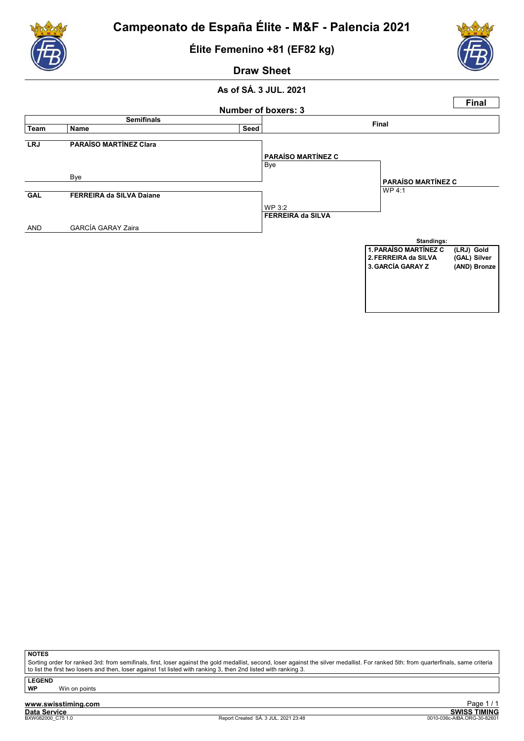

Élite Femenino +81 (EF82 kg)

Draw Sheet



## As of SÁ. 3 JUL. 2021



**NOTES** 

Sorting order for ranked 3rd: from semifinals, first, loser against the gold medallist, second, loser against the silver medallist. For ranked 5th: from quarterfinals, same criteria to list the first two losers and then, loser against 1st listed with ranking 3, then 2nd listed with ranking 3.

LEGEND

**WP** Win on points

www.swisstiming.com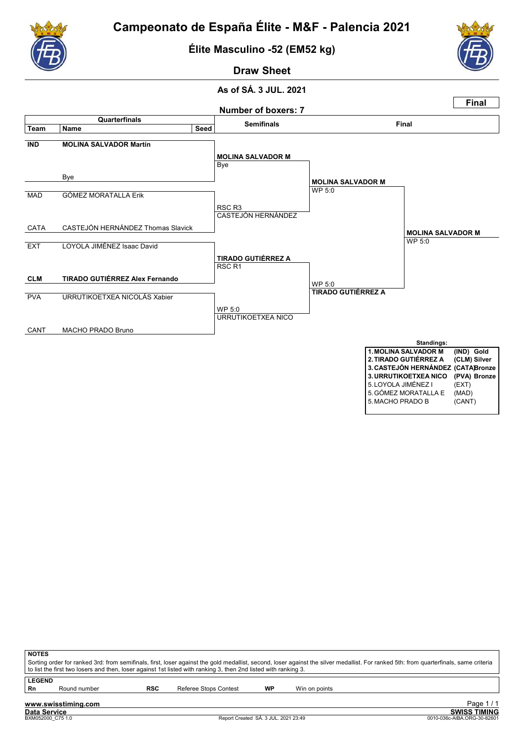

Élite Masculino -52 (EM52 kg)



Draw Sheet



| NOTES         |                     |            | to list the first two losers and then, loser against 1st listed with ranking 3, then 2nd listed with ranking 3. |    | Sorting order for ranked 3rd: from semifinals, first, loser against the gold medallist, second, loser against the silver medallist. For ranked 5th: from quarterfinals, same criteria |                     |
|---------------|---------------------|------------|-----------------------------------------------------------------------------------------------------------------|----|---------------------------------------------------------------------------------------------------------------------------------------------------------------------------------------|---------------------|
| <b>LEGEND</b> |                     |            |                                                                                                                 |    |                                                                                                                                                                                       |                     |
| l Rn          | Round number        | <b>RSC</b> | Referee Stops Contest                                                                                           | WP | Win on points                                                                                                                                                                         |                     |
|               | www.swisstiming.com |            |                                                                                                                 |    |                                                                                                                                                                                       | Page 1/1            |
|               | <b>Data Service</b> |            |                                                                                                                 |    |                                                                                                                                                                                       | <b>SWISS TIMING</b> |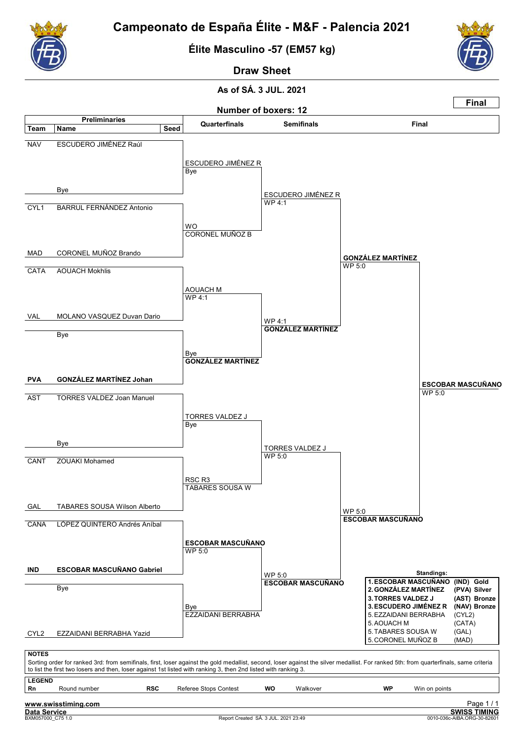

Élite Masculino -57 (EM57 kg)



## Draw Sheet

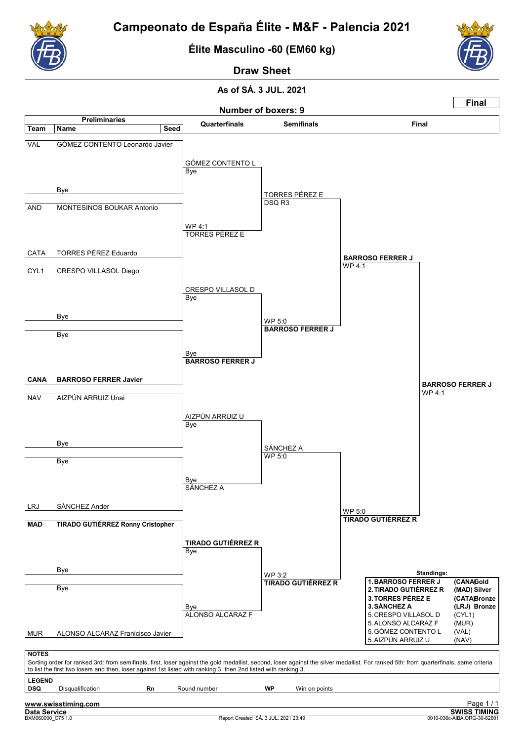

Élite Masculino -60 (EM60 kg)



Draw Sheet

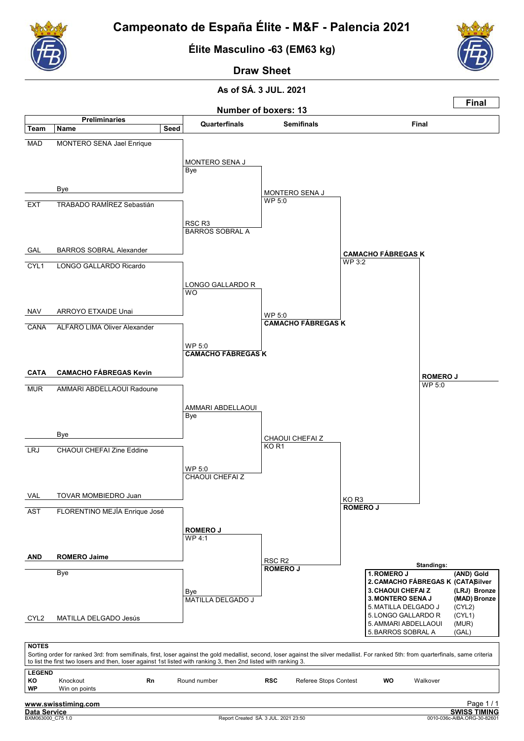![](_page_36_Picture_0.jpeg)

Élite Masculino -63 (EM63 kg)

![](_page_36_Picture_3.jpeg)

Draw Sheet

![](_page_36_Figure_6.jpeg)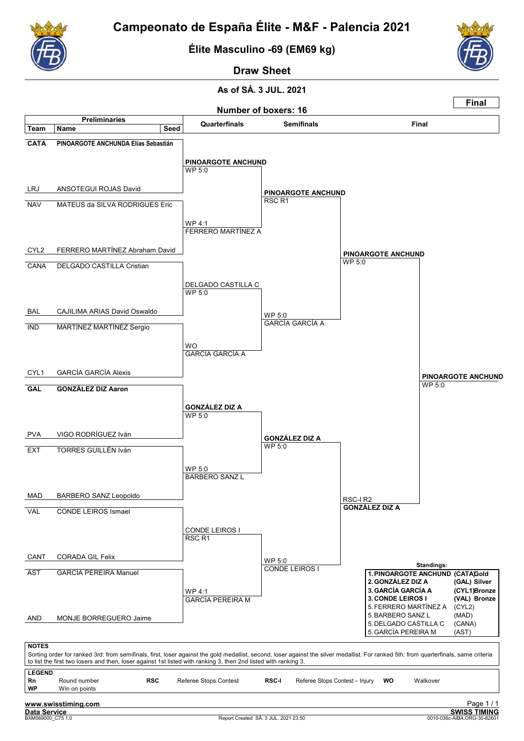![](_page_37_Picture_0.jpeg)

Élite Masculino -69 (EM69 kg)

![](_page_37_Picture_3.jpeg)

Draw Sheet

![](_page_37_Figure_6.jpeg)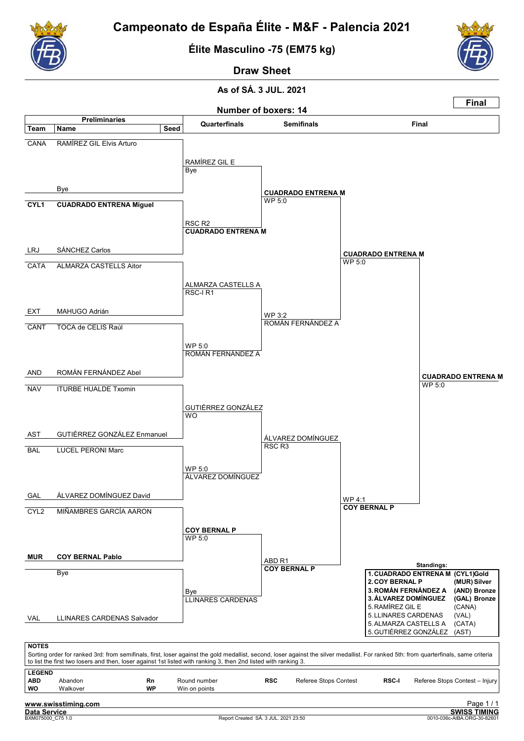![](_page_38_Picture_0.jpeg)

Élite Masculino -75 (EM75 kg)

![](_page_38_Picture_3.jpeg)

Draw Sheet

![](_page_38_Figure_6.jpeg)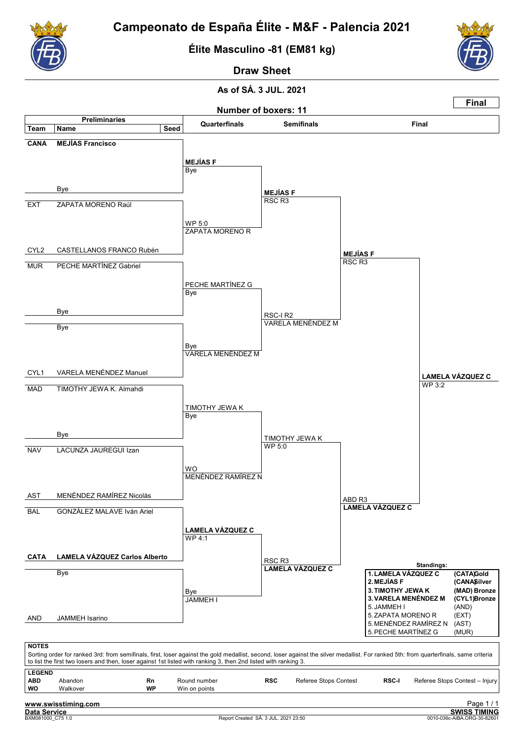![](_page_39_Picture_0.jpeg)

Élite Masculino -81 (EM81 kg)

![](_page_39_Picture_3.jpeg)

Draw Sheet

![](_page_39_Figure_6.jpeg)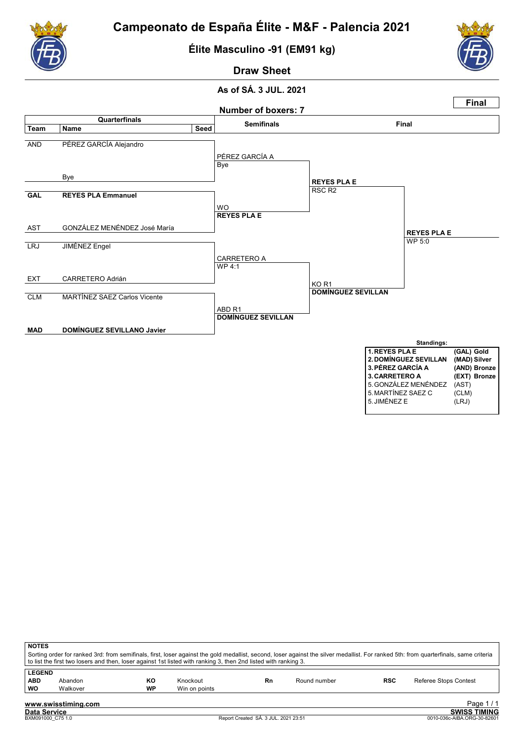![](_page_40_Picture_0.jpeg)

Élite Masculino -91 (EM91 kg)

![](_page_40_Picture_3.jpeg)

Draw Sheet

![](_page_40_Figure_6.jpeg)

| <b>NOTES</b>  |                                                                                                                                                                                       |    |               |    |              |            |                       |  |  |  |
|---------------|---------------------------------------------------------------------------------------------------------------------------------------------------------------------------------------|----|---------------|----|--------------|------------|-----------------------|--|--|--|
|               | Sorting order for ranked 3rd: from semifinals, first, loser against the gold medallist, second, loser against the silver medallist. For ranked 5th: from quarterfinals, same criteria |    |               |    |              |            |                       |  |  |  |
|               | to list the first two losers and then, loser against 1st listed with ranking 3, then 2nd listed with ranking 3.                                                                       |    |               |    |              |            |                       |  |  |  |
| <b>LEGEND</b> |                                                                                                                                                                                       |    |               |    |              |            |                       |  |  |  |
| <b>ABD</b>    | Abandon                                                                                                                                                                               | ĸо | Knockout      | Rn | Round number | <b>RSC</b> | Referee Stops Contest |  |  |  |
| <b>WO</b>     | Walkover                                                                                                                                                                              | WP | Win on points |    |              |            |                       |  |  |  |
|               |                                                                                                                                                                                       |    |               |    |              |            |                       |  |  |  |
|               | www.swisstiming.com                                                                                                                                                                   |    |               |    |              |            | Page 1/1              |  |  |  |
| Data Service  |                                                                                                                                                                                       |    |               |    |              |            | <b>SWISS TIMING</b>   |  |  |  |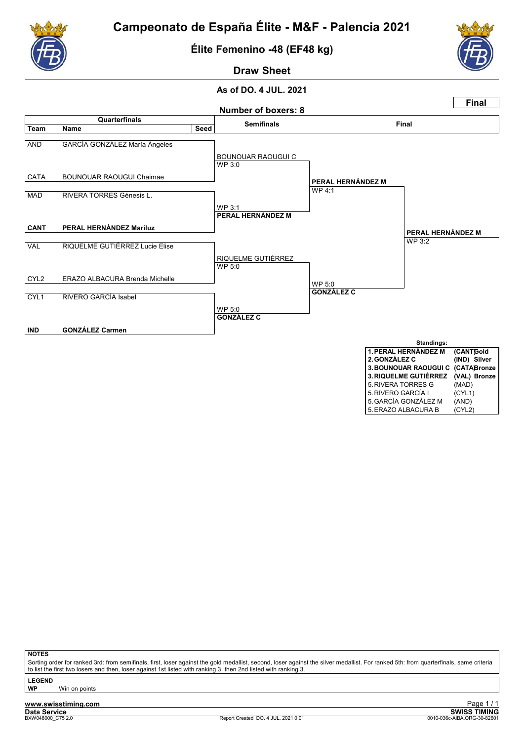![](_page_41_Picture_0.jpeg)

Élite Femenino -48 (EF48 kg)

![](_page_41_Picture_3.jpeg)

Draw Sheet

## As of DO. 4 JUL. 2021

![](_page_41_Figure_6.jpeg)

**NOTES** 

Sorting order for ranked 3rd: from semifinals, first, loser against the gold medallist, second, loser against the silver medallist. For ranked 5th: from quarterfinals, same criteria to list the first two losers and then, loser against 1st listed with ranking 3, then 2nd listed with ranking 3

LEGEND

**WP** Win on points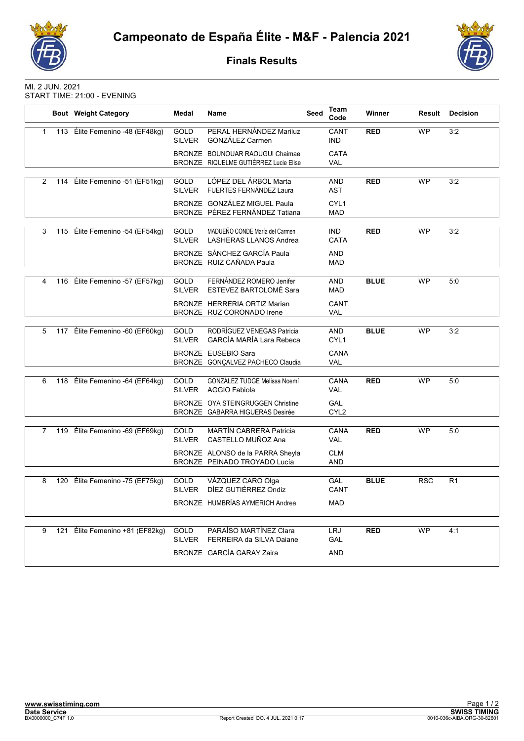![](_page_42_Picture_0.jpeg)

Finals Results

![](_page_42_Picture_3.jpeg)

MI. 2 JUN. 2021 START TIME: 21:00 - EVENING

|                |     | <b>Bout Weight Category</b>     | <b>Medal</b>                 | Name                                                                        | Seed | Team<br>Code                   | Winner      |            | <b>Result Decision</b> |
|----------------|-----|---------------------------------|------------------------------|-----------------------------------------------------------------------------|------|--------------------------------|-------------|------------|------------------------|
| $\mathbf{1}$   |     | 113 Élite Femenino -48 (EF48kg) | <b>GOLD</b><br><b>SILVER</b> | PERAL HERNÁNDEZ Mariluz<br><b>GONZÁLEZ Carmen</b>                           |      | CANT<br><b>IND</b>             | <b>RED</b>  | <b>WP</b>  | 3:2                    |
|                |     |                                 |                              | BRONZE BOUNOUAR RAOUGUI Chaimae<br>BRONZE RIQUELME GUTIÉRREZ Lucie Elise    |      | <b>CATA</b><br>VAL             |             |            |                        |
|                |     |                                 |                              |                                                                             |      |                                |             |            |                        |
| 2              |     | 114 Élite Femenino -51 (EF51kg) | <b>GOLD</b><br><b>SILVER</b> | LÓPEZ DEL ÁRBOL Marta<br>FUERTES FERNÁNDEZ Laura                            |      | <b>AND</b><br>AST              | <b>RED</b>  | <b>WP</b>  | 3:2                    |
|                |     |                                 |                              | BRONZE GONZÁLEZ MIGUEL Paula<br>BRONZE PÉREZ FERNÁNDEZ Tatiana              |      | CYL <sub>1</sub><br><b>MAD</b> |             |            |                        |
|                |     |                                 |                              |                                                                             |      |                                |             |            |                        |
| 3              |     | 115 Élite Femenino -54 (EF54kg) | <b>GOLD</b><br><b>SILVER</b> | MADUEÑO CONDE María del Carmen<br><b>LASHERAS LLANOS Andrea</b>             |      | <b>IND</b><br><b>CATA</b>      | <b>RED</b>  | <b>WP</b>  | 3:2                    |
|                |     |                                 |                              | BRONZE SÁNCHEZ GARCÍA Paula<br>BRONZE RUIZ CAÑADA Paula                     |      | <b>AND</b><br><b>MAD</b>       |             |            |                        |
|                |     |                                 |                              |                                                                             |      |                                |             |            |                        |
| 4              | 116 | Élite Femenino -57 (EF57kg)     | <b>GOLD</b><br><b>SILVER</b> | FERNÁNDEZ ROMERO Jenifer<br>ESTEVEZ BARTOLOMÉ Sara                          |      | <b>AND</b><br><b>MAD</b>       | <b>BLUE</b> | <b>WP</b>  | 5:0                    |
|                |     |                                 |                              | BRONZE HERRERIA ORTIZ Marian<br>BRONZE RUZ CORONADO Irene                   |      | CANT<br>VAL                    |             |            |                        |
|                |     |                                 |                              |                                                                             |      |                                |             |            |                        |
| 5              | 117 | Élite Femenino -60 (EF60kg)     | <b>GOLD</b><br><b>SILVER</b> | RODRÍGUEZ VENEGAS Patricia<br>GARCÍA MARÍA Lara Rebeca                      |      | <b>AND</b><br>CYL <sub>1</sub> | <b>BLUE</b> | <b>WP</b>  | 3:2                    |
|                |     |                                 |                              | <b>BRONZE EUSEBIO Sara</b><br>BRONZE GONÇALVEZ PACHECO Claudia              |      | CANA<br><b>VAL</b>             |             |            |                        |
|                |     |                                 |                              |                                                                             |      |                                |             |            |                        |
| 6              |     | 118 Élite Femenino -64 (EF64kg) | <b>GOLD</b><br><b>SILVER</b> | GONZÁLEZ TUDGE Melissa Noemí<br><b>AGGIO Fabiola</b>                        |      | <b>CANA</b><br><b>VAL</b>      | <b>RED</b>  | <b>WP</b>  | 5:0                    |
|                |     |                                 |                              | <b>BRONZE OYA STEINGRUGGEN Christine</b><br>BRONZE GABARRA HIGUERAS Desirée |      | <b>GAL</b><br>CYL <sub>2</sub> |             |            |                        |
|                |     |                                 |                              |                                                                             |      |                                |             |            |                        |
| $\overline{7}$ |     | 119 Élite Femenino -69 (EF69kg) | <b>GOLD</b><br><b>SILVER</b> | <b>MARTÍN CABRERA Patricia</b><br>CASTELLO MUÑOZ Ana                        |      | CANA<br><b>VAL</b>             | <b>RED</b>  | <b>WP</b>  | 5:0                    |
|                |     |                                 |                              | BRONZE ALONSO de la PARRA Sheyla<br>BRONZE PEINADO TROYADO Lucía            |      | <b>CLM</b><br><b>AND</b>       |             |            |                        |
|                |     |                                 |                              |                                                                             |      |                                |             |            |                        |
| 8              |     | 120 Élite Femenino -75 (EF75kg) | <b>GOLD</b><br><b>SILVER</b> | VÁZQUEZ CARO Olga<br>DÍEZ GUTIÉRREZ Ondiz                                   |      | <b>GAL</b><br>CANT             | <b>BLUE</b> | <b>RSC</b> | R <sub>1</sub>         |
|                |     |                                 |                              | BRONZE HUMBRÍAS AYMERICH Andrea                                             |      | <b>MAD</b>                     |             |            |                        |
|                |     |                                 |                              |                                                                             |      |                                |             |            |                        |
| 9              |     | 121 Élite Femenino +81 (EF82kg) | <b>GOLD</b><br>SILVER        | PARAÍSO MARTÍNEZ Clara<br>FERREIRA da SILVA Daiane                          |      | <b>LRJ</b><br>GAL              | <b>RED</b>  | <b>WP</b>  | 4:1                    |
|                |     |                                 |                              | BRONZE GARCÍA GARAY Zaira                                                   |      | <b>AND</b>                     |             |            |                        |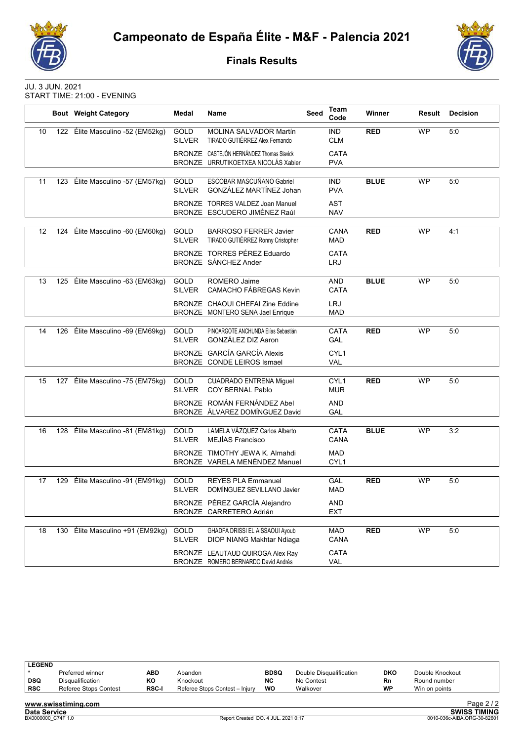![](_page_43_Picture_0.jpeg)

Finals Results

![](_page_43_Picture_3.jpeg)

JU. 3 JUN. 2021 START TIME: 21:00 - EVENING

|    |     | <b>Bout Weight Category</b>      | Medal                        | Name                                                                            | Seed | Team<br>Code                   | Winner      | Result    | <b>Decision</b> |
|----|-----|----------------------------------|------------------------------|---------------------------------------------------------------------------------|------|--------------------------------|-------------|-----------|-----------------|
| 10 |     | 122 Élite Masculino -52 (EM52kg) | GOLD<br><b>SILVER</b>        | MOLINA SALVADOR Martín<br>TIRADO GUTIÉRREZ Alex Fernando                        |      | <b>IND</b><br>CLM              | <b>RED</b>  | <b>WP</b> | 5:0             |
|    |     |                                  |                              | BRONZE CASTEJÓN HERNÁNDEZ Thomas Slavick<br>BRONZE URRUTIKOETXEA NICOLÁS Xabier |      | CATA<br><b>PVA</b>             |             |           |                 |
|    |     |                                  |                              |                                                                                 |      |                                |             |           |                 |
| 11 |     | 123 Élite Masculino -57 (EM57kg) | GOLD<br><b>SILVER</b>        | ESCOBAR MASCUÑANO Gabriel<br>GONZÁLEZ MARTÍNEZ Johan                            |      | <b>IND</b><br><b>PVA</b>       | <b>BLUE</b> | <b>WP</b> | 5:0             |
|    |     |                                  |                              | BRONZE TORRES VALDEZ Joan Manuel<br>BRONZE ESCUDERO JIMÉNEZ Raúl                |      | <b>AST</b><br><b>NAV</b>       |             |           |                 |
|    |     |                                  |                              |                                                                                 |      |                                |             |           |                 |
| 12 | 124 | Élite Masculino -60 (EM60kg)     | GOLD<br><b>SILVER</b>        | <b>BARROSO FERRER Javier</b><br>TIRADO GUTIÉRREZ Ronny Cristopher               |      | CANA<br>MAD                    | <b>RED</b>  | <b>WP</b> | 4:1             |
|    |     |                                  |                              | BRONZE TORRES PÉREZ Eduardo<br>BRONZE SÁNCHEZ Ander                             |      | <b>CATA</b><br><b>LRJ</b>      |             |           |                 |
|    |     |                                  |                              |                                                                                 |      |                                |             |           |                 |
| 13 |     | 125 Élite Masculino -63 (EM63kg) | <b>GOLD</b><br><b>SILVER</b> | ROMERO Jaime<br><b>CAMACHO FÁBREGAS Kevin</b>                                   |      | <b>AND</b><br>CATA             | <b>BLUE</b> | <b>WP</b> | 5:0             |
|    |     |                                  |                              | BRONZE CHAOUI CHEFAI Zine Eddine<br>BRONZE MONTERO SENA Jael Enrique            |      | LRJ<br><b>MAD</b>              |             |           |                 |
|    |     |                                  |                              |                                                                                 |      |                                |             |           |                 |
| 14 |     | 126 Élite Masculino -69 (EM69kg) | <b>GOLD</b><br><b>SILVER</b> | PINOARGOTE ANCHUNDA Elías Sebastián<br>GONZÁLEZ DIZ Aaron                       |      | <b>CATA</b><br>GAL             | <b>RED</b>  | <b>WP</b> | 5:0             |
|    |     |                                  |                              | BRONZE GARCÍA GARCÍA Alexis<br>BRONZE CONDE LEIROS Ismael                       |      | CYL1<br><b>VAL</b>             |             |           |                 |
|    |     |                                  |                              |                                                                                 |      |                                |             |           |                 |
| 15 | 127 | Élite Masculino -75 (EM75kg)     | GOLD<br><b>SILVER</b>        | <b>CUADRADO ENTRENA Miguel</b><br><b>COY BERNAL Pablo</b>                       |      | CYL <sub>1</sub><br><b>MUR</b> | <b>RED</b>  | <b>WP</b> | 5:0             |
|    |     |                                  |                              | BRONZE ROMÁN FERNÁNDEZ Abel<br>BRONZE ÁLVAREZ DOMÍNGUEZ David                   |      | <b>AND</b><br>GAL              |             |           |                 |
|    |     |                                  |                              |                                                                                 |      |                                |             |           |                 |
| 16 | 128 | Élite Masculino -81 (EM81kg)     | <b>GOLD</b><br><b>SILVER</b> | LAMELA VÁZQUEZ Carlos Alberto<br>MEJÍAS Francisco                               |      | CATA<br>CANA                   | <b>BLUE</b> | <b>WP</b> | 3:2             |
|    |     |                                  |                              | BRONZE TIMOTHY JEWA K. Almahdi<br>BRONZE VARELA MENÉNDEZ Manuel                 |      | <b>MAD</b><br>CYL1             |             |           |                 |
|    |     |                                  |                              |                                                                                 |      |                                |             |           |                 |
| 17 | 129 | Élite Masculino -91 (EM91kg)     | <b>GOLD</b><br><b>SILVER</b> | <b>REYES PLA Emmanuel</b><br>DOMINGUEZ SEVILLANO Javier                         |      | GAL<br>MAD                     | <b>RED</b>  | <b>WP</b> | 5:0             |
|    |     |                                  |                              | BRONZE PÉREZ GARCÍA Alejandro<br>BRONZE CARRETERO Adrián                        |      | <b>AND</b><br><b>EXT</b>       |             |           |                 |
|    |     |                                  |                              |                                                                                 |      |                                |             |           |                 |
| 18 |     | 130 Élite Masculino +91 (EM92kg) | <b>GOLD</b><br><b>SILVER</b> | GHADFA DRISSI EL AISSAOUI Ayoub<br>DIOP NIANG Makhtar Ndiaga                    |      | MAD<br>CANA                    | <b>RED</b>  | <b>WP</b> | 5:0             |
|    |     |                                  |                              | BRONZE LEAUTAUD QUIROGA Alex Ray<br>BRONZE ROMERO BERNARDO David Andrés         |      | CATA<br><b>VAL</b>             |             |           |                 |

| <b>LEGEND</b>       |                       |              |                                |             |                         |           |                 |                     |
|---------------------|-----------------------|--------------|--------------------------------|-------------|-------------------------|-----------|-----------------|---------------------|
|                     | Preferred winner      | ABD          | Abandon                        | <b>BDSQ</b> | Double Disqualification | DKO       | Double Knockout |                     |
| <b>DSQ</b>          | Disqualification      | KО           | Knockout                       | <b>NC</b>   | No Contest              | Rn        | Round number    |                     |
| <b>RSC</b>          | Referee Stops Contest | <b>RSC-I</b> | Referee Stops Contest - Injury | WO          | Walkover                | <b>WP</b> | Win on points   |                     |
|                     | www.swisstiming.com   |              |                                |             |                         |           |                 | Page $2/2$          |
| <b>Data Service</b> |                       |              |                                |             |                         |           |                 | <b>SWISS TIMING</b> |